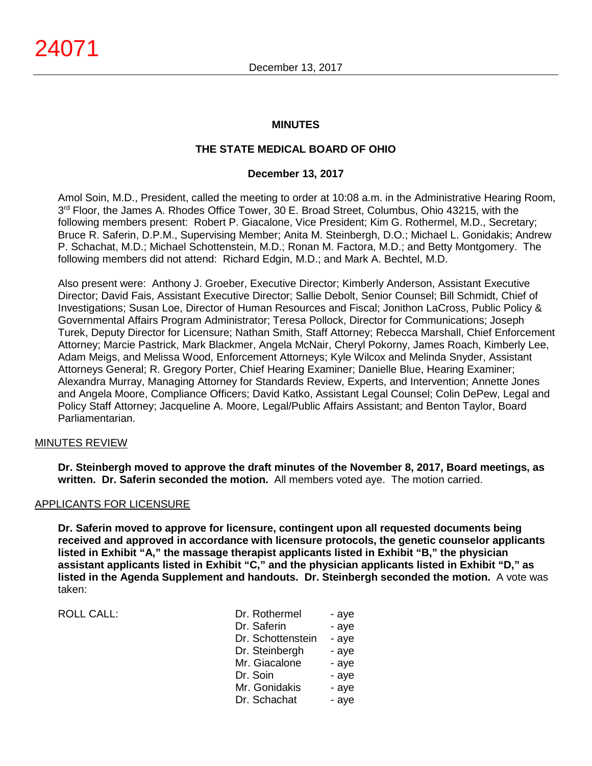### **MINUTES**

# **THE STATE MEDICAL BOARD OF OHIO**

### **December 13, 2017**

Amol Soin, M.D., President, called the meeting to order at 10:08 a.m. in the Administrative Hearing Room,  $3<sup>rd</sup>$  Floor, the James A. Rhodes Office Tower, 30 E. Broad Street, Columbus, Ohio 43215, with the following members present: Robert P. Giacalone, Vice President; Kim G. Rothermel, M.D., Secretary; Bruce R. Saferin, D.P.M., Supervising Member; Anita M. Steinbergh, D.O.; Michael L. Gonidakis; Andrew P. Schachat, M.D.; Michael Schottenstein, M.D.; Ronan M. Factora, M.D.; and Betty Montgomery. The following members did not attend: Richard Edgin, M.D.; and Mark A. Bechtel, M.D.

Also present were: Anthony J. Groeber, Executive Director; Kimberly Anderson, Assistant Executive Director; David Fais, Assistant Executive Director; Sallie Debolt, Senior Counsel; Bill Schmidt, Chief of Investigations; Susan Loe, Director of Human Resources and Fiscal; Jonithon LaCross, Public Policy & Governmental Affairs Program Administrator; Teresa Pollock, Director for Communications; Joseph Turek, Deputy Director for Licensure; Nathan Smith, Staff Attorney; Rebecca Marshall, Chief Enforcement Attorney; Marcie Pastrick, Mark Blackmer, Angela McNair, Cheryl Pokorny, James Roach, Kimberly Lee, Adam Meigs, and Melissa Wood, Enforcement Attorneys; Kyle Wilcox and Melinda Snyder, Assistant Attorneys General; R. Gregory Porter, Chief Hearing Examiner; Danielle Blue, Hearing Examiner; Alexandra Murray, Managing Attorney for Standards Review, Experts, and Intervention; Annette Jones and Angela Moore, Compliance Officers; David Katko, Assistant Legal Counsel; Colin DePew, Legal and Policy Staff Attorney; Jacqueline A. Moore, Legal/Public Affairs Assistant; and Benton Taylor, Board Parliamentarian.

### MINUTES REVIEW

**Dr. Steinbergh moved to approve the draft minutes of the November 8, 2017, Board meetings, as written. Dr. Saferin seconded the motion.** All members voted aye. The motion carried.

### APPLICANTS FOR LICENSURE

**Dr. Saferin moved to approve for licensure, contingent upon all requested documents being received and approved in accordance with licensure protocols, the genetic counselor applicants listed in Exhibit "A," the massage therapist applicants listed in Exhibit "B," the physician assistant applicants listed in Exhibit "C," and the physician applicants listed in Exhibit "D," as listed in the Agenda Supplement and handouts. Dr. Steinbergh seconded the motion.** A vote was taken:

ROLL CALL: PRODUCTED FOR A ROLL CALL:

| Dr. Rothermel     | - aye |
|-------------------|-------|
| Dr. Saferin       | - aye |
| Dr. Schottenstein | - aye |
| Dr. Steinbergh    | - aye |
| Mr. Giacalone     | - aye |
| Dr. Soin          | - aye |
| Mr. Gonidakis     | - aye |
| Dr. Schachat      | - aye |
|                   |       |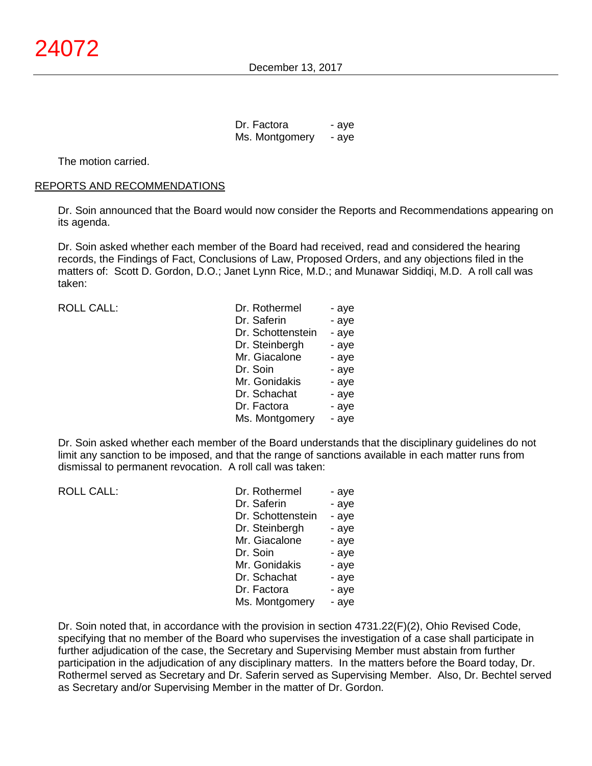Dr. Factora - aye Ms. Montgomery - aye

The motion carried.

#### REPORTS AND RECOMMENDATIONS

Dr. Soin announced that the Board would now consider the Reports and Recommendations appearing on its agenda.

Dr. Soin asked whether each member of the Board had received, read and considered the hearing records, the Findings of Fact, Conclusions of Law, Proposed Orders, and any objections filed in the matters of: Scott D. Gordon, D.O.; Janet Lynn Rice, M.D.; and Munawar Siddiqi, M.D. A roll call was taken:

ROLL CALL:

| Dr. Rothermel     | - aye |
|-------------------|-------|
| Dr. Saferin       | - aye |
| Dr. Schottenstein | - aye |
| Dr. Steinbergh    | - aye |
| Mr. Giacalone     | - aye |
| Dr. Soin          | - aye |
| Mr. Gonidakis     | - aye |
| Dr. Schachat      | - aye |
| Dr. Factora       | - aye |
| Ms. Montgomery    | - aye |

Dr. Soin asked whether each member of the Board understands that the disciplinary guidelines do not limit any sanction to be imposed, and that the range of sanctions available in each matter runs from dismissal to permanent revocation. A roll call was taken:

| <b>ROLL CALL:</b> | Dr. Rothermel     | - aye |
|-------------------|-------------------|-------|
|                   | Dr. Saferin       | - aye |
|                   | Dr. Schottenstein | - aye |
|                   | Dr. Steinbergh    | - aye |
|                   | Mr. Giacalone     | - aye |
|                   | Dr. Soin          | - aye |
|                   | Mr. Gonidakis     | - aye |
|                   | Dr. Schachat      | - aye |
|                   | Dr. Factora       | - aye |
|                   | Ms. Montgomery    | - aye |
|                   |                   |       |

Dr. Soin noted that, in accordance with the provision in section 4731.22(F)(2), Ohio Revised Code, specifying that no member of the Board who supervises the investigation of a case shall participate in further adjudication of the case, the Secretary and Supervising Member must abstain from further participation in the adjudication of any disciplinary matters. In the matters before the Board today, Dr. Rothermel served as Secretary and Dr. Saferin served as Supervising Member. Also, Dr. Bechtel served as Secretary and/or Supervising Member in the matter of Dr. Gordon.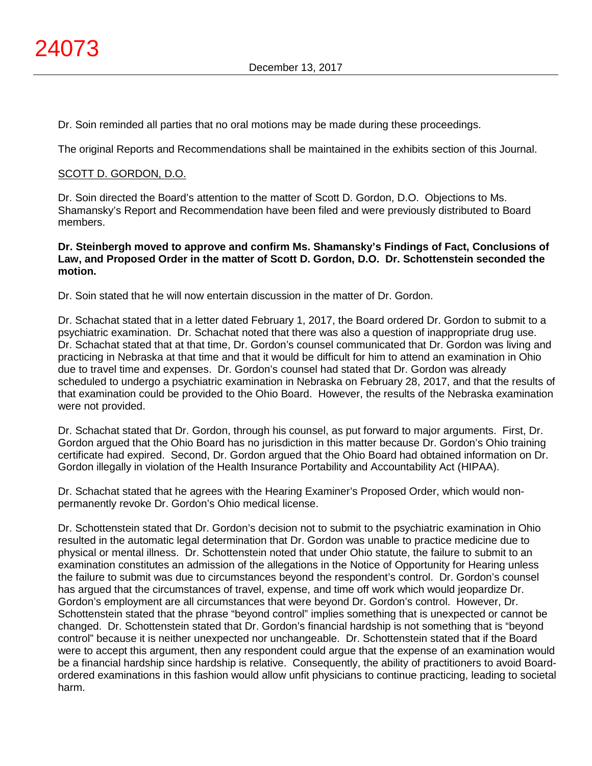Dr. Soin reminded all parties that no oral motions may be made during these proceedings.

The original Reports and Recommendations shall be maintained in the exhibits section of this Journal.

# SCOTT D. GORDON, D.O.

Dr. Soin directed the Board's attention to the matter of Scott D. Gordon, D.O. Objections to Ms. Shamansky's Report and Recommendation have been filed and were previously distributed to Board members.

### **Dr. Steinbergh moved to approve and confirm Ms. Shamansky's Findings of Fact, Conclusions of Law, and Proposed Order in the matter of Scott D. Gordon, D.O. Dr. Schottenstein seconded the motion.**

Dr. Soin stated that he will now entertain discussion in the matter of Dr. Gordon.

Dr. Schachat stated that in a letter dated February 1, 2017, the Board ordered Dr. Gordon to submit to a psychiatric examination. Dr. Schachat noted that there was also a question of inappropriate drug use. Dr. Schachat stated that at that time, Dr. Gordon's counsel communicated that Dr. Gordon was living and practicing in Nebraska at that time and that it would be difficult for him to attend an examination in Ohio due to travel time and expenses. Dr. Gordon's counsel had stated that Dr. Gordon was already scheduled to undergo a psychiatric examination in Nebraska on February 28, 2017, and that the results of that examination could be provided to the Ohio Board. However, the results of the Nebraska examination were not provided.

Dr. Schachat stated that Dr. Gordon, through his counsel, as put forward to major arguments. First, Dr. Gordon argued that the Ohio Board has no jurisdiction in this matter because Dr. Gordon's Ohio training certificate had expired. Second, Dr. Gordon argued that the Ohio Board had obtained information on Dr. Gordon illegally in violation of the Health Insurance Portability and Accountability Act (HIPAA).

Dr. Schachat stated that he agrees with the Hearing Examiner's Proposed Order, which would nonpermanently revoke Dr. Gordon's Ohio medical license.

Dr. Schottenstein stated that Dr. Gordon's decision not to submit to the psychiatric examination in Ohio resulted in the automatic legal determination that Dr. Gordon was unable to practice medicine due to physical or mental illness. Dr. Schottenstein noted that under Ohio statute, the failure to submit to an examination constitutes an admission of the allegations in the Notice of Opportunity for Hearing unless the failure to submit was due to circumstances beyond the respondent's control. Dr. Gordon's counsel has argued that the circumstances of travel, expense, and time off work which would jeopardize Dr. Gordon's employment are all circumstances that were beyond Dr. Gordon's control. However, Dr. Schottenstein stated that the phrase "beyond control" implies something that is unexpected or cannot be changed. Dr. Schottenstein stated that Dr. Gordon's financial hardship is not something that is "beyond control" because it is neither unexpected nor unchangeable. Dr. Schottenstein stated that if the Board were to accept this argument, then any respondent could argue that the expense of an examination would be a financial hardship since hardship is relative. Consequently, the ability of practitioners to avoid Boardordered examinations in this fashion would allow unfit physicians to continue practicing, leading to societal harm.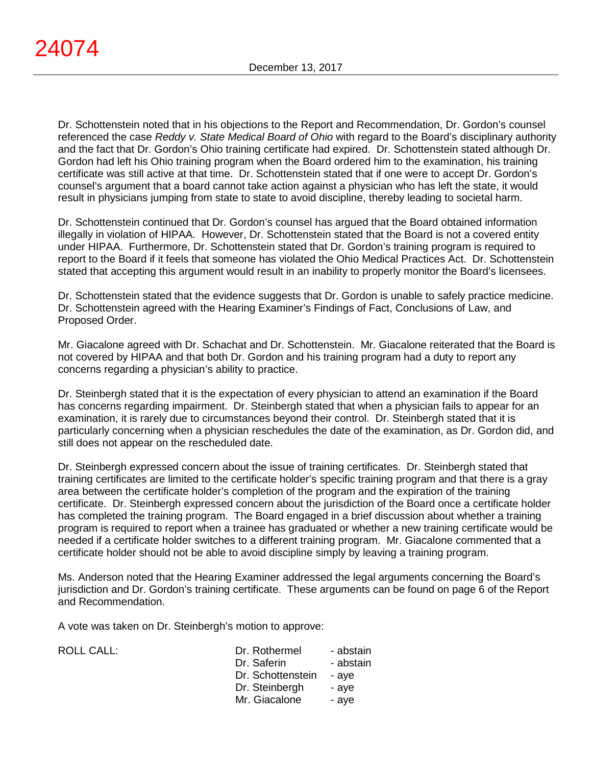Dr. Schottenstein noted that in his objections to the Report and Recommendation, Dr. Gordon's counsel referenced the case *Reddy v. State Medical Board of Ohio* with regard to the Board's disciplinary authority and the fact that Dr. Gordon's Ohio training certificate had expired. Dr. Schottenstein stated although Dr. Gordon had left his Ohio training program when the Board ordered him to the examination, his training certificate was still active at that time. Dr. Schottenstein stated that if one were to accept Dr. Gordon's counsel's argument that a board cannot take action against a physician who has left the state, it would result in physicians jumping from state to state to avoid discipline, thereby leading to societal harm.

Dr. Schottenstein continued that Dr. Gordon's counsel has argued that the Board obtained information illegally in violation of HIPAA. However, Dr. Schottenstein stated that the Board is not a covered entity under HIPAA. Furthermore, Dr. Schottenstein stated that Dr. Gordon's training program is required to report to the Board if it feels that someone has violated the Ohio Medical Practices Act. Dr. Schottenstein stated that accepting this argument would result in an inability to properly monitor the Board's licensees.

Dr. Schottenstein stated that the evidence suggests that Dr. Gordon is unable to safely practice medicine. Dr. Schottenstein agreed with the Hearing Examiner's Findings of Fact, Conclusions of Law, and Proposed Order.

Mr. Giacalone agreed with Dr. Schachat and Dr. Schottenstein. Mr. Giacalone reiterated that the Board is not covered by HIPAA and that both Dr. Gordon and his training program had a duty to report any concerns regarding a physician's ability to practice.

Dr. Steinbergh stated that it is the expectation of every physician to attend an examination if the Board has concerns regarding impairment. Dr. Steinbergh stated that when a physician fails to appear for an examination, it is rarely due to circumstances beyond their control. Dr. Steinbergh stated that it is particularly concerning when a physician reschedules the date of the examination, as Dr. Gordon did, and still does not appear on the rescheduled date.

Dr. Steinbergh expressed concern about the issue of training certificates. Dr. Steinbergh stated that training certificates are limited to the certificate holder's specific training program and that there is a gray area between the certificate holder's completion of the program and the expiration of the training certificate. Dr. Steinbergh expressed concern about the jurisdiction of the Board once a certificate holder has completed the training program. The Board engaged in a brief discussion about whether a training program is required to report when a trainee has graduated or whether a new training certificate would be needed if a certificate holder switches to a different training program. Mr. Giacalone commented that a certificate holder should not be able to avoid discipline simply by leaving a training program.

Ms. Anderson noted that the Hearing Examiner addressed the legal arguments concerning the Board's jurisdiction and Dr. Gordon's training certificate. These arguments can be found on page 6 of the Report and Recommendation.

A vote was taken on Dr. Steinbergh's motion to approve:

| <b>ROLL CALL:</b> | Dr. Rothermel     | - abstain |
|-------------------|-------------------|-----------|
|                   | Dr. Saferin       | - abstain |
|                   | Dr. Schottenstein | - ave     |
|                   | Dr. Steinbergh    | - ave     |
|                   | Mr. Giacalone     | - ave     |
|                   |                   |           |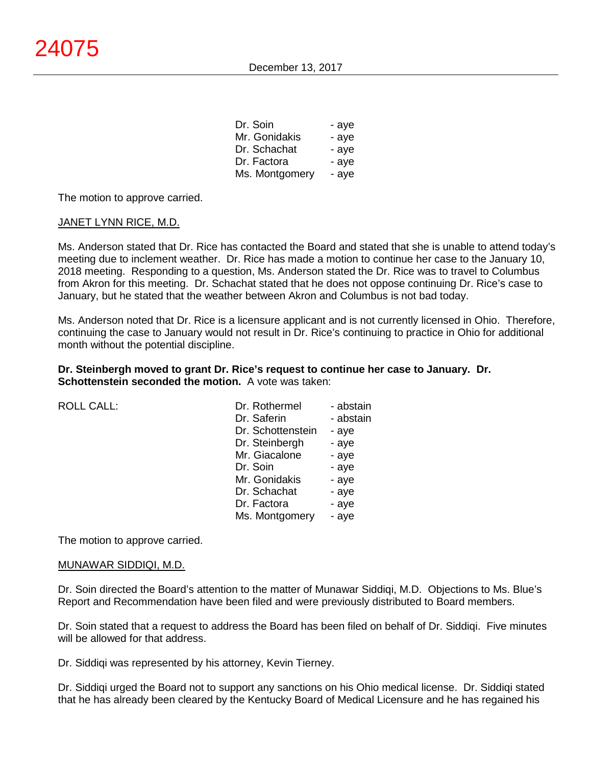| Dr. Soin       | - aye |
|----------------|-------|
| Mr. Gonidakis  | - aye |
| Dr. Schachat   | - aye |
| Dr. Factora    | - aye |
| Ms. Montgomery | - aye |

The motion to approve carried.

### JANET LYNN RICE, M.D.

Ms. Anderson stated that Dr. Rice has contacted the Board and stated that she is unable to attend today's meeting due to inclement weather. Dr. Rice has made a motion to continue her case to the January 10, 2018 meeting. Responding to a question, Ms. Anderson stated the Dr. Rice was to travel to Columbus from Akron for this meeting. Dr. Schachat stated that he does not oppose continuing Dr. Rice's case to January, but he stated that the weather between Akron and Columbus is not bad today.

Ms. Anderson noted that Dr. Rice is a licensure applicant and is not currently licensed in Ohio. Therefore, continuing the case to January would not result in Dr. Rice's continuing to practice in Ohio for additional month without the potential discipline.

### **Dr. Steinbergh moved to grant Dr. Rice's request to continue her case to January. Dr. Schottenstein seconded the motion.** A vote was taken:

| <b>ROLL CALL:</b> | Dr. Rothermel     | - abstain |
|-------------------|-------------------|-----------|
|                   | Dr. Saferin       | - abstain |
|                   | Dr. Schottenstein | - aye     |
|                   | Dr. Steinbergh    | - aye     |
|                   | Mr. Giacalone     | - aye     |
|                   | Dr. Soin          | - aye     |
|                   | Mr. Gonidakis     | - aye     |
|                   | Dr. Schachat      | - aye     |
|                   | Dr. Factora       | - aye     |
|                   | Ms. Montgomery    | - aye     |
|                   |                   |           |

The motion to approve carried.

### MUNAWAR SIDDIQI, M.D.

Dr. Soin directed the Board's attention to the matter of Munawar Siddiqi, M.D. Objections to Ms. Blue's Report and Recommendation have been filed and were previously distributed to Board members.

Dr. Soin stated that a request to address the Board has been filed on behalf of Dr. Siddiqi. Five minutes will be allowed for that address.

Dr. Siddiqi was represented by his attorney, Kevin Tierney.

Dr. Siddiqi urged the Board not to support any sanctions on his Ohio medical license. Dr. Siddiqi stated that he has already been cleared by the Kentucky Board of Medical Licensure and he has regained his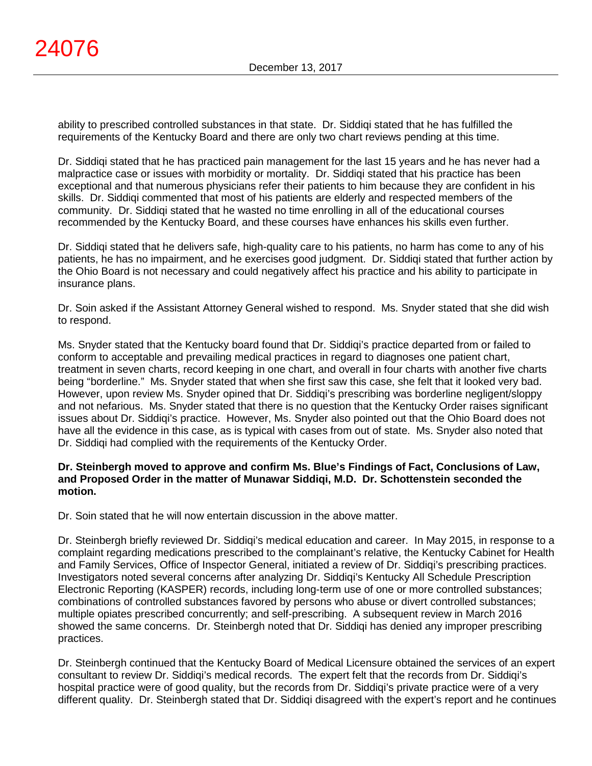ability to prescribed controlled substances in that state. Dr. Siddiqi stated that he has fulfilled the requirements of the Kentucky Board and there are only two chart reviews pending at this time.

Dr. Siddiqi stated that he has practiced pain management for the last 15 years and he has never had a malpractice case or issues with morbidity or mortality. Dr. Siddiqi stated that his practice has been exceptional and that numerous physicians refer their patients to him because they are confident in his skills. Dr. Siddiqi commented that most of his patients are elderly and respected members of the community. Dr. Siddiqi stated that he wasted no time enrolling in all of the educational courses recommended by the Kentucky Board, and these courses have enhances his skills even further.

Dr. Siddiqi stated that he delivers safe, high-quality care to his patients, no harm has come to any of his patients, he has no impairment, and he exercises good judgment. Dr. Siddiqi stated that further action by the Ohio Board is not necessary and could negatively affect his practice and his ability to participate in insurance plans.

Dr. Soin asked if the Assistant Attorney General wished to respond. Ms. Snyder stated that she did wish to respond.

Ms. Snyder stated that the Kentucky board found that Dr. Siddiqi's practice departed from or failed to conform to acceptable and prevailing medical practices in regard to diagnoses one patient chart, treatment in seven charts, record keeping in one chart, and overall in four charts with another five charts being "borderline." Ms. Snyder stated that when she first saw this case, she felt that it looked very bad. However, upon review Ms. Snyder opined that Dr. Siddiqi's prescribing was borderline negligent/sloppy and not nefarious. Ms. Snyder stated that there is no question that the Kentucky Order raises significant issues about Dr. Siddiqi's practice. However, Ms. Snyder also pointed out that the Ohio Board does not have all the evidence in this case, as is typical with cases from out of state. Ms. Snyder also noted that Dr. Siddiqi had complied with the requirements of the Kentucky Order.

### **Dr. Steinbergh moved to approve and confirm Ms. Blue's Findings of Fact, Conclusions of Law, and Proposed Order in the matter of Munawar Siddiqi, M.D. Dr. Schottenstein seconded the motion.**

Dr. Soin stated that he will now entertain discussion in the above matter.

Dr. Steinbergh briefly reviewed Dr. Siddiqi's medical education and career. In May 2015, in response to a complaint regarding medications prescribed to the complainant's relative, the Kentucky Cabinet for Health and Family Services, Office of Inspector General, initiated a review of Dr. Siddiqi's prescribing practices. Investigators noted several concerns after analyzing Dr. Siddiqi's Kentucky All Schedule Prescription Electronic Reporting (KASPER) records, including long-term use of one or more controlled substances; combinations of controlled substances favored by persons who abuse or divert controlled substances; multiple opiates prescribed concurrently; and self-prescribing. A subsequent review in March 2016 showed the same concerns. Dr. Steinbergh noted that Dr. Siddiqi has denied any improper prescribing practices.

Dr. Steinbergh continued that the Kentucky Board of Medical Licensure obtained the services of an expert consultant to review Dr. Siddiqi's medical records. The expert felt that the records from Dr. Siddiqi's hospital practice were of good quality, but the records from Dr. Siddiqi's private practice were of a very different quality. Dr. Steinbergh stated that Dr. Siddiqi disagreed with the expert's report and he continues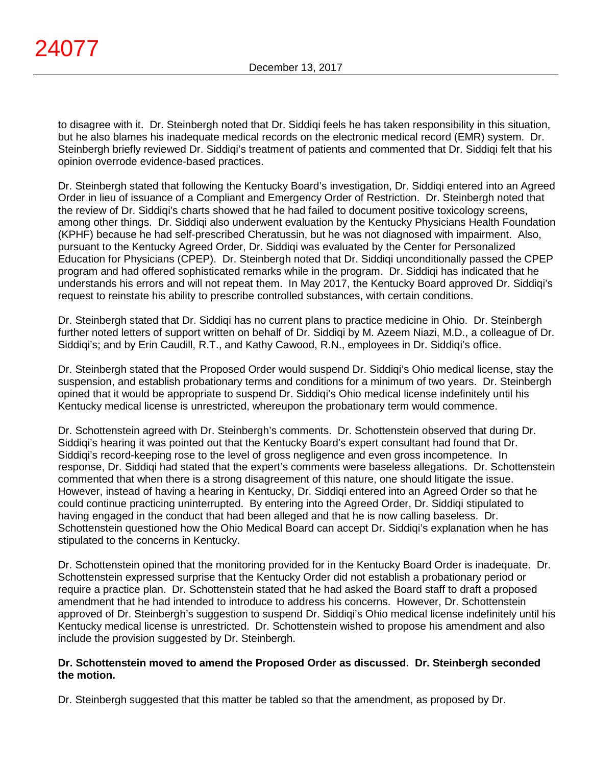to disagree with it. Dr. Steinbergh noted that Dr. Siddiqi feels he has taken responsibility in this situation, but he also blames his inadequate medical records on the electronic medical record (EMR) system. Dr. Steinbergh briefly reviewed Dr. Siddiqi's treatment of patients and commented that Dr. Siddiqi felt that his opinion overrode evidence-based practices.

Dr. Steinbergh stated that following the Kentucky Board's investigation, Dr. Siddiqi entered into an Agreed Order in lieu of issuance of a Compliant and Emergency Order of Restriction. Dr. Steinbergh noted that the review of Dr. Siddiqi's charts showed that he had failed to document positive toxicology screens, among other things. Dr. Siddiqi also underwent evaluation by the Kentucky Physicians Health Foundation (KPHF) because he had self-prescribed Cheratussin, but he was not diagnosed with impairment. Also, pursuant to the Kentucky Agreed Order, Dr. Siddiqi was evaluated by the Center for Personalized Education for Physicians (CPEP). Dr. Steinbergh noted that Dr. Siddiqi unconditionally passed the CPEP program and had offered sophisticated remarks while in the program. Dr. Siddiqi has indicated that he understands his errors and will not repeat them. In May 2017, the Kentucky Board approved Dr. Siddiqi's request to reinstate his ability to prescribe controlled substances, with certain conditions.

Dr. Steinbergh stated that Dr. Siddiqi has no current plans to practice medicine in Ohio. Dr. Steinbergh further noted letters of support written on behalf of Dr. Siddiqi by M. Azeem Niazi, M.D., a colleague of Dr. Siddiqi's; and by Erin Caudill, R.T., and Kathy Cawood, R.N., employees in Dr. Siddiqi's office.

Dr. Steinbergh stated that the Proposed Order would suspend Dr. Siddiqi's Ohio medical license, stay the suspension, and establish probationary terms and conditions for a minimum of two years. Dr. Steinbergh opined that it would be appropriate to suspend Dr. Siddiqi's Ohio medical license indefinitely until his Kentucky medical license is unrestricted, whereupon the probationary term would commence.

Dr. Schottenstein agreed with Dr. Steinbergh's comments. Dr. Schottenstein observed that during Dr. Siddiqi's hearing it was pointed out that the Kentucky Board's expert consultant had found that Dr. Siddiqi's record-keeping rose to the level of gross negligence and even gross incompetence. In response, Dr. Siddiqi had stated that the expert's comments were baseless allegations. Dr. Schottenstein commented that when there is a strong disagreement of this nature, one should litigate the issue. However, instead of having a hearing in Kentucky, Dr. Siddiqi entered into an Agreed Order so that he could continue practicing uninterrupted. By entering into the Agreed Order, Dr. Siddiqi stipulated to having engaged in the conduct that had been alleged and that he is now calling baseless. Dr. Schottenstein questioned how the Ohio Medical Board can accept Dr. Siddiqi's explanation when he has stipulated to the concerns in Kentucky.

Dr. Schottenstein opined that the monitoring provided for in the Kentucky Board Order is inadequate. Dr. Schottenstein expressed surprise that the Kentucky Order did not establish a probationary period or require a practice plan. Dr. Schottenstein stated that he had asked the Board staff to draft a proposed amendment that he had intended to introduce to address his concerns. However, Dr. Schottenstein approved of Dr. Steinbergh's suggestion to suspend Dr. Siddiqi's Ohio medical license indefinitely until his Kentucky medical license is unrestricted. Dr. Schottenstein wished to propose his amendment and also include the provision suggested by Dr. Steinbergh.

# **Dr. Schottenstein moved to amend the Proposed Order as discussed. Dr. Steinbergh seconded the motion.**

Dr. Steinbergh suggested that this matter be tabled so that the amendment, as proposed by Dr.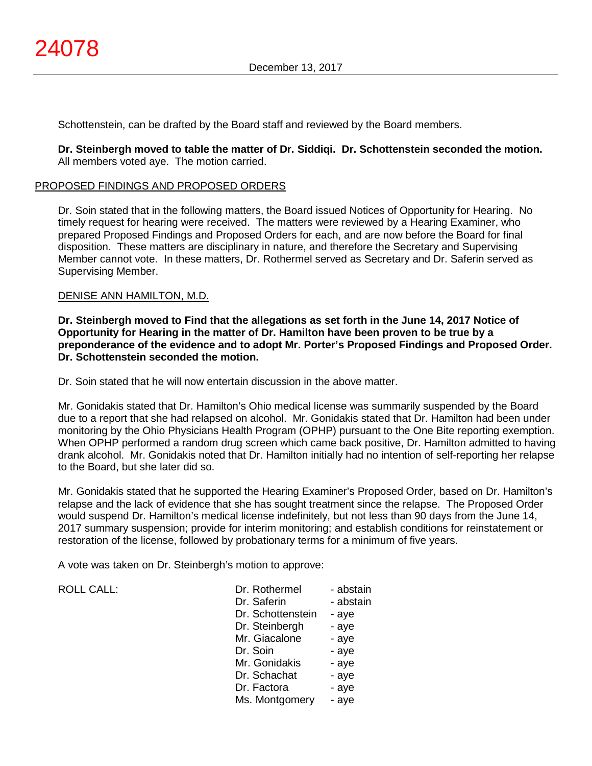Schottenstein, can be drafted by the Board staff and reviewed by the Board members.

**Dr. Steinbergh moved to table the matter of Dr. Siddiqi. Dr. Schottenstein seconded the motion.** All members voted aye. The motion carried.

### PROPOSED FINDINGS AND PROPOSED ORDERS

Dr. Soin stated that in the following matters, the Board issued Notices of Opportunity for Hearing. No timely request for hearing were received. The matters were reviewed by a Hearing Examiner, who prepared Proposed Findings and Proposed Orders for each, and are now before the Board for final disposition. These matters are disciplinary in nature, and therefore the Secretary and Supervising Member cannot vote. In these matters, Dr. Rothermel served as Secretary and Dr. Saferin served as Supervising Member.

### DENISE ANN HAMILTON, M.D.

**Dr. Steinbergh moved to Find that the allegations as set forth in the June 14, 2017 Notice of Opportunity for Hearing in the matter of Dr. Hamilton have been proven to be true by a preponderance of the evidence and to adopt Mr. Porter's Proposed Findings and Proposed Order. Dr. Schottenstein seconded the motion.**

Dr. Soin stated that he will now entertain discussion in the above matter.

Mr. Gonidakis stated that Dr. Hamilton's Ohio medical license was summarily suspended by the Board due to a report that she had relapsed on alcohol. Mr. Gonidakis stated that Dr. Hamilton had been under monitoring by the Ohio Physicians Health Program (OPHP) pursuant to the One Bite reporting exemption. When OPHP performed a random drug screen which came back positive, Dr. Hamilton admitted to having drank alcohol. Mr. Gonidakis noted that Dr. Hamilton initially had no intention of self-reporting her relapse to the Board, but she later did so.

Mr. Gonidakis stated that he supported the Hearing Examiner's Proposed Order, based on Dr. Hamilton's relapse and the lack of evidence that she has sought treatment since the relapse. The Proposed Order would suspend Dr. Hamilton's medical license indefinitely, but not less than 90 days from the June 14, 2017 summary suspension; provide for interim monitoring; and establish conditions for reinstatement or restoration of the license, followed by probationary terms for a minimum of five years.

A vote was taken on Dr. Steinbergh's motion to approve:

ROLL CALL:

| Dr. Rothermel     | - abstain |
|-------------------|-----------|
| Dr. Saferin       | - abstain |
| Dr. Schottenstein | - aye     |
| Dr. Steinbergh    | - aye     |
| Mr. Giacalone     | - aye     |
| Dr. Soin          | - aye     |
| Mr. Gonidakis     | - aye     |
| Dr. Schachat      | - aye     |
| Dr. Factora       | - aye     |
| Ms. Montgomery    | - aye     |
|                   |           |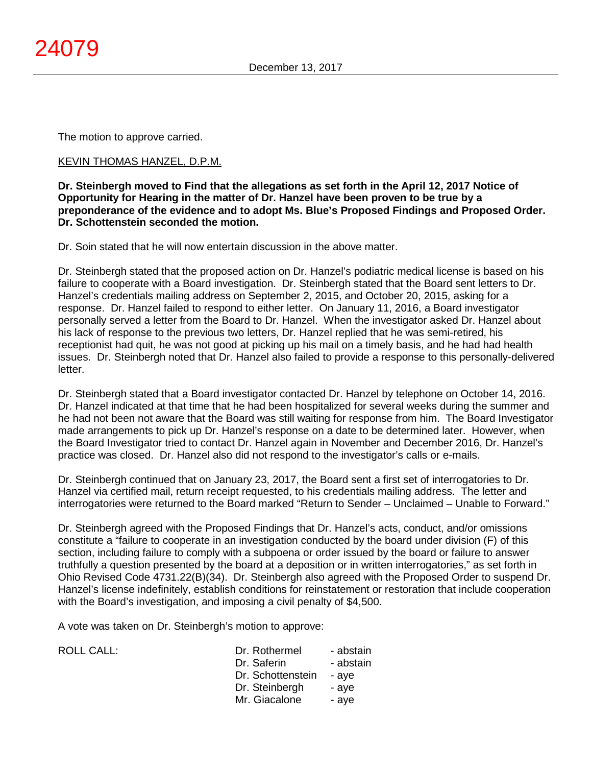The motion to approve carried.

### KEVIN THOMAS HANZEL, D.P.M.

**Dr. Steinbergh moved to Find that the allegations as set forth in the April 12, 2017 Notice of Opportunity for Hearing in the matter of Dr. Hanzel have been proven to be true by a preponderance of the evidence and to adopt Ms. Blue's Proposed Findings and Proposed Order. Dr. Schottenstein seconded the motion.**

Dr. Soin stated that he will now entertain discussion in the above matter.

Dr. Steinbergh stated that the proposed action on Dr. Hanzel's podiatric medical license is based on his failure to cooperate with a Board investigation. Dr. Steinbergh stated that the Board sent letters to Dr. Hanzel's credentials mailing address on September 2, 2015, and October 20, 2015, asking for a response. Dr. Hanzel failed to respond to either letter. On January 11, 2016, a Board investigator personally served a letter from the Board to Dr. Hanzel. When the investigator asked Dr. Hanzel about his lack of response to the previous two letters, Dr. Hanzel replied that he was semi-retired, his receptionist had quit, he was not good at picking up his mail on a timely basis, and he had had health issues. Dr. Steinbergh noted that Dr. Hanzel also failed to provide a response to this personally-delivered letter.

Dr. Steinbergh stated that a Board investigator contacted Dr. Hanzel by telephone on October 14, 2016. Dr. Hanzel indicated at that time that he had been hospitalized for several weeks during the summer and he had not been not aware that the Board was still waiting for response from him. The Board Investigator made arrangements to pick up Dr. Hanzel's response on a date to be determined later. However, when the Board Investigator tried to contact Dr. Hanzel again in November and December 2016, Dr. Hanzel's practice was closed. Dr. Hanzel also did not respond to the investigator's calls or e-mails.

Dr. Steinbergh continued that on January 23, 2017, the Board sent a first set of interrogatories to Dr. Hanzel via certified mail, return receipt requested, to his credentials mailing address. The letter and interrogatories were returned to the Board marked "Return to Sender – Unclaimed – Unable to Forward."

Dr. Steinbergh agreed with the Proposed Findings that Dr. Hanzel's acts, conduct, and/or omissions constitute a "failure to cooperate in an investigation conducted by the board under division (F) of this section, including failure to comply with a subpoena or order issued by the board or failure to answer truthfully a question presented by the board at a deposition or in written interrogatories," as set forth in Ohio Revised Code 4731.22(B)(34). Dr. Steinbergh also agreed with the Proposed Order to suspend Dr. Hanzel's license indefinitely, establish conditions for reinstatement or restoration that include cooperation with the Board's investigation, and imposing a civil penalty of \$4,500.

A vote was taken on Dr. Steinbergh's motion to approve:

| ROLL CALL: | Dr. Rothermel     | - abstain |
|------------|-------------------|-----------|
|            | Dr. Saferin       | - abstain |
|            | Dr. Schottenstein | - ave     |
|            | Dr. Steinbergh    | - ave     |
|            | Mr. Giacalone     | - ave     |
|            |                   |           |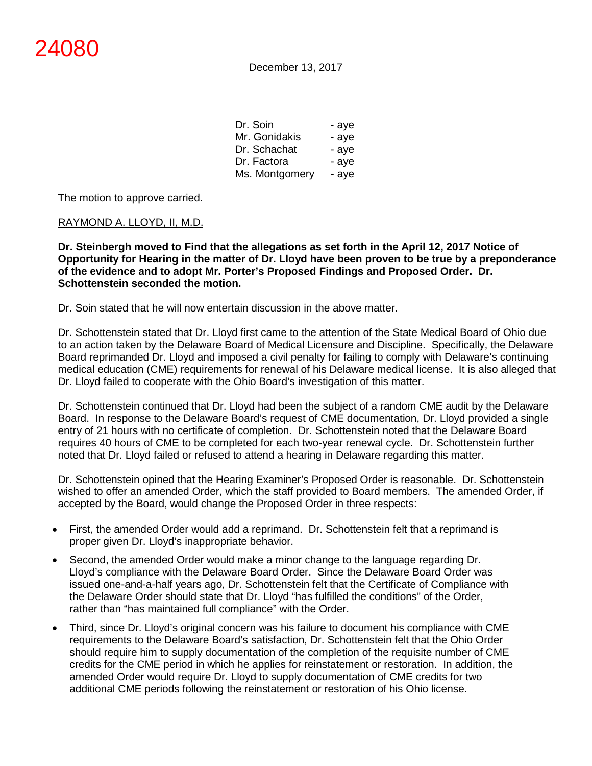| Dr. Soin       | - aye |
|----------------|-------|
| Mr. Gonidakis  | - aye |
| Dr. Schachat   | - aye |
| Dr. Factora    | - aye |
| Ms. Montgomery | - aye |

The motion to approve carried.

### RAYMOND A. LLOYD, II, M.D.

**Dr. Steinbergh moved to Find that the allegations as set forth in the April 12, 2017 Notice of Opportunity for Hearing in the matter of Dr. Lloyd have been proven to be true by a preponderance of the evidence and to adopt Mr. Porter's Proposed Findings and Proposed Order. Dr. Schottenstein seconded the motion.**

Dr. Soin stated that he will now entertain discussion in the above matter.

Dr. Schottenstein stated that Dr. Lloyd first came to the attention of the State Medical Board of Ohio due to an action taken by the Delaware Board of Medical Licensure and Discipline. Specifically, the Delaware Board reprimanded Dr. Lloyd and imposed a civil penalty for failing to comply with Delaware's continuing medical education (CME) requirements for renewal of his Delaware medical license. It is also alleged that Dr. Lloyd failed to cooperate with the Ohio Board's investigation of this matter.

Dr. Schottenstein continued that Dr. Lloyd had been the subject of a random CME audit by the Delaware Board. In response to the Delaware Board's request of CME documentation, Dr. Lloyd provided a single entry of 21 hours with no certificate of completion. Dr. Schottenstein noted that the Delaware Board requires 40 hours of CME to be completed for each two-year renewal cycle. Dr. Schottenstein further noted that Dr. Lloyd failed or refused to attend a hearing in Delaware regarding this matter.

Dr. Schottenstein opined that the Hearing Examiner's Proposed Order is reasonable. Dr. Schottenstein wished to offer an amended Order, which the staff provided to Board members. The amended Order, if accepted by the Board, would change the Proposed Order in three respects:

- First, the amended Order would add a reprimand. Dr. Schottenstein felt that a reprimand is proper given Dr. Lloyd's inappropriate behavior.
- Second, the amended Order would make a minor change to the language regarding Dr. Lloyd's compliance with the Delaware Board Order. Since the Delaware Board Order was issued one-and-a-half years ago, Dr. Schottenstein felt that the Certificate of Compliance with the Delaware Order should state that Dr. Lloyd "has fulfilled the conditions" of the Order, rather than "has maintained full compliance" with the Order.
- Third, since Dr. Lloyd's original concern was his failure to document his compliance with CME requirements to the Delaware Board's satisfaction, Dr. Schottenstein felt that the Ohio Order should require him to supply documentation of the completion of the requisite number of CME credits for the CME period in which he applies for reinstatement or restoration. In addition, the amended Order would require Dr. Lloyd to supply documentation of CME credits for two additional CME periods following the reinstatement or restoration of his Ohio license.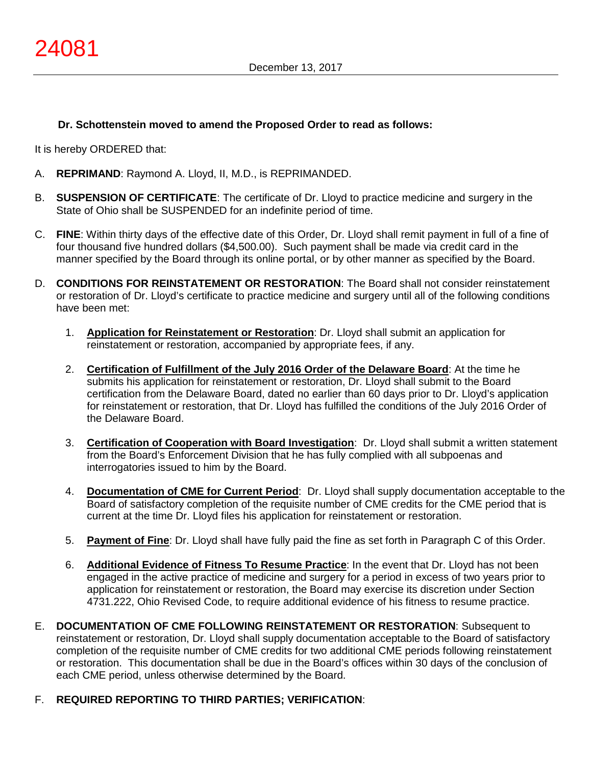# **Dr. Schottenstein moved to amend the Proposed Order to read as follows:**

It is hereby ORDERED that:

- A. **REPRIMAND**: Raymond A. Lloyd, II, M.D., is REPRIMANDED.
- B. **SUSPENSION OF CERTIFICATE**: The certificate of Dr. Lloyd to practice medicine and surgery in the State of Ohio shall be SUSPENDED for an indefinite period of time.
- C. **FINE**: Within thirty days of the effective date of this Order, Dr. Lloyd shall remit payment in full of a fine of four thousand five hundred dollars (\$4,500.00). Such payment shall be made via credit card in the manner specified by the Board through its online portal, or by other manner as specified by the Board.
- D. **CONDITIONS FOR REINSTATEMENT OR RESTORATION**: The Board shall not consider reinstatement or restoration of Dr. Lloyd's certificate to practice medicine and surgery until all of the following conditions have been met:
	- 1. **Application for Reinstatement or Restoration**: Dr. Lloyd shall submit an application for reinstatement or restoration, accompanied by appropriate fees, if any.
	- 2. **Certification of Fulfillment of the July 2016 Order of the Delaware Board**: At the time he submits his application for reinstatement or restoration, Dr. Lloyd shall submit to the Board certification from the Delaware Board, dated no earlier than 60 days prior to Dr. Lloyd's application for reinstatement or restoration, that Dr. Lloyd has fulfilled the conditions of the July 2016 Order of the Delaware Board.
	- 3. **Certification of Cooperation with Board Investigation**: Dr. Lloyd shall submit a written statement from the Board's Enforcement Division that he has fully complied with all subpoenas and interrogatories issued to him by the Board.
	- 4. **Documentation of CME for Current Period**: Dr. Lloyd shall supply documentation acceptable to the Board of satisfactory completion of the requisite number of CME credits for the CME period that is current at the time Dr. Lloyd files his application for reinstatement or restoration.
	- 5. **Payment of Fine**: Dr. Lloyd shall have fully paid the fine as set forth in Paragraph C of this Order.
	- 6. **Additional Evidence of Fitness To Resume Practice**: In the event that Dr. Lloyd has not been engaged in the active practice of medicine and surgery for a period in excess of two years prior to application for reinstatement or restoration, the Board may exercise its discretion under Section 4731.222, Ohio Revised Code, to require additional evidence of his fitness to resume practice.
- E. **DOCUMENTATION OF CME FOLLOWING REINSTATEMENT OR RESTORATION**: Subsequent to reinstatement or restoration, Dr. Lloyd shall supply documentation acceptable to the Board of satisfactory completion of the requisite number of CME credits for two additional CME periods following reinstatement or restoration. This documentation shall be due in the Board's offices within 30 days of the conclusion of each CME period, unless otherwise determined by the Board.
- F. **REQUIRED REPORTING TO THIRD PARTIES; VERIFICATION**: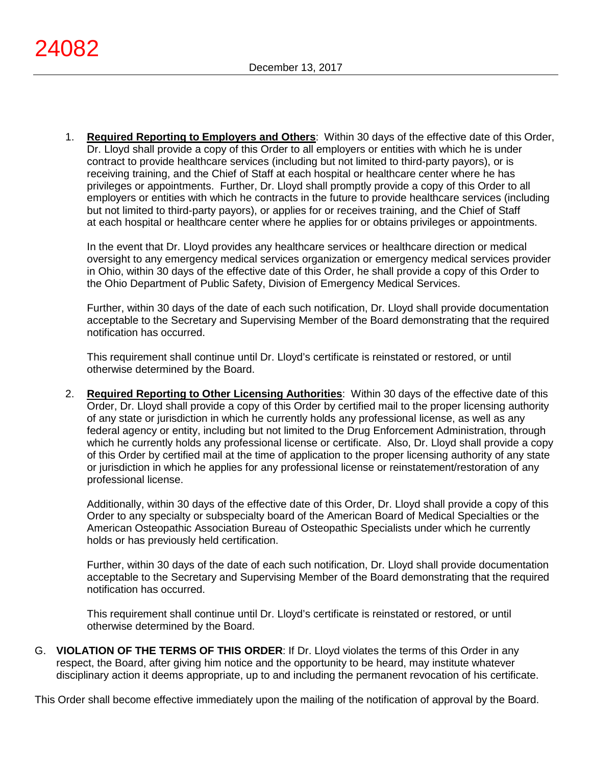1. **Required Reporting to Employers and Others**: Within 30 days of the effective date of this Order, Dr. Lloyd shall provide a copy of this Order to all employers or entities with which he is under contract to provide healthcare services (including but not limited to third-party payors), or is receiving training, and the Chief of Staff at each hospital or healthcare center where he has privileges or appointments. Further, Dr. Lloyd shall promptly provide a copy of this Order to all employers or entities with which he contracts in the future to provide healthcare services (including but not limited to third-party payors), or applies for or receives training, and the Chief of Staff at each hospital or healthcare center where he applies for or obtains privileges or appointments.

In the event that Dr. Lloyd provides any healthcare services or healthcare direction or medical oversight to any emergency medical services organization or emergency medical services provider in Ohio, within 30 days of the effective date of this Order, he shall provide a copy of this Order to the Ohio Department of Public Safety, Division of Emergency Medical Services.

Further, within 30 days of the date of each such notification, Dr. Lloyd shall provide documentation acceptable to the Secretary and Supervising Member of the Board demonstrating that the required notification has occurred.

This requirement shall continue until Dr. Lloyd's certificate is reinstated or restored, or until otherwise determined by the Board.

2. **Required Reporting to Other Licensing Authorities**: Within 30 days of the effective date of this Order, Dr. Lloyd shall provide a copy of this Order by certified mail to the proper licensing authority of any state or jurisdiction in which he currently holds any professional license, as well as any federal agency or entity, including but not limited to the Drug Enforcement Administration, through which he currently holds any professional license or certificate. Also, Dr. Lloyd shall provide a copy of this Order by certified mail at the time of application to the proper licensing authority of any state or jurisdiction in which he applies for any professional license or reinstatement/restoration of any professional license.

Additionally, within 30 days of the effective date of this Order, Dr. Lloyd shall provide a copy of this Order to any specialty or subspecialty board of the American Board of Medical Specialties or the American Osteopathic Association Bureau of Osteopathic Specialists under which he currently holds or has previously held certification.

Further, within 30 days of the date of each such notification, Dr. Lloyd shall provide documentation acceptable to the Secretary and Supervising Member of the Board demonstrating that the required notification has occurred.

This requirement shall continue until Dr. Lloyd's certificate is reinstated or restored, or until otherwise determined by the Board.

G. **VIOLATION OF THE TERMS OF THIS ORDER**: If Dr. Lloyd violates the terms of this Order in any respect, the Board, after giving him notice and the opportunity to be heard, may institute whatever disciplinary action it deems appropriate, up to and including the permanent revocation of his certificate.

This Order shall become effective immediately upon the mailing of the notification of approval by the Board.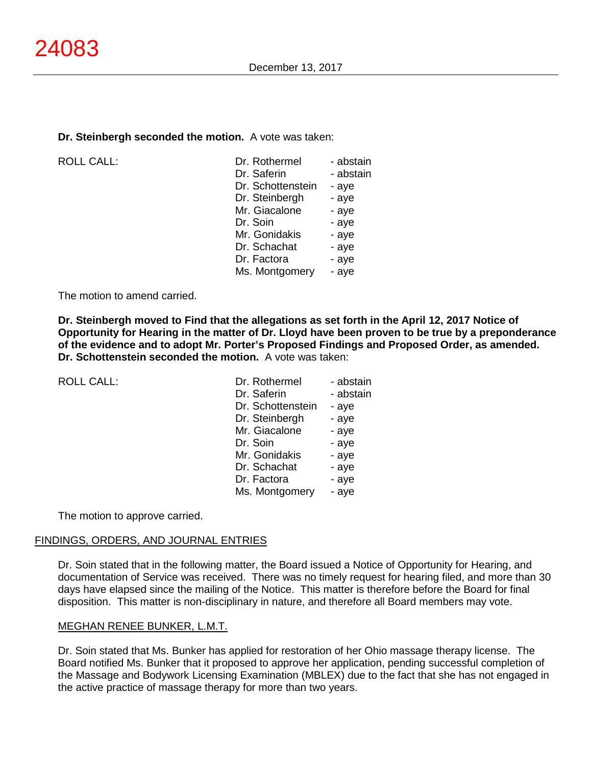#### **Dr. Steinbergh seconded the motion.** A vote was taken:

ROLL CALL:

| Dr. Rothermel     | - abstain |
|-------------------|-----------|
| Dr. Saferin       | - abstain |
| Dr. Schottenstein | - aye     |
| Dr. Steinbergh    | - aye     |
| Mr. Giacalone     | - aye     |
| Dr. Soin          | - aye     |
| Mr. Gonidakis     | - aye     |
| Dr. Schachat      | - aye     |
| Dr. Factora       | - aye     |
| Ms. Montgomery    | - ave     |
|                   |           |

The motion to amend carried.

**Dr. Steinbergh moved to Find that the allegations as set forth in the April 12, 2017 Notice of Opportunity for Hearing in the matter of Dr. Lloyd have been proven to be true by a preponderance of the evidence and to adopt Mr. Porter's Proposed Findings and Proposed Order, as amended. Dr. Schottenstein seconded the motion.** A vote was taken:

ROLL CALL:

| Dr. Rothermel     | - abstain |
|-------------------|-----------|
| Dr. Saferin       | - abstain |
| Dr. Schottenstein | - aye     |
| Dr. Steinbergh    | - aye     |
| Mr. Giacalone     | - aye     |
| Dr. Soin          | - aye     |
| Mr. Gonidakis     | - aye     |
| Dr. Schachat      | - aye     |
| Dr. Factora       | - aye     |
| Ms. Montgomery    | - aye     |
|                   |           |

The motion to approve carried.

#### FINDINGS, ORDERS, AND JOURNAL ENTRIES

Dr. Soin stated that in the following matter, the Board issued a Notice of Opportunity for Hearing, and documentation of Service was received. There was no timely request for hearing filed, and more than 30 days have elapsed since the mailing of the Notice. This matter is therefore before the Board for final disposition. This matter is non-disciplinary in nature, and therefore all Board members may vote.

### MEGHAN RENEE BUNKER, L.M.T.

Dr. Soin stated that Ms. Bunker has applied for restoration of her Ohio massage therapy license. The Board notified Ms. Bunker that it proposed to approve her application, pending successful completion of the Massage and Bodywork Licensing Examination (MBLEX) due to the fact that she has not engaged in the active practice of massage therapy for more than two years.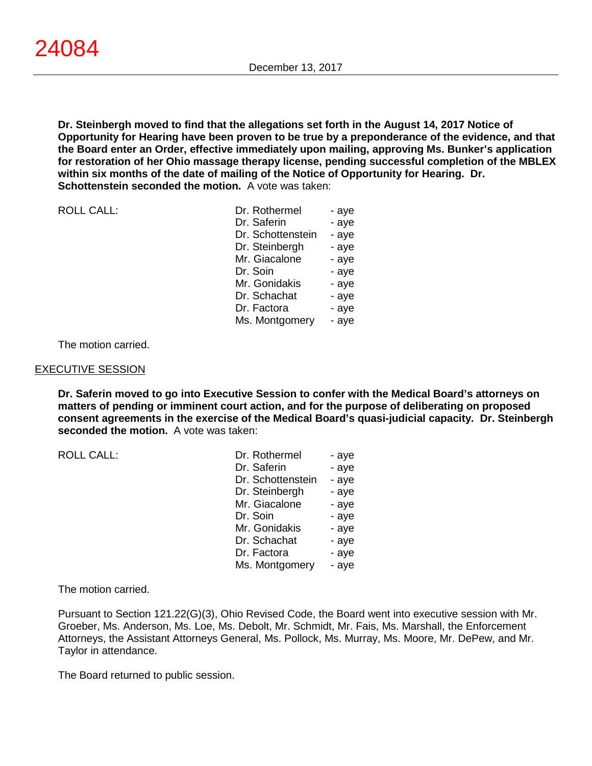**Dr. Steinbergh moved to find that the allegations set forth in the August 14, 2017 Notice of Opportunity for Hearing have been proven to be true by a preponderance of the evidence, and that the Board enter an Order, effective immediately upon mailing, approving Ms. Bunker's application for restoration of her Ohio massage therapy license, pending successful completion of the MBLEX within six months of the date of mailing of the Notice of Opportunity for Hearing. Dr. Schottenstein seconded the motion.** A vote was taken:

ROLL CALL:

| Dr. Rothermel     | - aye |
|-------------------|-------|
| Dr. Saferin       | - aye |
| Dr. Schottenstein | - aye |
| Dr. Steinbergh    | - aye |
| Mr. Giacalone     | - aye |
| Dr. Soin          | - aye |
| Mr. Gonidakis     | - aye |
| Dr. Schachat      | - aye |
| Dr. Factora       | - aye |
| Ms. Montgomery    | - ave |

The motion carried.

#### EXECUTIVE SESSION

**Dr. Saferin moved to go into Executive Session to confer with the Medical Board's attorneys on matters of pending or imminent court action, and for the purpose of deliberating on proposed consent agreements in the exercise of the Medical Board's quasi-judicial capacity. Dr. Steinbergh seconded the motion.** A vote was taken:

 $ROILCAIL$ :

| Dr. Rothermel     | - aye |
|-------------------|-------|
| Dr. Saferin       | - aye |
| Dr. Schottenstein | - aye |
| Dr. Steinbergh    | - aye |
| Mr. Giacalone     | - aye |
| Dr. Soin          | - aye |
| Mr. Gonidakis     | - aye |
| Dr. Schachat      | - aye |
| Dr. Factora       | - aye |
| Ms. Montgomery    | - aye |

The motion carried.

Pursuant to Section 121.22(G)(3), Ohio Revised Code, the Board went into executive session with Mr. Groeber, Ms. Anderson, Ms. Loe, Ms. Debolt, Mr. Schmidt, Mr. Fais, Ms. Marshall, the Enforcement Attorneys, the Assistant Attorneys General, Ms. Pollock, Ms. Murray, Ms. Moore, Mr. DePew, and Mr. Taylor in attendance.

The Board returned to public session.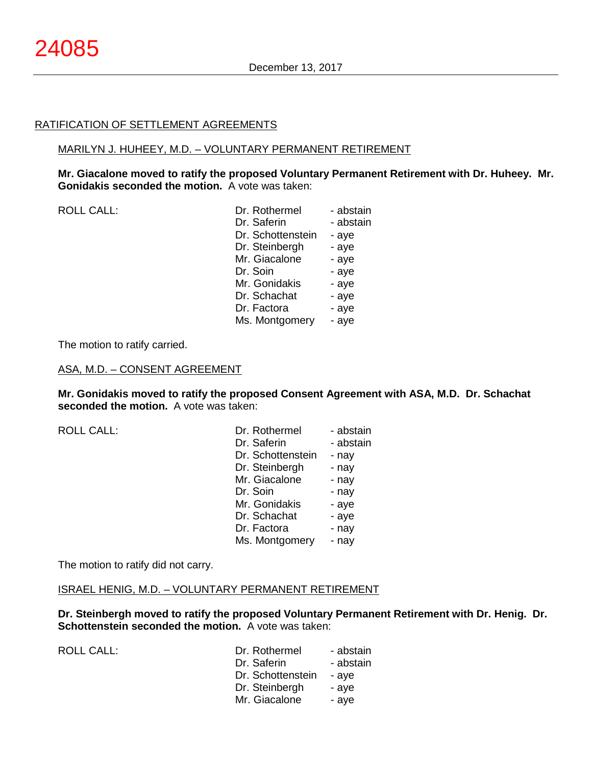### RATIFICATION OF SETTLEMENT AGREEMENTS

#### MARILYN J. HUHEEY, M.D. – VOLUNTARY PERMANENT RETIREMENT

**Mr. Giacalone moved to ratify the proposed Voluntary Permanent Retirement with Dr. Huheey. Mr. Gonidakis seconded the motion.** A vote was taken:

| <b>ROLL CALL:</b> | Dr. Rothermel<br>- abstain |
|-------------------|----------------------------|
|                   | Dr. Saferin<br>- abstain   |
|                   | Dr. Schottenstein<br>- aye |
|                   | Dr. Steinbergh<br>- aye    |
|                   | Mr. Giacalone<br>- aye     |
|                   | Dr. Soin<br>- aye          |
|                   | Mr. Gonidakis<br>- aye     |
|                   | Dr. Schachat<br>- aye      |
|                   | Dr. Factora<br>- aye       |
|                   | Ms. Montgomery<br>- aye    |
|                   |                            |

The motion to ratify carried.

#### ASA, M.D. – CONSENT AGREEMENT

**Mr. Gonidakis moved to ratify the proposed Consent Agreement with ASA, M.D. Dr. Schachat seconded the motion.** A vote was taken:

ROLL CALL:

ROLL CALL:

| Dr. Rothermel     | - abstain |
|-------------------|-----------|
| Dr. Saferin       | - abstain |
| Dr. Schottenstein | - nay     |
| Dr. Steinbergh    | - nay     |
| Mr. Giacalone     | - nay     |
| Dr. Soin          | - nay     |
| Mr. Gonidakis     | - aye     |
| Dr. Schachat      | - aye     |
| Dr. Factora       | - nay     |
| Ms. Montgomery    | - nay     |
|                   |           |

The motion to ratify did not carry.

#### ISRAEL HENIG, M.D. – VOLUNTARY PERMANENT RETIREMENT

**Dr. Steinbergh moved to ratify the proposed Voluntary Permanent Retirement with Dr. Henig. Dr. Schottenstein seconded the motion.** A vote was taken:

| Dr. Rothermel     | - abstain |
|-------------------|-----------|
| Dr. Saferin       | - abstain |
| Dr. Schottenstein | - aye     |
| Dr. Steinbergh    | - aye     |
| Mr. Giacalone     | - aye     |
|                   |           |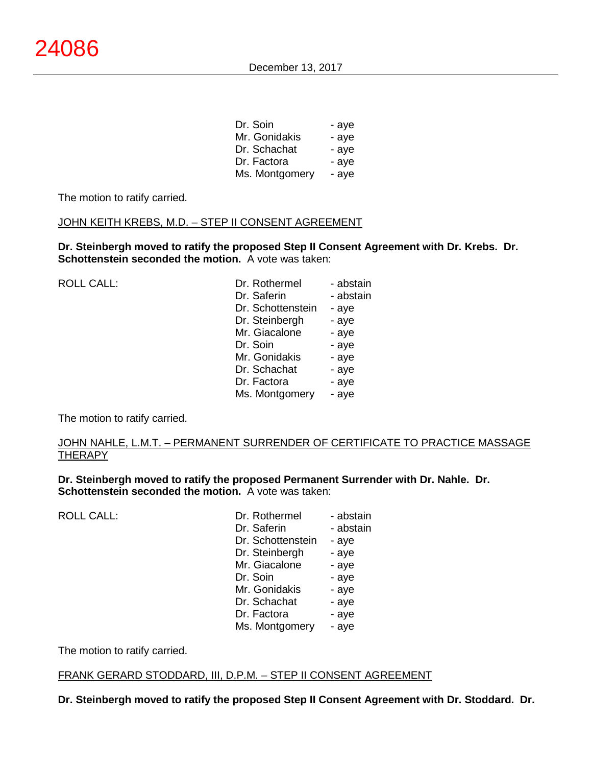| Dr. Soin       | - aye |
|----------------|-------|
| Mr. Gonidakis  | - aye |
| Dr. Schachat   | - aye |
| Dr. Factora    | - aye |
| Ms. Montgomery | - aye |

The motion to ratify carried.

### JOHN KEITH KREBS, M.D. - STEP II CONSENT AGREEMENT

**Dr. Steinbergh moved to ratify the proposed Step II Consent Agreement with Dr. Krebs. Dr. Schottenstein seconded the motion.** A vote was taken:

| ROLL CALL: | Dr. Rothermel     | - abstain |
|------------|-------------------|-----------|
|            | Dr. Saferin       | - abstain |
|            | Dr. Schottenstein | - aye     |
|            | Dr. Steinbergh    | - aye     |
|            | Mr. Giacalone     | - aye     |
|            | Dr. Soin          | - aye     |
|            | Mr. Gonidakis     | - aye     |
|            | Dr. Schachat      | - aye     |
|            | Dr. Factora       | - aye     |
|            | Ms. Montgomery    | - aye     |
|            |                   |           |

The motion to ratify carried.

### JOHN NAHLE, L.M.T. – PERMANENT SURRENDER OF CERTIFICATE TO PRACTICE MASSAGE <u>THERAPY</u>

**Dr. Steinbergh moved to ratify the proposed Permanent Surrender with Dr. Nahle. Dr. Schottenstein seconded the motion.** A vote was taken:

ROLL CALL:

| Dr. Rothermel     | - abstain |
|-------------------|-----------|
| Dr. Saferin       | - abstain |
| Dr. Schottenstein | - aye     |
| Dr. Steinbergh    | - aye     |
| Mr. Giacalone     | - aye     |
| Dr. Soin          | - aye     |
| Mr. Gonidakis     | - aye     |
| Dr. Schachat      | - aye     |
| Dr. Factora       | - aye     |
| Ms. Montgomery    | - aye     |

The motion to ratify carried.

### FRANK GERARD STODDARD, III, D.P.M. – STEP II CONSENT AGREEMENT

**Dr. Steinbergh moved to ratify the proposed Step II Consent Agreement with Dr. Stoddard. Dr.**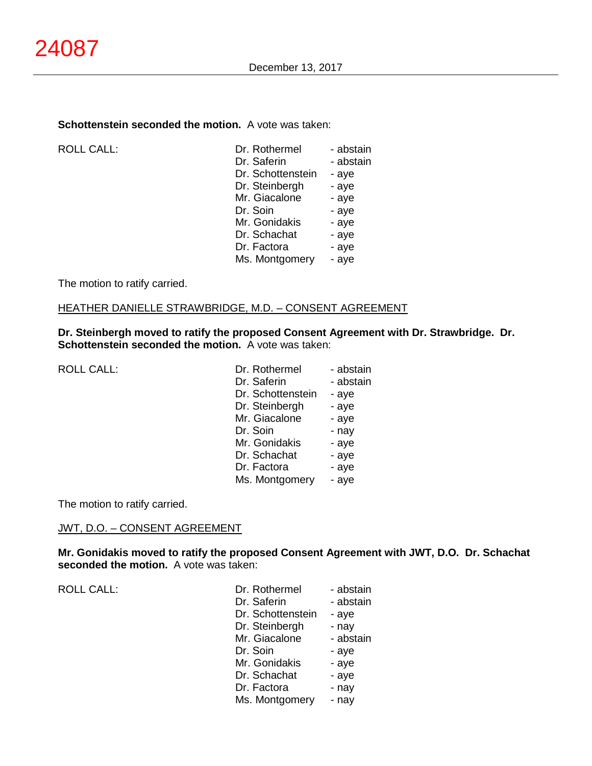### **Schottenstein seconded the motion.** A vote was taken:

ROLL CALL:

| Dr. Rothermel     | - abstain |
|-------------------|-----------|
| Dr. Saferin       | - abstain |
| Dr. Schottenstein | - aye     |
| Dr. Steinbergh    | - aye     |
| Mr. Giacalone     | - aye     |
| Dr. Soin          | - aye     |
| Mr. Gonidakis     | - aye     |
| Dr. Schachat      | - aye     |
| Dr. Factora       | - aye     |
| Ms. Montgomery    | - aye     |
|                   |           |

The motion to ratify carried.

#### HEATHER DANIELLE STRAWBRIDGE, M.D. – CONSENT AGREEMENT

**Dr. Steinbergh moved to ratify the proposed Consent Agreement with Dr. Strawbridge. Dr. Schottenstein seconded the motion.** A vote was taken:

| Dr. Rothermel     | - abstain |
|-------------------|-----------|
| Dr. Saferin       | - abstain |
| Dr. Schottenstein | - aye     |
| Dr. Steinbergh    | - aye     |
| Mr. Giacalone     | - aye     |
| Dr. Soin          | - nay     |
| Mr. Gonidakis     | - aye     |
| Dr. Schachat      | - aye     |
| Dr. Factora       | - aye     |
| Ms. Montgomery    | - aye     |
|                   |           |

The motion to ratify carried.

# JWT, D.O. – CONSENT AGREEMENT

**Mr. Gonidakis moved to ratify the proposed Consent Agreement with JWT, D.O. Dr. Schachat seconded the motion.** A vote was taken:

ROLL CALL:

| Dr. Rothermel     | - abstain |
|-------------------|-----------|
| Dr. Saferin       | - abstain |
| Dr. Schottenstein | - aye     |
| Dr. Steinbergh    | - nay     |
| Mr. Giacalone     | - abstain |
| Dr. Soin          | - aye     |
| Mr. Gonidakis     | - aye     |
| Dr. Schachat      | - aye     |
| Dr. Factora       | - nay     |
| Ms. Montgomery    | - nay     |
|                   |           |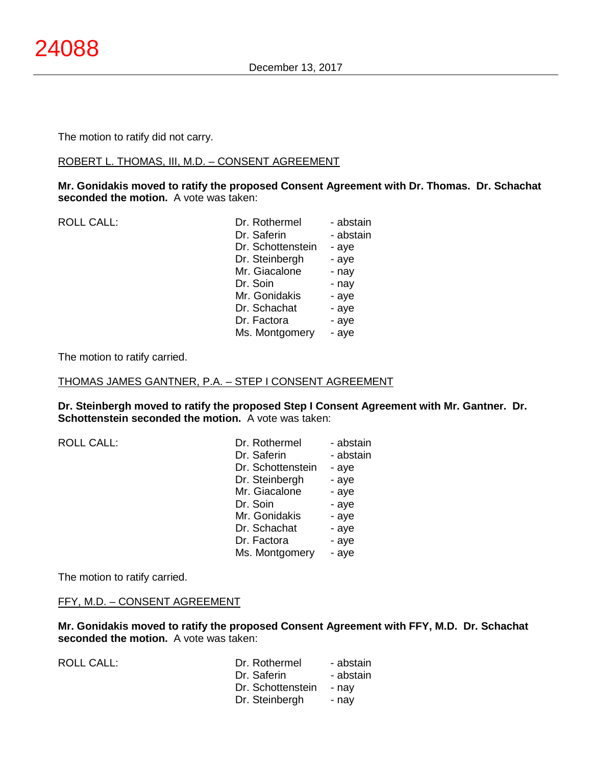The motion to ratify did not carry.

### ROBERT L. THOMAS, III, M.D. – CONSENT AGREEMENT

**Mr. Gonidakis moved to ratify the proposed Consent Agreement with Dr. Thomas. Dr. Schachat seconded the motion.** A vote was taken:

| <b>ROLL CALL:</b> | Dr. Rothermel     | - abstain |
|-------------------|-------------------|-----------|
|                   | Dr. Saferin       | - abstain |
|                   | Dr. Schottenstein | - aye     |
|                   | Dr. Steinbergh    | - aye     |
|                   | Mr. Giacalone     | - nay     |
|                   | Dr. Soin          | - nay     |
|                   | Mr. Gonidakis     | - aye     |
|                   | Dr. Schachat      | - aye     |
|                   | Dr. Factora       | - aye     |
|                   | Ms. Montgomery    | - aye     |
|                   |                   |           |

The motion to ratify carried.

THOMAS JAMES GANTNER, P.A. – STEP I CONSENT AGREEMENT

**Dr. Steinbergh moved to ratify the proposed Step I Consent Agreement with Mr. Gantner. Dr. Schottenstein seconded the motion.** A vote was taken:

| <b>ROLL CALL:</b> | Dr. Rothermel     | - abstain |
|-------------------|-------------------|-----------|
|                   | Dr. Saferin       | - abstain |
|                   | Dr. Schottenstein | - aye     |
|                   | Dr. Steinbergh    | - aye     |
|                   | Mr. Giacalone     | - aye     |
|                   | Dr. Soin          | - aye     |
|                   | Mr. Gonidakis     | - aye     |
|                   | Dr. Schachat      | - aye     |
|                   | Dr. Factora       | - aye     |
|                   | Ms. Montgomery    | - aye     |

The motion to ratify carried.

# FFY, M.D. – CONSENT AGREEMENT

**Mr. Gonidakis moved to ratify the proposed Consent Agreement with FFY, M.D. Dr. Schachat seconded the motion.** A vote was taken:

ROLL CALL:

| Dr. Rothermel     | - abstain |
|-------------------|-----------|
| Dr. Saferin       | - abstain |
| Dr. Schottenstein | - nay     |
| Dr. Steinbergh    | - nav     |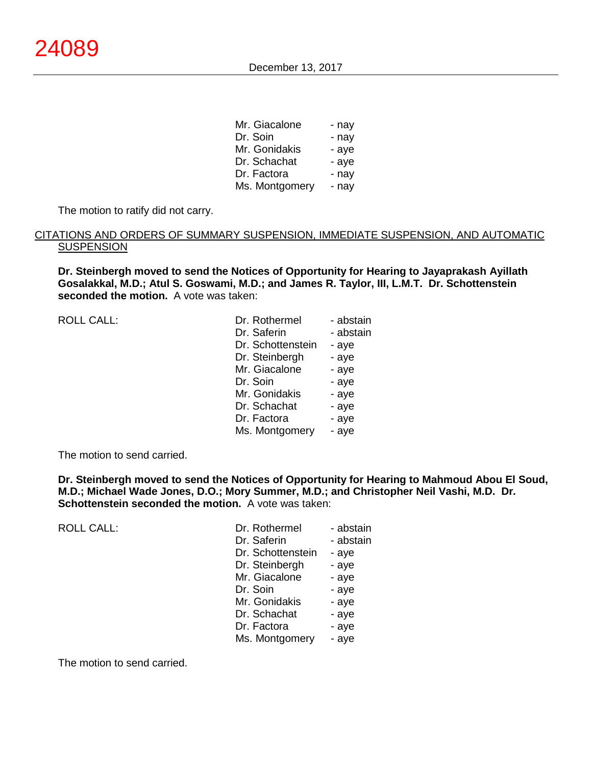| Mr. Giacalone  | - nay |
|----------------|-------|
| Dr. Soin       | - nay |
| Mr. Gonidakis  | - aye |
| Dr. Schachat   | - aye |
| Dr. Factora    | - nay |
| Ms. Montgomery | - nay |

The motion to ratify did not carry.

### CITATIONS AND ORDERS OF SUMMARY SUSPENSION, IMMEDIATE SUSPENSION, AND AUTOMATIC **SUSPENSION**

**Dr. Steinbergh moved to send the Notices of Opportunity for Hearing to Jayaprakash Ayillath Gosalakkal, M.D.; Atul S. Goswami, M.D.; and James R. Taylor, III, L.M.T. Dr. Schottenstein seconded the motion.** A vote was taken:

| <b>ROLL CALL:</b> | Dr. Rothermel     | - abstain |
|-------------------|-------------------|-----------|
|                   | Dr. Saferin       | - abstain |
|                   | Dr. Schottenstein | - aye     |
|                   | Dr. Steinbergh    | - aye     |
|                   | Mr. Giacalone     | - aye     |
|                   | Dr. Soin          | - aye     |
|                   | Mr. Gonidakis     | - aye     |
|                   | Dr. Schachat      | - aye     |
|                   | Dr. Factora       | - aye     |
|                   | Ms. Montgomery    | - aye     |
|                   |                   |           |

The motion to send carried.

**Dr. Steinbergh moved to send the Notices of Opportunity for Hearing to Mahmoud Abou El Soud, M.D.; Michael Wade Jones, D.O.; Mory Summer, M.D.; and Christopher Neil Vashi, M.D. Dr. Schottenstein seconded the motion.** A vote was taken:

| <b>ROLL CALL:</b> | Dr. Rothermel     | - abstain |
|-------------------|-------------------|-----------|
|                   | Dr. Saferin       | - abstain |
|                   | Dr. Schottenstein | - aye     |
|                   | Dr. Steinbergh    | - aye     |
|                   | Mr. Giacalone     | - aye     |
|                   | Dr. Soin          | - aye     |
|                   | Mr. Gonidakis     | - aye     |
|                   | Dr. Schachat      | - aye     |
|                   | Dr. Factora       | - aye     |
|                   | Ms. Montgomery    | - aye     |
|                   |                   |           |

The motion to send carried.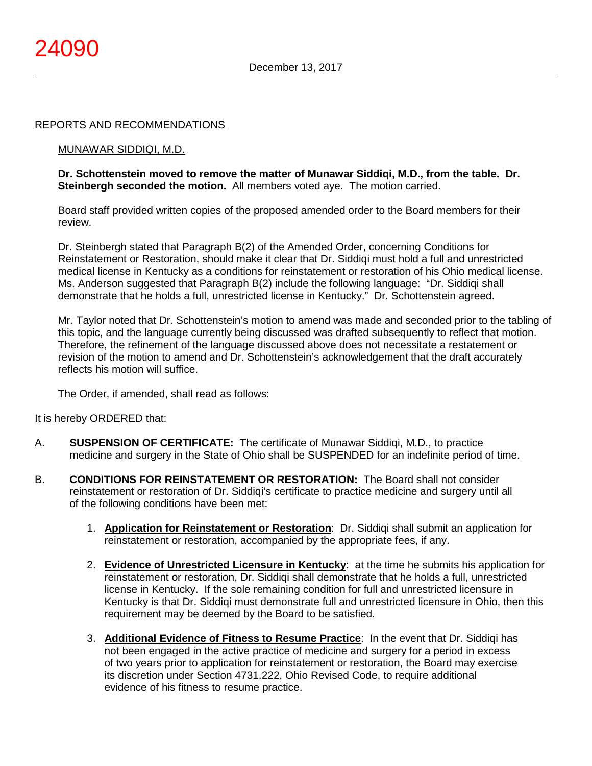### REPORTS AND RECOMMENDATIONS

#### MUNAWAR SIDDIQI, M.D.

**Dr. Schottenstein moved to remove the matter of Munawar Siddiqi, M.D., from the table. Dr. Steinbergh seconded the motion.** All members voted aye. The motion carried.

Board staff provided written copies of the proposed amended order to the Board members for their review.

Dr. Steinbergh stated that Paragraph B(2) of the Amended Order, concerning Conditions for Reinstatement or Restoration, should make it clear that Dr. Siddiqi must hold a full and unrestricted medical license in Kentucky as a conditions for reinstatement or restoration of his Ohio medical license. Ms. Anderson suggested that Paragraph B(2) include the following language: "Dr. Siddiqi shall demonstrate that he holds a full, unrestricted license in Kentucky." Dr. Schottenstein agreed.

Mr. Taylor noted that Dr. Schottenstein's motion to amend was made and seconded prior to the tabling of this topic, and the language currently being discussed was drafted subsequently to reflect that motion. Therefore, the refinement of the language discussed above does not necessitate a restatement or revision of the motion to amend and Dr. Schottenstein's acknowledgement that the draft accurately reflects his motion will suffice.

The Order, if amended, shall read as follows:

It is hereby ORDERED that:

- A. **SUSPENSION OF CERTIFICATE:** The certificate of Munawar Siddiqi, M.D., to practice medicine and surgery in the State of Ohio shall be SUSPENDED for an indefinite period of time.
- B. **CONDITIONS FOR REINSTATEMENT OR RESTORATION:** The Board shall not consider reinstatement or restoration of Dr. Siddiqi's certificate to practice medicine and surgery until all of the following conditions have been met:
	- 1. **Application for Reinstatement or Restoration**: Dr. Siddiqi shall submit an application for reinstatement or restoration, accompanied by the appropriate fees, if any.
	- 2. **Evidence of Unrestricted Licensure in Kentucky**: at the time he submits his application for reinstatement or restoration, Dr. Siddiqi shall demonstrate that he holds a full, unrestricted license in Kentucky. If the sole remaining condition for full and unrestricted licensure in Kentucky is that Dr. Siddiqi must demonstrate full and unrestricted licensure in Ohio, then this requirement may be deemed by the Board to be satisfied.
	- 3. **Additional Evidence of Fitness to Resume Practice**: In the event that Dr. Siddiqi has not been engaged in the active practice of medicine and surgery for a period in excess of two years prior to application for reinstatement or restoration, the Board may exercise its discretion under Section 4731.222, Ohio Revised Code, to require additional evidence of his fitness to resume practice.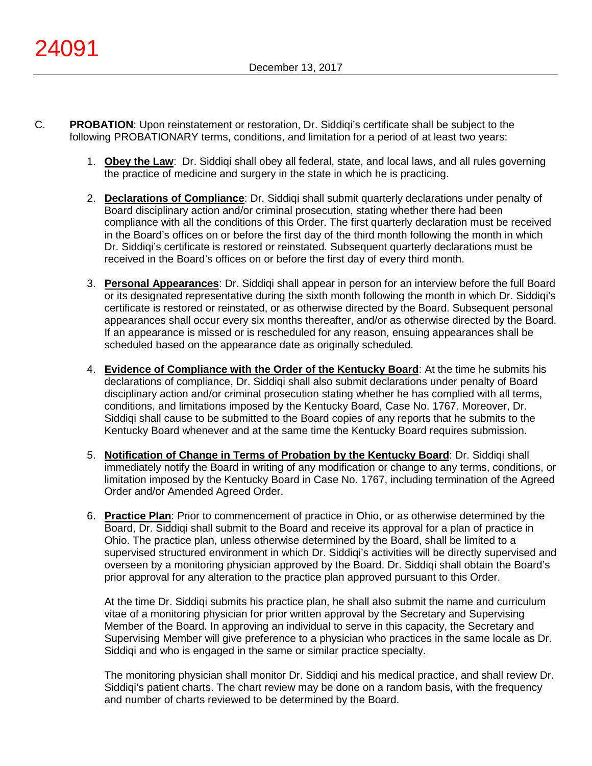- C. **PROBATION**: Upon reinstatement or restoration, Dr. Siddiqi's certificate shall be subject to the following PROBATIONARY terms, conditions, and limitation for a period of at least two years:
	- 1. **Obey the Law**: Dr. Siddiqi shall obey all federal, state, and local laws, and all rules governing the practice of medicine and surgery in the state in which he is practicing.
	- 2. **Declarations of Compliance**: Dr. Siddiqi shall submit quarterly declarations under penalty of Board disciplinary action and/or criminal prosecution, stating whether there had been compliance with all the conditions of this Order. The first quarterly declaration must be received in the Board's offices on or before the first day of the third month following the month in which Dr. Siddiqi's certificate is restored or reinstated. Subsequent quarterly declarations must be received in the Board's offices on or before the first day of every third month.
	- 3. **Personal Appearances**: Dr. Siddiqi shall appear in person for an interview before the full Board or its designated representative during the sixth month following the month in which Dr. Siddiqi's certificate is restored or reinstated, or as otherwise directed by the Board. Subsequent personal appearances shall occur every six months thereafter, and/or as otherwise directed by the Board. If an appearance is missed or is rescheduled for any reason, ensuing appearances shall be scheduled based on the appearance date as originally scheduled.
	- 4. **Evidence of Compliance with the Order of the Kentucky Board**: At the time he submits his declarations of compliance, Dr. Siddiqi shall also submit declarations under penalty of Board disciplinary action and/or criminal prosecution stating whether he has complied with all terms, conditions, and limitations imposed by the Kentucky Board, Case No. 1767. Moreover, Dr. Siddiqi shall cause to be submitted to the Board copies of any reports that he submits to the Kentucky Board whenever and at the same time the Kentucky Board requires submission.
	- 5. **Notification of Change in Terms of Probation by the Kentucky Board**: Dr. Siddiqi shall immediately notify the Board in writing of any modification or change to any terms, conditions, or limitation imposed by the Kentucky Board in Case No. 1767, including termination of the Agreed Order and/or Amended Agreed Order.
	- 6. **Practice Plan**: Prior to commencement of practice in Ohio, or as otherwise determined by the Board, Dr. Siddiqi shall submit to the Board and receive its approval for a plan of practice in Ohio. The practice plan, unless otherwise determined by the Board, shall be limited to a supervised structured environment in which Dr. Siddiqi's activities will be directly supervised and overseen by a monitoring physician approved by the Board. Dr. Siddiqi shall obtain the Board's prior approval for any alteration to the practice plan approved pursuant to this Order.

At the time Dr. Siddiqi submits his practice plan, he shall also submit the name and curriculum vitae of a monitoring physician for prior written approval by the Secretary and Supervising Member of the Board. In approving an individual to serve in this capacity, the Secretary and Supervising Member will give preference to a physician who practices in the same locale as Dr. Siddiqi and who is engaged in the same or similar practice specialty.

The monitoring physician shall monitor Dr. Siddiqi and his medical practice, and shall review Dr. Siddiqi's patient charts. The chart review may be done on a random basis, with the frequency and number of charts reviewed to be determined by the Board.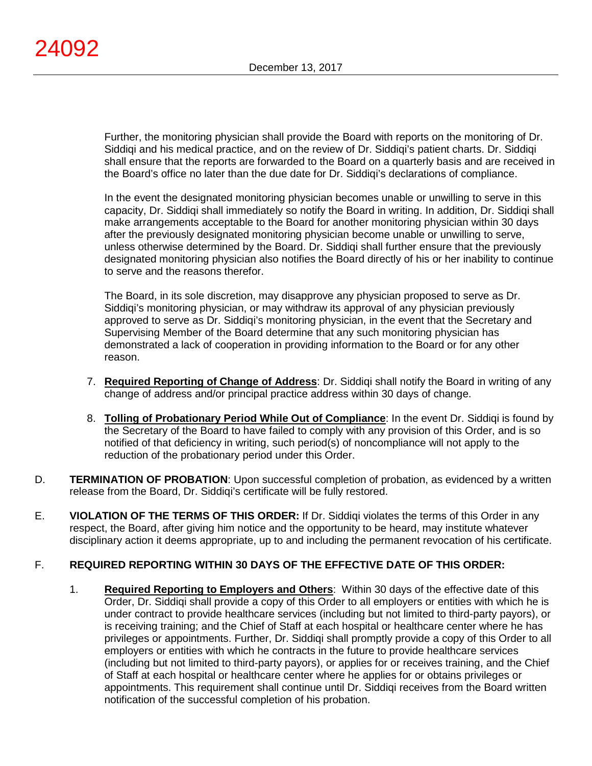Further, the monitoring physician shall provide the Board with reports on the monitoring of Dr. Siddiqi and his medical practice, and on the review of Dr. Siddiqi's patient charts. Dr. Siddiqi shall ensure that the reports are forwarded to the Board on a quarterly basis and are received in the Board's office no later than the due date for Dr. Siddiqi's declarations of compliance.

In the event the designated monitoring physician becomes unable or unwilling to serve in this capacity, Dr. Siddiqi shall immediately so notify the Board in writing. In addition, Dr. Siddiqi shall make arrangements acceptable to the Board for another monitoring physician within 30 days after the previously designated monitoring physician become unable or unwilling to serve, unless otherwise determined by the Board. Dr. Siddiqi shall further ensure that the previously designated monitoring physician also notifies the Board directly of his or her inability to continue to serve and the reasons therefor.

The Board, in its sole discretion, may disapprove any physician proposed to serve as Dr. Siddiqi's monitoring physician, or may withdraw its approval of any physician previously approved to serve as Dr. Siddiqi's monitoring physician, in the event that the Secretary and Supervising Member of the Board determine that any such monitoring physician has demonstrated a lack of cooperation in providing information to the Board or for any other reason.

- 7. **Required Reporting of Change of Address**: Dr. Siddiqi shall notify the Board in writing of any change of address and/or principal practice address within 30 days of change.
- 8. **Tolling of Probationary Period While Out of Compliance**: In the event Dr. Siddiqi is found by the Secretary of the Board to have failed to comply with any provision of this Order, and is so notified of that deficiency in writing, such period(s) of noncompliance will not apply to the reduction of the probationary period under this Order.
- D. **TERMINATION OF PROBATION**: Upon successful completion of probation, as evidenced by a written release from the Board, Dr. Siddiqi's certificate will be fully restored.
- E. **VIOLATION OF THE TERMS OF THIS ORDER:** If Dr. Siddiqi violates the terms of this Order in any respect, the Board, after giving him notice and the opportunity to be heard, may institute whatever disciplinary action it deems appropriate, up to and including the permanent revocation of his certificate.

# F. **REQUIRED REPORTING WITHIN 30 DAYS OF THE EFFECTIVE DATE OF THIS ORDER:**

1. **Required Reporting to Employers and Others**: Within 30 days of the effective date of this Order, Dr. Siddiqi shall provide a copy of this Order to all employers or entities with which he is under contract to provide healthcare services (including but not limited to third-party payors), or is receiving training; and the Chief of Staff at each hospital or healthcare center where he has privileges or appointments. Further, Dr. Siddiqi shall promptly provide a copy of this Order to all employers or entities with which he contracts in the future to provide healthcare services (including but not limited to third-party payors), or applies for or receives training, and the Chief of Staff at each hospital or healthcare center where he applies for or obtains privileges or appointments. This requirement shall continue until Dr. Siddiqi receives from the Board written notification of the successful completion of his probation.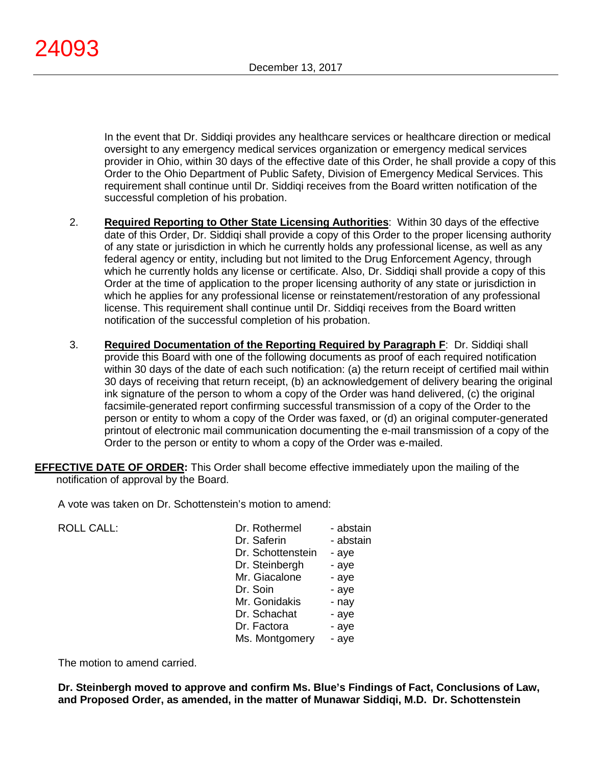In the event that Dr. Siddiqi provides any healthcare services or healthcare direction or medical oversight to any emergency medical services organization or emergency medical services provider in Ohio, within 30 days of the effective date of this Order, he shall provide a copy of this Order to the Ohio Department of Public Safety, Division of Emergency Medical Services. This requirement shall continue until Dr. Siddiqi receives from the Board written notification of the successful completion of his probation.

- 2. **Required Reporting to Other State Licensing Authorities**: Within 30 days of the effective date of this Order, Dr. Siddiqi shall provide a copy of this Order to the proper licensing authority of any state or jurisdiction in which he currently holds any professional license, as well as any federal agency or entity, including but not limited to the Drug Enforcement Agency, through which he currently holds any license or certificate. Also, Dr. Siddiqi shall provide a copy of this Order at the time of application to the proper licensing authority of any state or jurisdiction in which he applies for any professional license or reinstatement/restoration of any professional license. This requirement shall continue until Dr. Siddiqi receives from the Board written notification of the successful completion of his probation.
- 3. **Required Documentation of the Reporting Required by Paragraph F**: Dr. Siddiqi shall provide this Board with one of the following documents as proof of each required notification within 30 days of the date of each such notification: (a) the return receipt of certified mail within 30 days of receiving that return receipt, (b) an acknowledgement of delivery bearing the original ink signature of the person to whom a copy of the Order was hand delivered, (c) the original facsimile-generated report confirming successful transmission of a copy of the Order to the person or entity to whom a copy of the Order was faxed, or (d) an original computer-generated printout of electronic mail communication documenting the e-mail transmission of a copy of the Order to the person or entity to whom a copy of the Order was e-mailed.
- **EFFECTIVE DATE OF ORDER:** This Order shall become effective immediately upon the mailing of the notification of approval by the Board.

A vote was taken on Dr. Schottenstein's motion to amend:

ROLL CALL:

| Dr. Rothermel     | - abstain |
|-------------------|-----------|
| Dr. Saferin       | - abstain |
| Dr. Schottenstein | - aye     |
| Dr. Steinbergh    | - aye     |
| Mr. Giacalone     | - aye     |
| Dr. Soin          | - aye     |
| Mr. Gonidakis     | - nay     |
| Dr. Schachat      | - aye     |
| Dr. Factora       | - aye     |
| Ms. Montgomery    | - aye     |

The motion to amend carried.

**Dr. Steinbergh moved to approve and confirm Ms. Blue's Findings of Fact, Conclusions of Law, and Proposed Order, as amended, in the matter of Munawar Siddiqi, M.D. Dr. Schottenstein**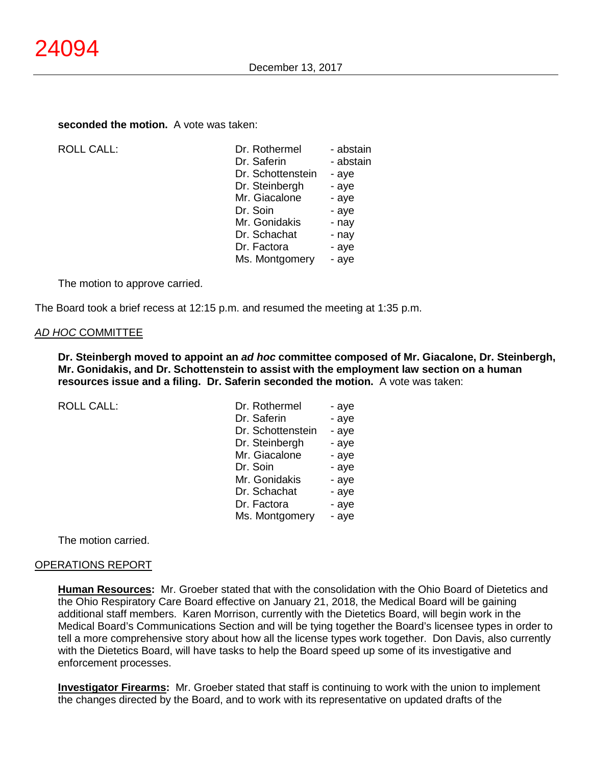#### **seconded the motion.** A vote was taken:

ROLL CALL:

| Dr. Rothermel     | - abstain |
|-------------------|-----------|
| Dr. Saferin       | - abstain |
| Dr. Schottenstein | - aye     |
| Dr. Steinbergh    | - aye     |
| Mr. Giacalone     | - aye     |
| Dr. Soin          | - aye     |
| Mr. Gonidakis     | - nay     |
| Dr. Schachat      | - nay     |
| Dr. Factora       | - aye     |
| Ms. Montgomery    | - aye     |
|                   |           |

The motion to approve carried.

The Board took a brief recess at 12:15 p.m. and resumed the meeting at 1:35 p.m.

#### *AD HOC* COMMITTEE

**Dr. Steinbergh moved to appoint an** *ad hoc* **committee composed of Mr. Giacalone, Dr. Steinbergh, Mr. Gonidakis, and Dr. Schottenstein to assist with the employment law section on a human resources issue and a filing. Dr. Saferin seconded the motion.** A vote was taken:

ROLL CALL:

| - aye |
|-------|
| - aye |
| - aye |
| - aye |
| - aye |
| - aye |
| - aye |
| - aye |
| - aye |
| - aye |
|       |

The motion carried.

#### OPERATIONS REPORT

**Human Resources:** Mr. Groeber stated that with the consolidation with the Ohio Board of Dietetics and the Ohio Respiratory Care Board effective on January 21, 2018, the Medical Board will be gaining additional staff members. Karen Morrison, currently with the Dietetics Board, will begin work in the Medical Board's Communications Section and will be tying together the Board's licensee types in order to tell a more comprehensive story about how all the license types work together. Don Davis, also currently with the Dietetics Board, will have tasks to help the Board speed up some of its investigative and enforcement processes.

**Investigator Firearms:** Mr. Groeber stated that staff is continuing to work with the union to implement the changes directed by the Board, and to work with its representative on updated drafts of the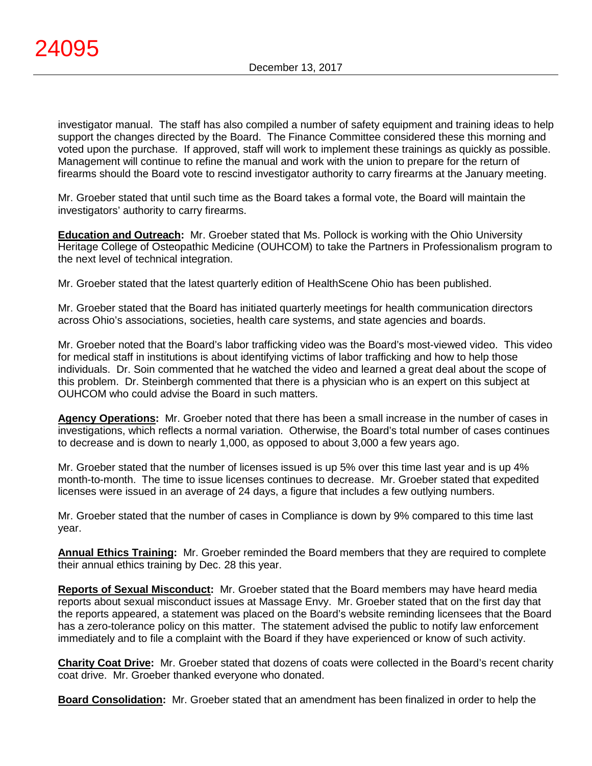investigator manual. The staff has also compiled a number of safety equipment and training ideas to help support the changes directed by the Board. The Finance Committee considered these this morning and voted upon the purchase. If approved, staff will work to implement these trainings as quickly as possible. Management will continue to refine the manual and work with the union to prepare for the return of firearms should the Board vote to rescind investigator authority to carry firearms at the January meeting.

Mr. Groeber stated that until such time as the Board takes a formal vote, the Board will maintain the investigators' authority to carry firearms.

**Education and Outreach:** Mr. Groeber stated that Ms. Pollock is working with the Ohio University Heritage College of Osteopathic Medicine (OUHCOM) to take the Partners in Professionalism program to the next level of technical integration.

Mr. Groeber stated that the latest quarterly edition of HealthScene Ohio has been published.

Mr. Groeber stated that the Board has initiated quarterly meetings for health communication directors across Ohio's associations, societies, health care systems, and state agencies and boards.

Mr. Groeber noted that the Board's labor trafficking video was the Board's most-viewed video. This video for medical staff in institutions is about identifying victims of labor trafficking and how to help those individuals. Dr. Soin commented that he watched the video and learned a great deal about the scope of this problem. Dr. Steinbergh commented that there is a physician who is an expert on this subject at OUHCOM who could advise the Board in such matters.

**Agency Operations:** Mr. Groeber noted that there has been a small increase in the number of cases in investigations, which reflects a normal variation. Otherwise, the Board's total number of cases continues to decrease and is down to nearly 1,000, as opposed to about 3,000 a few years ago.

Mr. Groeber stated that the number of licenses issued is up 5% over this time last year and is up 4% month-to-month. The time to issue licenses continues to decrease. Mr. Groeber stated that expedited licenses were issued in an average of 24 days, a figure that includes a few outlying numbers.

Mr. Groeber stated that the number of cases in Compliance is down by 9% compared to this time last year.

**Annual Ethics Training:** Mr. Groeber reminded the Board members that they are required to complete their annual ethics training by Dec. 28 this year.

**Reports of Sexual Misconduct:** Mr. Groeber stated that the Board members may have heard media reports about sexual misconduct issues at Massage Envy. Mr. Groeber stated that on the first day that the reports appeared, a statement was placed on the Board's website reminding licensees that the Board has a zero-tolerance policy on this matter. The statement advised the public to notify law enforcement immediately and to file a complaint with the Board if they have experienced or know of such activity.

**Charity Coat Drive:** Mr. Groeber stated that dozens of coats were collected in the Board's recent charity coat drive. Mr. Groeber thanked everyone who donated.

**Board Consolidation:** Mr. Groeber stated that an amendment has been finalized in order to help the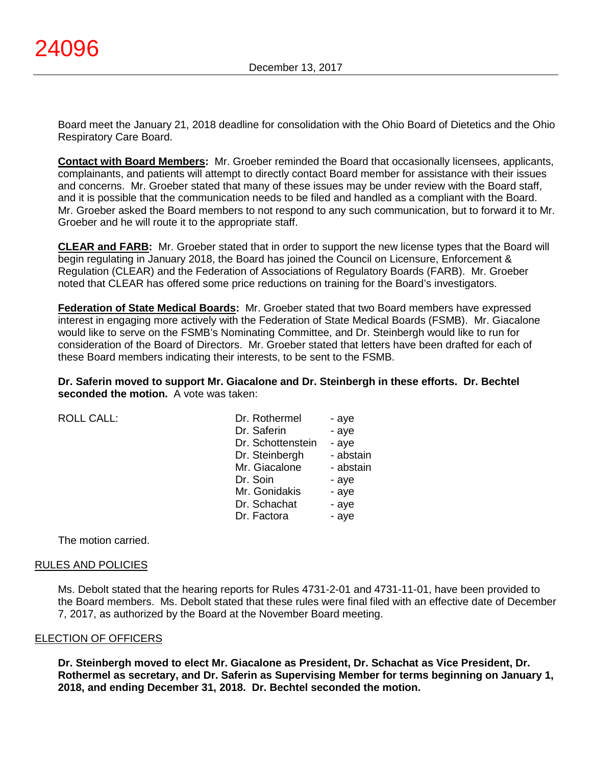Board meet the January 21, 2018 deadline for consolidation with the Ohio Board of Dietetics and the Ohio Respiratory Care Board.

**Contact with Board Members:** Mr. Groeber reminded the Board that occasionally licensees, applicants, complainants, and patients will attempt to directly contact Board member for assistance with their issues and concerns. Mr. Groeber stated that many of these issues may be under review with the Board staff, and it is possible that the communication needs to be filed and handled as a compliant with the Board. Mr. Groeber asked the Board members to not respond to any such communication, but to forward it to Mr. Groeber and he will route it to the appropriate staff.

**CLEAR and FARB:** Mr. Groeber stated that in order to support the new license types that the Board will begin regulating in January 2018, the Board has joined the Council on Licensure, Enforcement & Regulation (CLEAR) and the Federation of Associations of Regulatory Boards (FARB). Mr. Groeber noted that CLEAR has offered some price reductions on training for the Board's investigators.

**Federation of State Medical Boards:** Mr. Groeber stated that two Board members have expressed interest in engaging more actively with the Federation of State Medical Boards (FSMB). Mr. Giacalone would like to serve on the FSMB's Nominating Committee, and Dr. Steinbergh would like to run for consideration of the Board of Directors. Mr. Groeber stated that letters have been drafted for each of these Board members indicating their interests, to be sent to the FSMB.

**Dr. Saferin moved to support Mr. Giacalone and Dr. Steinbergh in these efforts. Dr. Bechtel seconded the motion.** A vote was taken:

ROLL CALL:

| Dr. Rothermel     | - aye     |
|-------------------|-----------|
| Dr. Saferin       | - aye     |
| Dr. Schottenstein | - aye     |
| Dr. Steinbergh    | - abstain |
| Mr. Giacalone     | - abstain |
| Dr. Soin          | - aye     |
| Mr. Gonidakis     | - aye     |
| Dr. Schachat      | - aye     |
| Dr. Factora       | - aye     |

The motion carried.

### RULES AND POLICIES

Ms. Debolt stated that the hearing reports for Rules 4731-2-01 and 4731-11-01, have been provided to the Board members. Ms. Debolt stated that these rules were final filed with an effective date of December 7, 2017, as authorized by the Board at the November Board meeting.

### ELECTION OF OFFICERS

**Dr. Steinbergh moved to elect Mr. Giacalone as President, Dr. Schachat as Vice President, Dr. Rothermel as secretary, and Dr. Saferin as Supervising Member for terms beginning on January 1, 2018, and ending December 31, 2018. Dr. Bechtel seconded the motion.**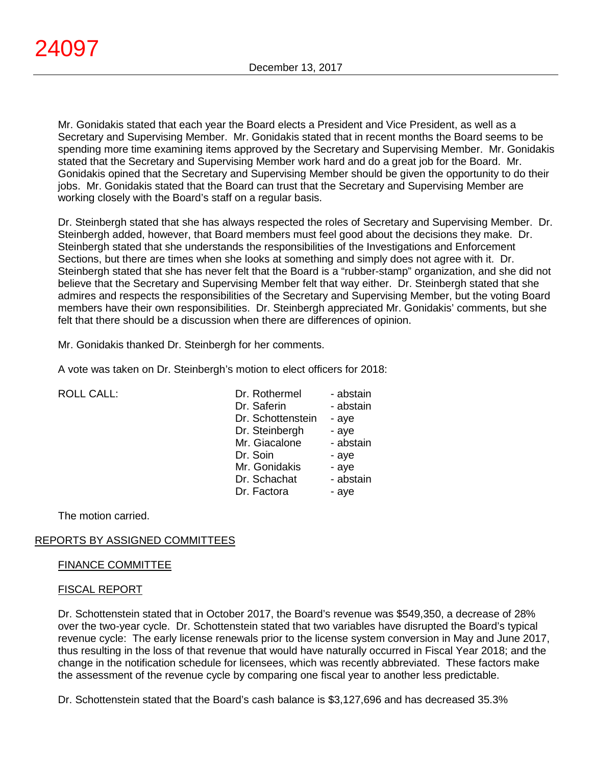Mr. Gonidakis stated that each year the Board elects a President and Vice President, as well as a Secretary and Supervising Member. Mr. Gonidakis stated that in recent months the Board seems to be spending more time examining items approved by the Secretary and Supervising Member. Mr. Gonidakis stated that the Secretary and Supervising Member work hard and do a great job for the Board. Mr. Gonidakis opined that the Secretary and Supervising Member should be given the opportunity to do their jobs. Mr. Gonidakis stated that the Board can trust that the Secretary and Supervising Member are working closely with the Board's staff on a regular basis.

Dr. Steinbergh stated that she has always respected the roles of Secretary and Supervising Member. Dr. Steinbergh added, however, that Board members must feel good about the decisions they make. Dr. Steinbergh stated that she understands the responsibilities of the Investigations and Enforcement Sections, but there are times when she looks at something and simply does not agree with it. Dr. Steinbergh stated that she has never felt that the Board is a "rubber-stamp" organization, and she did not believe that the Secretary and Supervising Member felt that way either. Dr. Steinbergh stated that she admires and respects the responsibilities of the Secretary and Supervising Member, but the voting Board members have their own responsibilities. Dr. Steinbergh appreciated Mr. Gonidakis' comments, but she felt that there should be a discussion when there are differences of opinion.

Mr. Gonidakis thanked Dr. Steinbergh for her comments.

A vote was taken on Dr. Steinbergh's motion to elect officers for 2018:

| <b>ROLL CALL:</b> |
|-------------------|
|                   |

| <b>ROLL CALL:</b> | Dr. Rothermel     | - abstain |
|-------------------|-------------------|-----------|
|                   | Dr. Saferin       | - abstain |
|                   | Dr. Schottenstein | - aye     |
|                   | Dr. Steinbergh    | - aye     |
|                   | Mr. Giacalone     | - abstain |
|                   | Dr. Soin          | - aye     |
|                   | Mr. Gonidakis     | - aye     |
|                   | Dr. Schachat      | - abstain |
|                   | Dr. Factora       | - aye     |
|                   |                   |           |

The motion carried.

# REPORTS BY ASSIGNED COMMITTEES

### FINANCE COMMITTEE

### FISCAL REPORT

Dr. Schottenstein stated that in October 2017, the Board's revenue was \$549,350, a decrease of 28% over the two-year cycle. Dr. Schottenstein stated that two variables have disrupted the Board's typical revenue cycle: The early license renewals prior to the license system conversion in May and June 2017, thus resulting in the loss of that revenue that would have naturally occurred in Fiscal Year 2018; and the change in the notification schedule for licensees, which was recently abbreviated. These factors make the assessment of the revenue cycle by comparing one fiscal year to another less predictable.

Dr. Schottenstein stated that the Board's cash balance is \$3,127,696 and has decreased 35.3%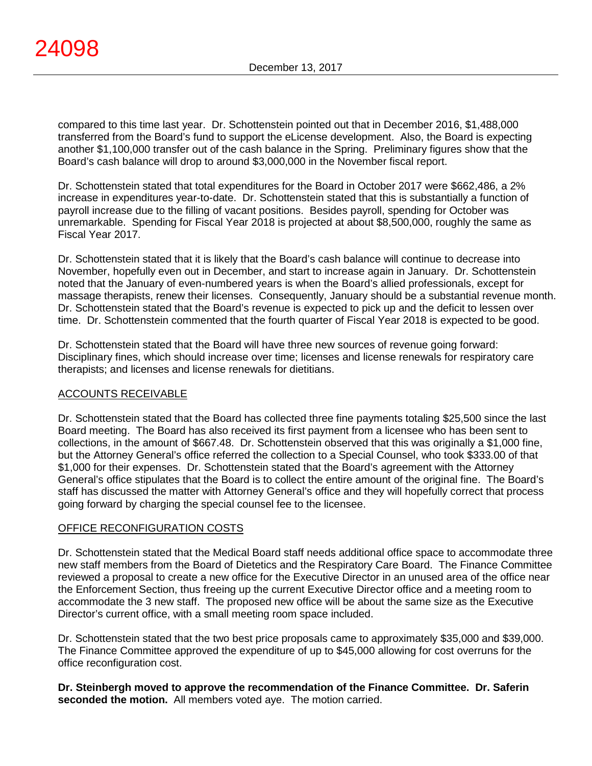compared to this time last year. Dr. Schottenstein pointed out that in December 2016, \$1,488,000 transferred from the Board's fund to support the eLicense development. Also, the Board is expecting another \$1,100,000 transfer out of the cash balance in the Spring. Preliminary figures show that the Board's cash balance will drop to around \$3,000,000 in the November fiscal report.

Dr. Schottenstein stated that total expenditures for the Board in October 2017 were \$662,486, a 2% increase in expenditures year-to-date. Dr. Schottenstein stated that this is substantially a function of payroll increase due to the filling of vacant positions. Besides payroll, spending for October was unremarkable. Spending for Fiscal Year 2018 is projected at about \$8,500,000, roughly the same as Fiscal Year 2017.

Dr. Schottenstein stated that it is likely that the Board's cash balance will continue to decrease into November, hopefully even out in December, and start to increase again in January. Dr. Schottenstein noted that the January of even-numbered years is when the Board's allied professionals, except for massage therapists, renew their licenses. Consequently, January should be a substantial revenue month. Dr. Schottenstein stated that the Board's revenue is expected to pick up and the deficit to lessen over time. Dr. Schottenstein commented that the fourth quarter of Fiscal Year 2018 is expected to be good.

Dr. Schottenstein stated that the Board will have three new sources of revenue going forward: Disciplinary fines, which should increase over time; licenses and license renewals for respiratory care therapists; and licenses and license renewals for dietitians.

# ACCOUNTS RECEIVABLE

Dr. Schottenstein stated that the Board has collected three fine payments totaling \$25,500 since the last Board meeting. The Board has also received its first payment from a licensee who has been sent to collections, in the amount of \$667.48. Dr. Schottenstein observed that this was originally a \$1,000 fine, but the Attorney General's office referred the collection to a Special Counsel, who took \$333.00 of that \$1,000 for their expenses. Dr. Schottenstein stated that the Board's agreement with the Attorney General's office stipulates that the Board is to collect the entire amount of the original fine. The Board's staff has discussed the matter with Attorney General's office and they will hopefully correct that process going forward by charging the special counsel fee to the licensee.

# OFFICE RECONFIGURATION COSTS

Dr. Schottenstein stated that the Medical Board staff needs additional office space to accommodate three new staff members from the Board of Dietetics and the Respiratory Care Board. The Finance Committee reviewed a proposal to create a new office for the Executive Director in an unused area of the office near the Enforcement Section, thus freeing up the current Executive Director office and a meeting room to accommodate the 3 new staff. The proposed new office will be about the same size as the Executive Director's current office, with a small meeting room space included.

Dr. Schottenstein stated that the two best price proposals came to approximately \$35,000 and \$39,000. The Finance Committee approved the expenditure of up to \$45,000 allowing for cost overruns for the office reconfiguration cost.

**Dr. Steinbergh moved to approve the recommendation of the Finance Committee. Dr. Saferin seconded the motion.** All members voted aye. The motion carried.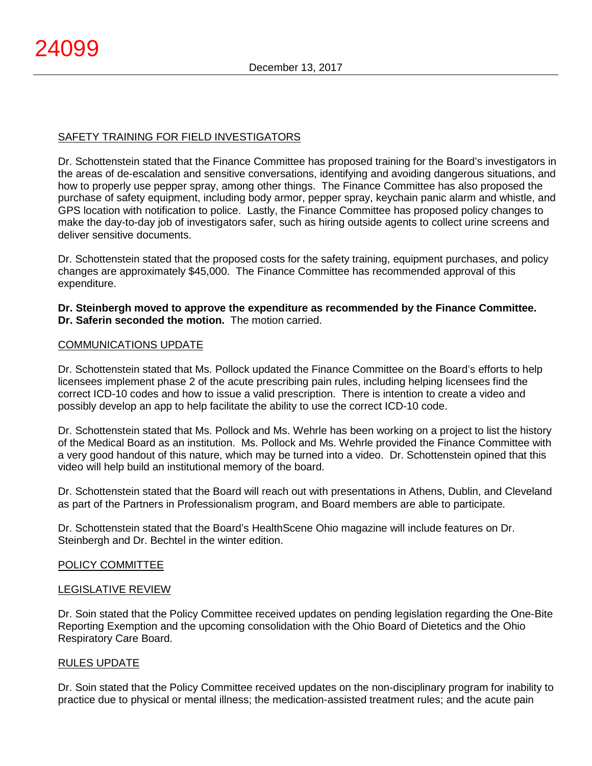# SAFETY TRAINING FOR FIELD INVESTIGATORS

Dr. Schottenstein stated that the Finance Committee has proposed training for the Board's investigators in the areas of de-escalation and sensitive conversations, identifying and avoiding dangerous situations, and how to properly use pepper spray, among other things. The Finance Committee has also proposed the purchase of safety equipment, including body armor, pepper spray, keychain panic alarm and whistle, and GPS location with notification to police. Lastly, the Finance Committee has proposed policy changes to make the day-to-day job of investigators safer, such as hiring outside agents to collect urine screens and deliver sensitive documents.

Dr. Schottenstein stated that the proposed costs for the safety training, equipment purchases, and policy changes are approximately \$45,000. The Finance Committee has recommended approval of this expenditure.

**Dr. Steinbergh moved to approve the expenditure as recommended by the Finance Committee. Dr. Saferin seconded the motion.** The motion carried.

### COMMUNICATIONS UPDATE

Dr. Schottenstein stated that Ms. Pollock updated the Finance Committee on the Board's efforts to help licensees implement phase 2 of the acute prescribing pain rules, including helping licensees find the correct ICD-10 codes and how to issue a valid prescription. There is intention to create a video and possibly develop an app to help facilitate the ability to use the correct ICD-10 code.

Dr. Schottenstein stated that Ms. Pollock and Ms. Wehrle has been working on a project to list the history of the Medical Board as an institution. Ms. Pollock and Ms. Wehrle provided the Finance Committee with a very good handout of this nature, which may be turned into a video. Dr. Schottenstein opined that this video will help build an institutional memory of the board.

Dr. Schottenstein stated that the Board will reach out with presentations in Athens, Dublin, and Cleveland as part of the Partners in Professionalism program, and Board members are able to participate.

Dr. Schottenstein stated that the Board's HealthScene Ohio magazine will include features on Dr. Steinbergh and Dr. Bechtel in the winter edition.

### POLICY COMMITTEE

### LEGISLATIVE REVIEW

Dr. Soin stated that the Policy Committee received updates on pending legislation regarding the One-Bite Reporting Exemption and the upcoming consolidation with the Ohio Board of Dietetics and the Ohio Respiratory Care Board.

### RULES UPDATE

Dr. Soin stated that the Policy Committee received updates on the non-disciplinary program for inability to practice due to physical or mental illness; the medication-assisted treatment rules; and the acute pain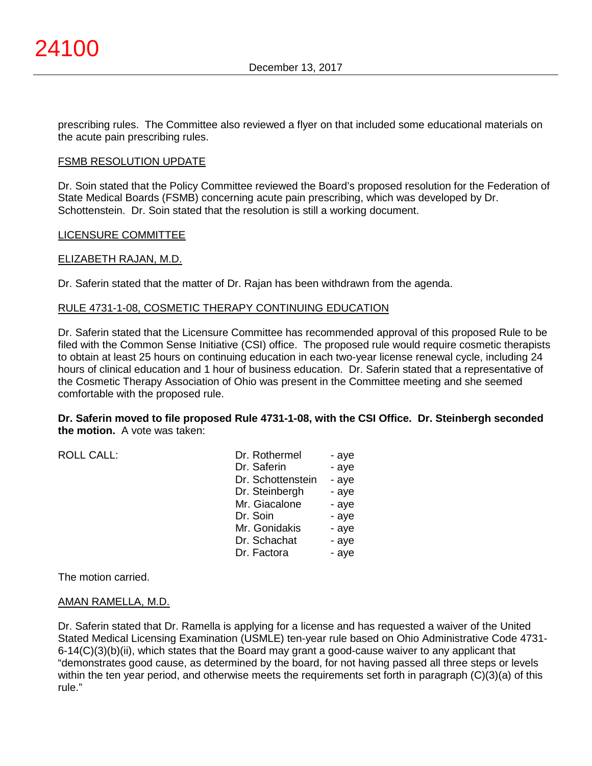prescribing rules. The Committee also reviewed a flyer on that included some educational materials on the acute pain prescribing rules.

#### FSMB RESOLUTION UPDATE

Dr. Soin stated that the Policy Committee reviewed the Board's proposed resolution for the Federation of State Medical Boards (FSMB) concerning acute pain prescribing, which was developed by Dr. Schottenstein. Dr. Soin stated that the resolution is still a working document.

#### LICENSURE COMMITTEE

#### ELIZABETH RAJAN, M.D.

Dr. Saferin stated that the matter of Dr. Rajan has been withdrawn from the agenda.

#### RULE 4731-1-08, COSMETIC THERAPY CONTINUING EDUCATION

Dr. Saferin stated that the Licensure Committee has recommended approval of this proposed Rule to be filed with the Common Sense Initiative (CSI) office. The proposed rule would require cosmetic therapists to obtain at least 25 hours on continuing education in each two-year license renewal cycle, including 24 hours of clinical education and 1 hour of business education. Dr. Saferin stated that a representative of the Cosmetic Therapy Association of Ohio was present in the Committee meeting and she seemed comfortable with the proposed rule.

#### **Dr. Saferin moved to file proposed Rule 4731-1-08, with the CSI Office. Dr. Steinbergh seconded the motion.** A vote was taken:

ROLL CALL: Dr. Roth

| Dr. Rothermel     | - aye |
|-------------------|-------|
| Dr. Saferin       | - aye |
| Dr. Schottenstein | - aye |
| Dr. Steinbergh    | - aye |
| Mr. Giacalone     | - aye |
| Dr. Soin          | - aye |
| Mr. Gonidakis     | - aye |
| Dr. Schachat      | - aye |
| Dr. Factora       | - aye |

The motion carried.

#### AMAN RAMELLA, M.D.

Dr. Saferin stated that Dr. Ramella is applying for a license and has requested a waiver of the United Stated Medical Licensing Examination (USMLE) ten-year rule based on Ohio Administrative Code 4731- 6-14(C)(3)(b)(ii), which states that the Board may grant a good-cause waiver to any applicant that "demonstrates good cause, as determined by the board, for not having passed all three steps or levels within the ten year period, and otherwise meets the requirements set forth in paragraph (C)(3)(a) of this rule."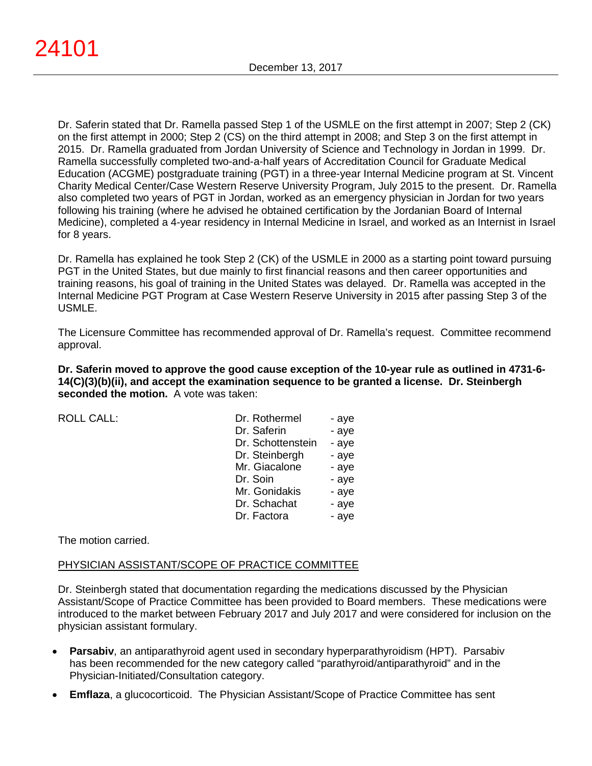Dr. Saferin stated that Dr. Ramella passed Step 1 of the USMLE on the first attempt in 2007; Step 2 (CK) on the first attempt in 2000; Step 2 (CS) on the third attempt in 2008; and Step 3 on the first attempt in 2015. Dr. Ramella graduated from Jordan University of Science and Technology in Jordan in 1999. Dr. Ramella successfully completed two-and-a-half years of Accreditation Council for Graduate Medical Education (ACGME) postgraduate training (PGT) in a three-year Internal Medicine program at St. Vincent Charity Medical Center/Case Western Reserve University Program, July 2015 to the present. Dr. Ramella also completed two years of PGT in Jordan, worked as an emergency physician in Jordan for two years following his training (where he advised he obtained certification by the Jordanian Board of Internal Medicine), completed a 4-year residency in Internal Medicine in Israel, and worked as an Internist in Israel for 8 years.

Dr. Ramella has explained he took Step 2 (CK) of the USMLE in 2000 as a starting point toward pursuing PGT in the United States, but due mainly to first financial reasons and then career opportunities and training reasons, his goal of training in the United States was delayed. Dr. Ramella was accepted in the Internal Medicine PGT Program at Case Western Reserve University in 2015 after passing Step 3 of the USMLE.

The Licensure Committee has recommended approval of Dr. Ramella's request. Committee recommend approval.

**Dr. Saferin moved to approve the good cause exception of the 10-year rule as outlined in 4731-6- 14(C)(3)(b)(ii), and accept the examination sequence to be granted a license. Dr. Steinbergh seconded the motion.** A vote was taken:

ROLL CALL:

| Dr. Rothermel     | - aye |
|-------------------|-------|
| Dr. Saferin       | - aye |
| Dr. Schottenstein | - aye |
| Dr. Steinbergh    | - aye |
| Mr. Giacalone     | - aye |
| Dr. Soin          | - aye |
| Mr. Gonidakis     | - aye |
| Dr. Schachat      | - aye |
| Dr. Factora       | - aye |

The motion carried.

# PHYSICIAN ASSISTANT/SCOPE OF PRACTICE COMMITTEE

Dr. Steinbergh stated that documentation regarding the medications discussed by the Physician Assistant/Scope of Practice Committee has been provided to Board members. These medications were introduced to the market between February 2017 and July 2017 and were considered for inclusion on the physician assistant formulary.

- **Parsabiv**, an antiparathyroid agent used in secondary hyperparathyroidism (HPT). Parsabiv has been recommended for the new category called "parathyroid/antiparathyroid" and in the Physician-Initiated/Consultation category.
- **Emflaza**, a glucocorticoid. The Physician Assistant/Scope of Practice Committee has sent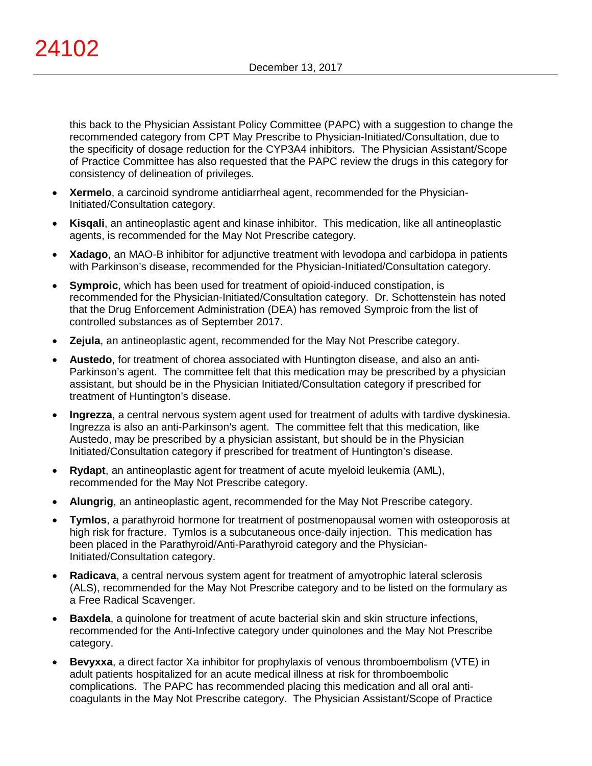this back to the Physician Assistant Policy Committee (PAPC) with a suggestion to change the recommended category from CPT May Prescribe to Physician-Initiated/Consultation, due to the specificity of dosage reduction for the CYP3A4 inhibitors. The Physician Assistant/Scope of Practice Committee has also requested that the PAPC review the drugs in this category for consistency of delineation of privileges.

- **Xermelo**, a carcinoid syndrome antidiarrheal agent, recommended for the Physician-Initiated/Consultation category.
- **Kisqali**, an antineoplastic agent and kinase inhibitor. This medication, like all antineoplastic agents, is recommended for the May Not Prescribe category.
- **Xadago**, an MAO-B inhibitor for adjunctive treatment with levodopa and carbidopa in patients with Parkinson's disease, recommended for the Physician-Initiated/Consultation category.
- **Symproic**, which has been used for treatment of opioid-induced constipation, is recommended for the Physician-Initiated/Consultation category. Dr. Schottenstein has noted that the Drug Enforcement Administration (DEA) has removed Symproic from the list of controlled substances as of September 2017.
- **Zejula**, an antineoplastic agent, recommended for the May Not Prescribe category.
- **Austedo**, for treatment of chorea associated with Huntington disease, and also an anti-Parkinson's agent. The committee felt that this medication may be prescribed by a physician assistant, but should be in the Physician Initiated/Consultation category if prescribed for treatment of Huntington's disease.
- **Ingrezza**, a central nervous system agent used for treatment of adults with tardive dyskinesia. Ingrezza is also an anti-Parkinson's agent. The committee felt that this medication, like Austedo, may be prescribed by a physician assistant, but should be in the Physician Initiated/Consultation category if prescribed for treatment of Huntington's disease.
- **Rydapt**, an antineoplastic agent for treatment of acute myeloid leukemia (AML), recommended for the May Not Prescribe category.
- **Alungrig**, an antineoplastic agent, recommended for the May Not Prescribe category.
- **Tymlos**, a parathyroid hormone for treatment of postmenopausal women with osteoporosis at high risk for fracture. Tymlos is a subcutaneous once-daily injection. This medication has been placed in the Parathyroid/Anti-Parathyroid category and the Physician-Initiated/Consultation category.
- **Radicava**, a central nervous system agent for treatment of amyotrophic lateral sclerosis (ALS), recommended for the May Not Prescribe category and to be listed on the formulary as a Free Radical Scavenger.
- **Baxdela**, a quinolone for treatment of acute bacterial skin and skin structure infections, recommended for the Anti-Infective category under quinolones and the May Not Prescribe category.
- **Bevyxxa**, a direct factor Xa inhibitor for prophylaxis of venous thromboembolism (VTE) in adult patients hospitalized for an acute medical illness at risk for thromboembolic complications. The PAPC has recommended placing this medication and all oral anticoagulants in the May Not Prescribe category. The Physician Assistant/Scope of Practice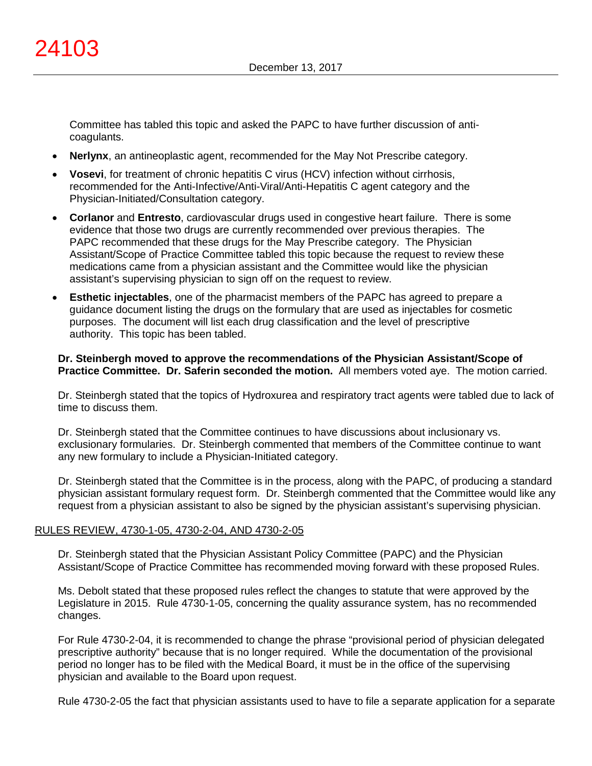Committee has tabled this topic and asked the PAPC to have further discussion of anticoagulants.

- **Nerlynx**, an antineoplastic agent, recommended for the May Not Prescribe category.
- **Vosevi**, for treatment of chronic hepatitis C virus (HCV) infection without cirrhosis, recommended for the Anti-Infective/Anti-Viral/Anti-Hepatitis C agent category and the Physician-Initiated/Consultation category.
- **Corlanor** and **Entresto**, cardiovascular drugs used in congestive heart failure. There is some evidence that those two drugs are currently recommended over previous therapies. The PAPC recommended that these drugs for the May Prescribe category. The Physician Assistant/Scope of Practice Committee tabled this topic because the request to review these medications came from a physician assistant and the Committee would like the physician assistant's supervising physician to sign off on the request to review.
- **Esthetic injectables**, one of the pharmacist members of the PAPC has agreed to prepare a guidance document listing the drugs on the formulary that are used as injectables for cosmetic purposes. The document will list each drug classification and the level of prescriptive authority. This topic has been tabled.

### **Dr. Steinbergh moved to approve the recommendations of the Physician Assistant/Scope of Practice Committee. Dr. Saferin seconded the motion.** All members voted aye. The motion carried.

Dr. Steinbergh stated that the topics of Hydroxurea and respiratory tract agents were tabled due to lack of time to discuss them.

Dr. Steinbergh stated that the Committee continues to have discussions about inclusionary vs. exclusionary formularies. Dr. Steinbergh commented that members of the Committee continue to want any new formulary to include a Physician-Initiated category.

Dr. Steinbergh stated that the Committee is in the process, along with the PAPC, of producing a standard physician assistant formulary request form. Dr. Steinbergh commented that the Committee would like any request from a physician assistant to also be signed by the physician assistant's supervising physician.

### RULES REVIEW, 4730-1-05, 4730-2-04, AND 4730-2-05

Dr. Steinbergh stated that the Physician Assistant Policy Committee (PAPC) and the Physician Assistant/Scope of Practice Committee has recommended moving forward with these proposed Rules.

Ms. Debolt stated that these proposed rules reflect the changes to statute that were approved by the Legislature in 2015. Rule 4730-1-05, concerning the quality assurance system, has no recommended changes.

For Rule 4730-2-04, it is recommended to change the phrase "provisional period of physician delegated prescriptive authority" because that is no longer required. While the documentation of the provisional period no longer has to be filed with the Medical Board, it must be in the office of the supervising physician and available to the Board upon request.

Rule 4730-2-05 the fact that physician assistants used to have to file a separate application for a separate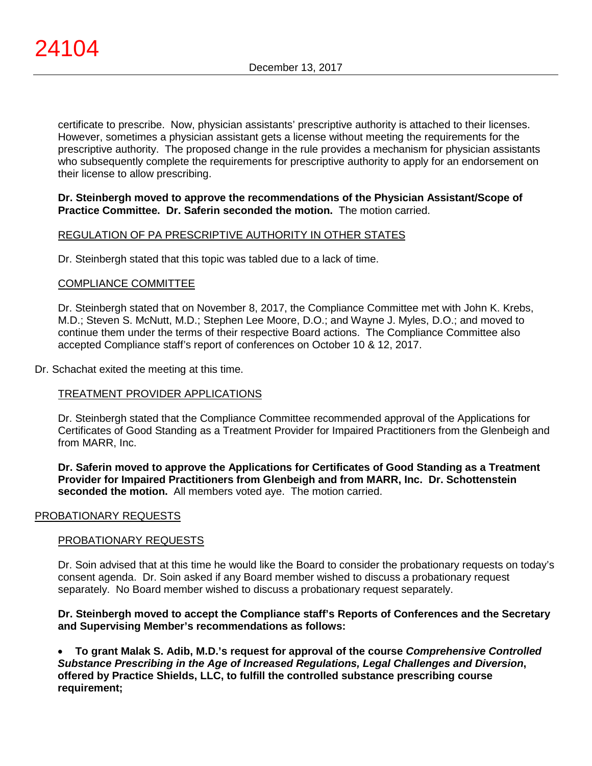certificate to prescribe. Now, physician assistants' prescriptive authority is attached to their licenses. However, sometimes a physician assistant gets a license without meeting the requirements for the prescriptive authority. The proposed change in the rule provides a mechanism for physician assistants who subsequently complete the requirements for prescriptive authority to apply for an endorsement on their license to allow prescribing.

## **Dr. Steinbergh moved to approve the recommendations of the Physician Assistant/Scope of Practice Committee. Dr. Saferin seconded the motion.** The motion carried.

# REGULATION OF PA PRESCRIPTIVE AUTHORITY IN OTHER STATES

Dr. Steinbergh stated that this topic was tabled due to a lack of time.

### COMPLIANCE COMMITTEE

Dr. Steinbergh stated that on November 8, 2017, the Compliance Committee met with John K. Krebs, M.D.; Steven S. McNutt, M.D.; Stephen Lee Moore, D.O.; and Wayne J. Myles, D.O.; and moved to continue them under the terms of their respective Board actions. The Compliance Committee also accepted Compliance staff's report of conferences on October 10 & 12, 2017.

### Dr. Schachat exited the meeting at this time.

# TREATMENT PROVIDER APPLICATIONS

Dr. Steinbergh stated that the Compliance Committee recommended approval of the Applications for Certificates of Good Standing as a Treatment Provider for Impaired Practitioners from the Glenbeigh and from MARR, Inc.

**Dr. Saferin moved to approve the Applications for Certificates of Good Standing as a Treatment Provider for Impaired Practitioners from Glenbeigh and from MARR, Inc. Dr. Schottenstein seconded the motion.** All members voted aye. The motion carried.

### PROBATIONARY REQUESTS

### PROBATIONARY REQUESTS

Dr. Soin advised that at this time he would like the Board to consider the probationary requests on today's consent agenda. Dr. Soin asked if any Board member wished to discuss a probationary request separately. No Board member wished to discuss a probationary request separately.

### **Dr. Steinbergh moved to accept the Compliance staff's Reports of Conferences and the Secretary and Supervising Member's recommendations as follows:**

• **To grant Malak S. Adib, M.D.'s request for approval of the course** *Comprehensive Controlled Substance Prescribing in the Age of Increased Regulations, Legal Challenges and Diversion***, offered by Practice Shields, LLC, to fulfill the controlled substance prescribing course requirement;**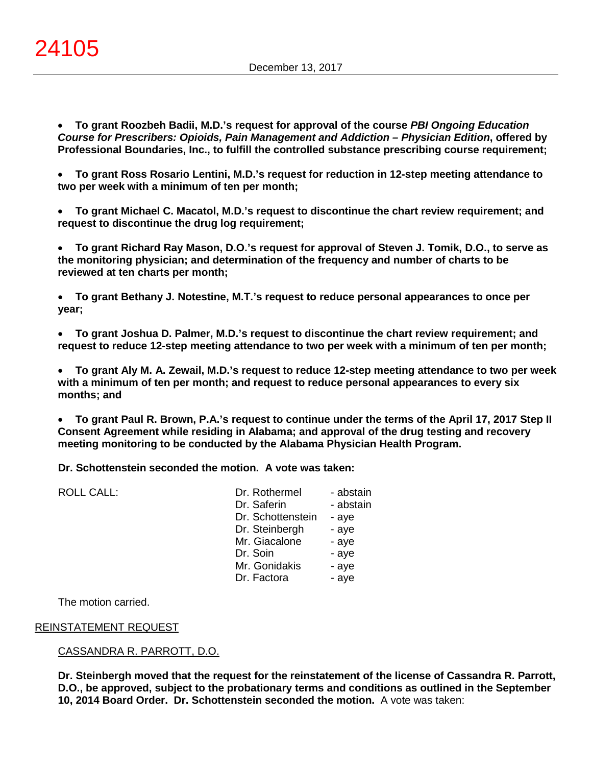• **To grant Roozbeh Badii, M.D.'s request for approval of the course** *PBI Ongoing Education Course for Prescribers: Opioids, Pain Management and Addiction – Physician Edition***, offered by Professional Boundaries, Inc., to fulfill the controlled substance prescribing course requirement;**

• **To grant Ross Rosario Lentini, M.D.'s request for reduction in 12-step meeting attendance to two per week with a minimum of ten per month;**

• **To grant Michael C. Macatol, M.D.'s request to discontinue the chart review requirement; and request to discontinue the drug log requirement;**

• **To grant Richard Ray Mason, D.O.'s request for approval of Steven J. Tomik, D.O., to serve as the monitoring physician; and determination of the frequency and number of charts to be reviewed at ten charts per month;**

• **To grant Bethany J. Notestine, M.T.'s request to reduce personal appearances to once per year;**

• **To grant Joshua D. Palmer, M.D.'s request to discontinue the chart review requirement; and request to reduce 12-step meeting attendance to two per week with a minimum of ten per month;**

• **To grant Aly M. A. Zewail, M.D.'s request to reduce 12-step meeting attendance to two per week with a minimum of ten per month; and request to reduce personal appearances to every six months; and**

• **To grant Paul R. Brown, P.A.'s request to continue under the terms of the April 17, 2017 Step II Consent Agreement while residing in Alabama; and approval of the drug testing and recovery meeting monitoring to be conducted by the Alabama Physician Health Program.**

**Dr. Schottenstein seconded the motion. A vote was taken:**

| <b>ROLL CALL:</b> | Dr. Rothermel     | - abstain |
|-------------------|-------------------|-----------|
|                   | Dr. Saferin       | - abstain |
|                   | Dr. Schottenstein | - aye     |
|                   | Dr. Steinbergh    | - aye     |
|                   | Mr. Giacalone     | - aye     |
|                   | Dr. Soin          | - aye     |
|                   | Mr. Gonidakis     | - aye     |
|                   | Dr. Factora       | - aye     |
|                   |                   |           |

The motion carried.

### REINSTATEMENT REQUEST

### CASSANDRA R. PARROTT, D.O.

**Dr. Steinbergh moved that the request for the reinstatement of the license of Cassandra R. Parrott, D.O., be approved, subject to the probationary terms and conditions as outlined in the September 10, 2014 Board Order. Dr. Schottenstein seconded the motion.** A vote was taken: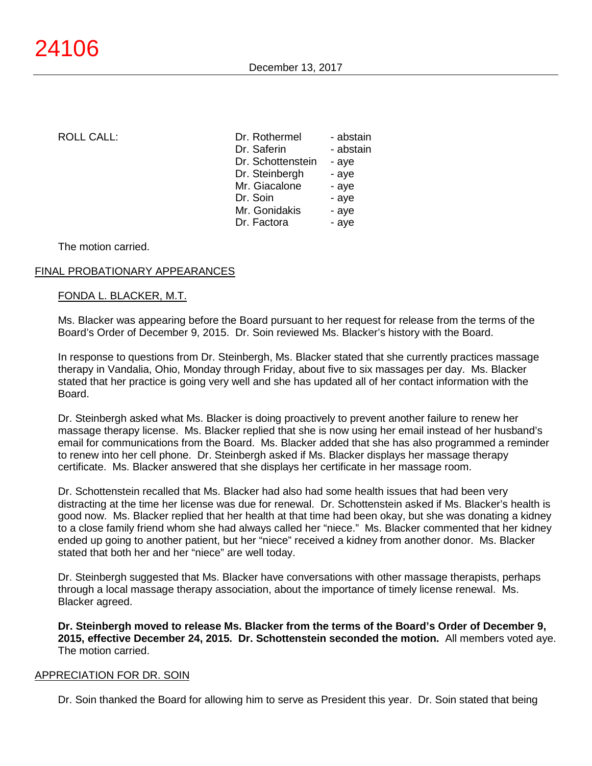| <b>ROLL CALL:</b> | Dr. Rothermel     | - abstain |
|-------------------|-------------------|-----------|
|                   | Dr. Saferin       | - abstain |
|                   | Dr. Schottenstein | - ave     |
|                   | Dr. Steinbergh    | - aye     |
|                   | Mr. Giacalone     | - aye     |
|                   | Dr. Soin          | - aye     |
|                   | Mr. Gonidakis     | - aye     |
|                   | Dr. Factora       | - aye     |
|                   |                   |           |

The motion carried.

# FINAL PROBATIONARY APPEARANCES

### FONDA L. BLACKER, M.T.

Ms. Blacker was appearing before the Board pursuant to her request for release from the terms of the Board's Order of December 9, 2015. Dr. Soin reviewed Ms. Blacker's history with the Board.

In response to questions from Dr. Steinbergh, Ms. Blacker stated that she currently practices massage therapy in Vandalia, Ohio, Monday through Friday, about five to six massages per day. Ms. Blacker stated that her practice is going very well and she has updated all of her contact information with the Board.

Dr. Steinbergh asked what Ms. Blacker is doing proactively to prevent another failure to renew her massage therapy license. Ms. Blacker replied that she is now using her email instead of her husband's email for communications from the Board. Ms. Blacker added that she has also programmed a reminder to renew into her cell phone. Dr. Steinbergh asked if Ms. Blacker displays her massage therapy certificate. Ms. Blacker answered that she displays her certificate in her massage room.

Dr. Schottenstein recalled that Ms. Blacker had also had some health issues that had been very distracting at the time her license was due for renewal. Dr. Schottenstein asked if Ms. Blacker's health is good now. Ms. Blacker replied that her health at that time had been okay, but she was donating a kidney to a close family friend whom she had always called her "niece." Ms. Blacker commented that her kidney ended up going to another patient, but her "niece" received a kidney from another donor. Ms. Blacker stated that both her and her "niece" are well today.

Dr. Steinbergh suggested that Ms. Blacker have conversations with other massage therapists, perhaps through a local massage therapy association, about the importance of timely license renewal. Ms. Blacker agreed.

**Dr. Steinbergh moved to release Ms. Blacker from the terms of the Board's Order of December 9, 2015, effective December 24, 2015. Dr. Schottenstein seconded the motion.** All members voted aye. The motion carried.

### APPRECIATION FOR DR. SOIN

Dr. Soin thanked the Board for allowing him to serve as President this year. Dr. Soin stated that being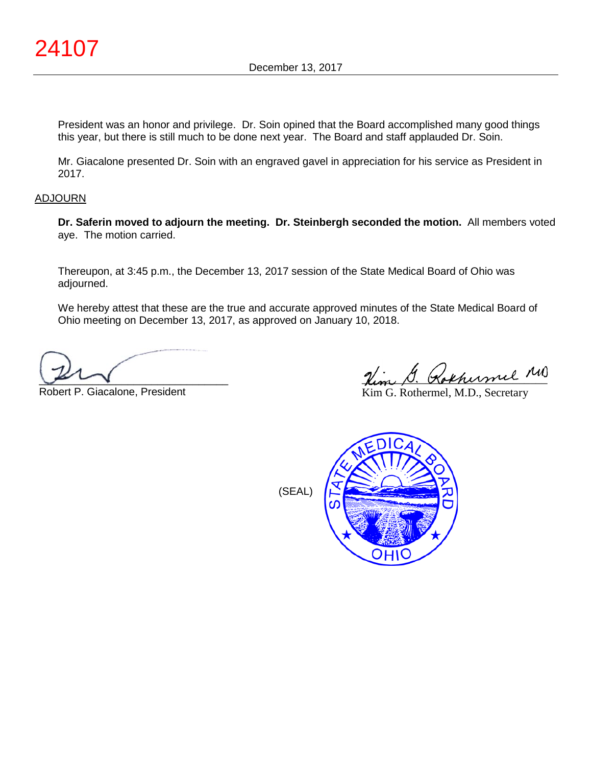President was an honor and privilege. Dr. Soin opined that the Board accomplished many good things this year, but there is still much to be done next year. The Board and staff applauded Dr. Soin.

Mr. Giacalone presented Dr. Soin with an engraved gavel in appreciation for his service as President in 2017.

### ADJOURN

**Dr. Saferin moved to adjourn the meeting. Dr. Steinbergh seconded the motion.** All members voted aye. The motion carried.

Thereupon, at 3:45 p.m., the December 13, 2017 session of the State Medical Board of Ohio was adjourned.

We hereby attest that these are the true and accurate approved minutes of the State Medical Board of Ohio meeting on December 13, 2017, as approved on January 10, 2018.

 $\sim$ 

Robert P. Giacalone, President

Rem D. Kokhermel

Kim G. Rothermel, M.D., Secretary



(SEAL)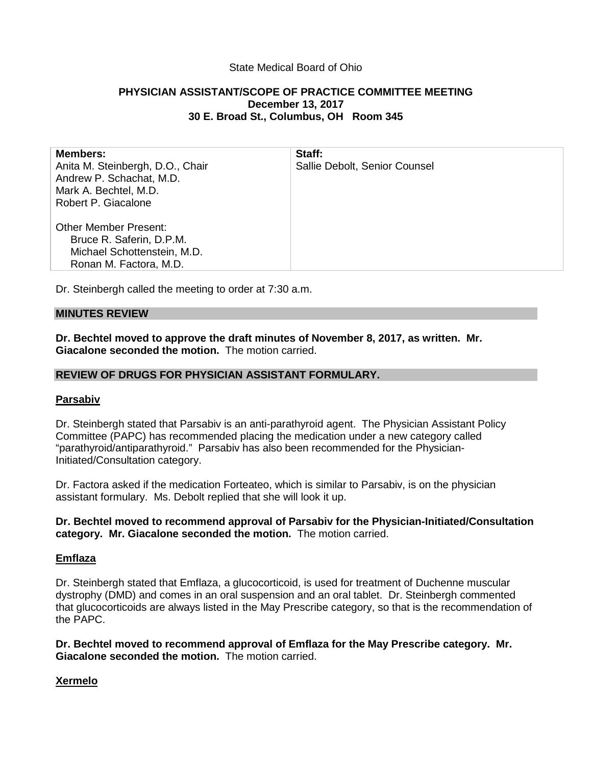# State Medical Board of Ohio

# **PHYSICIAN ASSISTANT/SCOPE OF PRACTICE COMMITTEE MEETING December 13, 2017 30 E. Broad St., Columbus, OH Room 345**

| <b>Members:</b>                  | Staff:                        |
|----------------------------------|-------------------------------|
| Anita M. Steinbergh, D.O., Chair | Sallie Debolt, Senior Counsel |
| Andrew P. Schachat, M.D.         |                               |
| Mark A. Bechtel, M.D.            |                               |
| Robert P. Giacalone              |                               |
|                                  |                               |
| <b>Other Member Present:</b>     |                               |
| Bruce R. Saferin, D.P.M.         |                               |
| Michael Schottenstein, M.D.      |                               |
| Ronan M. Factora, M.D.           |                               |

Dr. Steinbergh called the meeting to order at 7:30 a.m.

### **MINUTES REVIEW**

**Dr. Bechtel moved to approve the draft minutes of November 8, 2017, as written. Mr. Giacalone seconded the motion.** The motion carried.

### **REVIEW OF DRUGS FOR PHYSICIAN ASSISTANT FORMULARY.**

### **Parsabiv**

Dr. Steinbergh stated that Parsabiv is an anti-parathyroid agent. The Physician Assistant Policy Committee (PAPC) has recommended placing the medication under a new category called "parathyroid/antiparathyroid." Parsabiv has also been recommended for the Physician-Initiated/Consultation category.

Dr. Factora asked if the medication Forteateo, which is similar to Parsabiv, is on the physician assistant formulary. Ms. Debolt replied that she will look it up.

### **Dr. Bechtel moved to recommend approval of Parsabiv for the Physician-Initiated/Consultation category. Mr. Giacalone seconded the motion.** The motion carried.

### **Emflaza**

Dr. Steinbergh stated that Emflaza, a glucocorticoid, is used for treatment of Duchenne muscular dystrophy (DMD) and comes in an oral suspension and an oral tablet. Dr. Steinbergh commented that glucocorticoids are always listed in the May Prescribe category, so that is the recommendation of the PAPC.

**Dr. Bechtel moved to recommend approval of Emflaza for the May Prescribe category. Mr. Giacalone seconded the motion.** The motion carried.

### **Xermelo**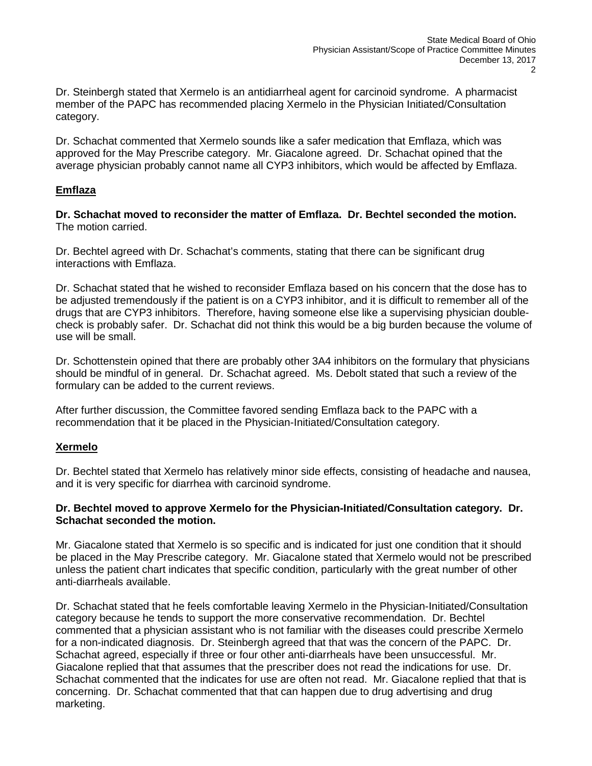Dr. Steinbergh stated that Xermelo is an antidiarrheal agent for carcinoid syndrome. A pharmacist member of the PAPC has recommended placing Xermelo in the Physician Initiated/Consultation category.

Dr. Schachat commented that Xermelo sounds like a safer medication that Emflaza, which was approved for the May Prescribe category. Mr. Giacalone agreed. Dr. Schachat opined that the average physician probably cannot name all CYP3 inhibitors, which would be affected by Emflaza.

# **Emflaza**

**Dr. Schachat moved to reconsider the matter of Emflaza. Dr. Bechtel seconded the motion.** The motion carried.

Dr. Bechtel agreed with Dr. Schachat's comments, stating that there can be significant drug interactions with Emflaza.

Dr. Schachat stated that he wished to reconsider Emflaza based on his concern that the dose has to be adjusted tremendously if the patient is on a CYP3 inhibitor, and it is difficult to remember all of the drugs that are CYP3 inhibitors. Therefore, having someone else like a supervising physician doublecheck is probably safer. Dr. Schachat did not think this would be a big burden because the volume of use will be small.

Dr. Schottenstein opined that there are probably other 3A4 inhibitors on the formulary that physicians should be mindful of in general. Dr. Schachat agreed. Ms. Debolt stated that such a review of the formulary can be added to the current reviews.

After further discussion, the Committee favored sending Emflaza back to the PAPC with a recommendation that it be placed in the Physician-Initiated/Consultation category.

# **Xermelo**

Dr. Bechtel stated that Xermelo has relatively minor side effects, consisting of headache and nausea, and it is very specific for diarrhea with carcinoid syndrome.

# **Dr. Bechtel moved to approve Xermelo for the Physician-Initiated/Consultation category. Dr. Schachat seconded the motion.**

Mr. Giacalone stated that Xermelo is so specific and is indicated for just one condition that it should be placed in the May Prescribe category. Mr. Giacalone stated that Xermelo would not be prescribed unless the patient chart indicates that specific condition, particularly with the great number of other anti-diarrheals available.

Dr. Schachat stated that he feels comfortable leaving Xermelo in the Physician-Initiated/Consultation category because he tends to support the more conservative recommendation. Dr. Bechtel commented that a physician assistant who is not familiar with the diseases could prescribe Xermelo for a non-indicated diagnosis. Dr. Steinbergh agreed that that was the concern of the PAPC. Dr. Schachat agreed, especially if three or four other anti-diarrheals have been unsuccessful. Mr. Giacalone replied that that assumes that the prescriber does not read the indications for use. Dr. Schachat commented that the indicates for use are often not read. Mr. Giacalone replied that that is concerning. Dr. Schachat commented that that can happen due to drug advertising and drug marketing.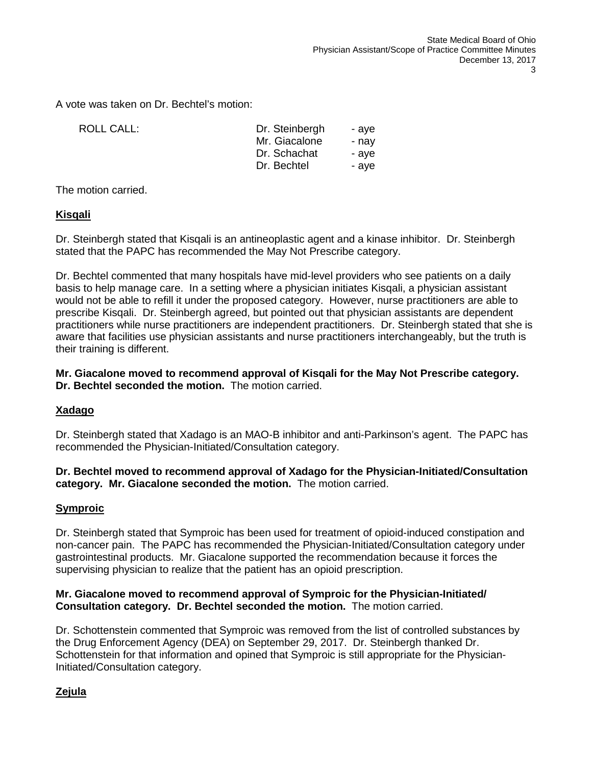A vote was taken on Dr. Bechtel's motion:

ROLL CALL:

| Dr. Steinbergh | - aye |
|----------------|-------|
| Mr. Giacalone  | - nav |
| Dr. Schachat   | - aye |
| Dr. Bechtel    | - aye |

The motion carried.

### **Kisqali**

Dr. Steinbergh stated that Kisqali is an antineoplastic agent and a kinase inhibitor. Dr. Steinbergh stated that the PAPC has recommended the May Not Prescribe category.

Dr. Bechtel commented that many hospitals have mid-level providers who see patients on a daily basis to help manage care. In a setting where a physician initiates Kisqali, a physician assistant would not be able to refill it under the proposed category. However, nurse practitioners are able to prescribe Kisqali. Dr. Steinbergh agreed, but pointed out that physician assistants are dependent practitioners while nurse practitioners are independent practitioners. Dr. Steinbergh stated that she is aware that facilities use physician assistants and nurse practitioners interchangeably, but the truth is their training is different.

### **Mr. Giacalone moved to recommend approval of Kisqali for the May Not Prescribe category. Dr. Bechtel seconded the motion.** The motion carried.

# **Xadago**

Dr. Steinbergh stated that Xadago is an MAO-B inhibitor and anti-Parkinson's agent. The PAPC has recommended the Physician-Initiated/Consultation category.

### **Dr. Bechtel moved to recommend approval of Xadago for the Physician-Initiated/Consultation category. Mr. Giacalone seconded the motion.** The motion carried.

### **Symproic**

Dr. Steinbergh stated that Symproic has been used for treatment of opioid-induced constipation and non-cancer pain. The PAPC has recommended the Physician-Initiated/Consultation category under gastrointestinal products. Mr. Giacalone supported the recommendation because it forces the supervising physician to realize that the patient has an opioid prescription.

### **Mr. Giacalone moved to recommend approval of Symproic for the Physician-Initiated/ Consultation category. Dr. Bechtel seconded the motion.** The motion carried.

Dr. Schottenstein commented that Symproic was removed from the list of controlled substances by the Drug Enforcement Agency (DEA) on September 29, 2017. Dr. Steinbergh thanked Dr. Schottenstein for that information and opined that Symproic is still appropriate for the Physician-Initiated/Consultation category.

# **Zejula**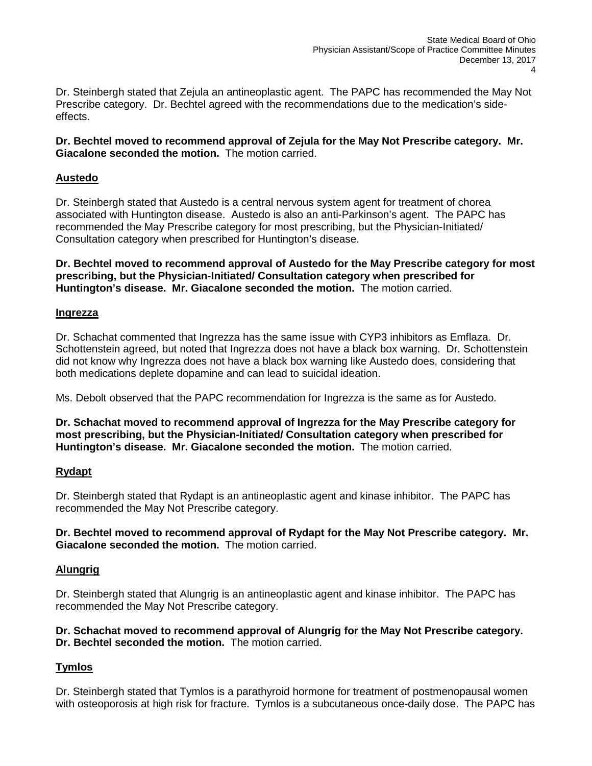Dr. Steinbergh stated that Zejula an antineoplastic agent. The PAPC has recommended the May Not Prescribe category. Dr. Bechtel agreed with the recommendations due to the medication's sideeffects.

**Dr. Bechtel moved to recommend approval of Zejula for the May Not Prescribe category. Mr. Giacalone seconded the motion.** The motion carried.

# **Austedo**

Dr. Steinbergh stated that Austedo is a central nervous system agent for treatment of chorea associated with Huntington disease. Austedo is also an anti-Parkinson's agent. The PAPC has recommended the May Prescribe category for most prescribing, but the Physician-Initiated/ Consultation category when prescribed for Huntington's disease.

**Dr. Bechtel moved to recommend approval of Austedo for the May Prescribe category for most prescribing, but the Physician-Initiated/ Consultation category when prescribed for Huntington's disease. Mr. Giacalone seconded the motion.** The motion carried.

### **Ingrezza**

Dr. Schachat commented that Ingrezza has the same issue with CYP3 inhibitors as Emflaza. Dr. Schottenstein agreed, but noted that Ingrezza does not have a black box warning. Dr. Schottenstein did not know why Ingrezza does not have a black box warning like Austedo does, considering that both medications deplete dopamine and can lead to suicidal ideation.

Ms. Debolt observed that the PAPC recommendation for Ingrezza is the same as for Austedo.

**Dr. Schachat moved to recommend approval of Ingrezza for the May Prescribe category for most prescribing, but the Physician-Initiated/ Consultation category when prescribed for Huntington's disease. Mr. Giacalone seconded the motion.** The motion carried.

# **Rydapt**

Dr. Steinbergh stated that Rydapt is an antineoplastic agent and kinase inhibitor. The PAPC has recommended the May Not Prescribe category.

**Dr. Bechtel moved to recommend approval of Rydapt for the May Not Prescribe category. Mr. Giacalone seconded the motion.** The motion carried.

# **Alungrig**

Dr. Steinbergh stated that Alungrig is an antineoplastic agent and kinase inhibitor. The PAPC has recommended the May Not Prescribe category.

# **Dr. Schachat moved to recommend approval of Alungrig for the May Not Prescribe category. Dr. Bechtel seconded the motion.** The motion carried.

# **Tymlos**

Dr. Steinbergh stated that Tymlos is a parathyroid hormone for treatment of postmenopausal women with osteoporosis at high risk for fracture. Tymlos is a subcutaneous once-daily dose. The PAPC has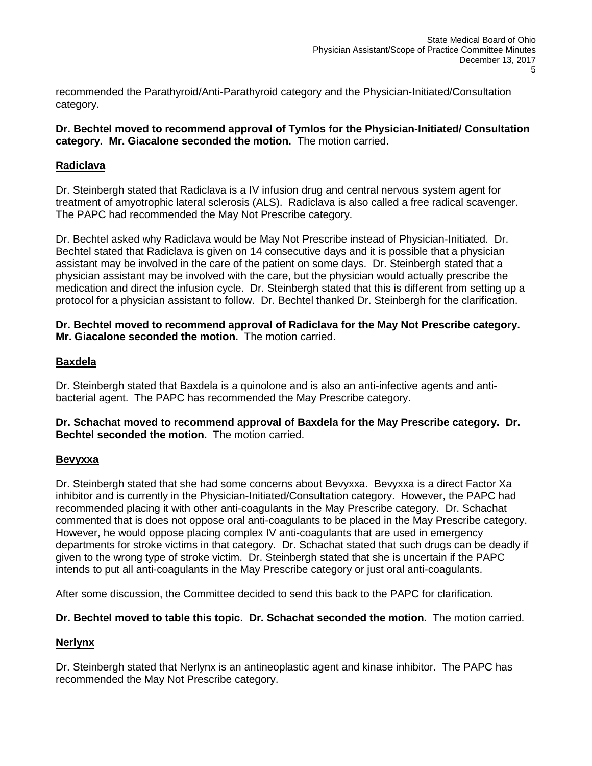recommended the Parathyroid/Anti-Parathyroid category and the Physician-Initiated/Consultation category.

# **Dr. Bechtel moved to recommend approval of Tymlos for the Physician-Initiated/ Consultation category. Mr. Giacalone seconded the motion.** The motion carried.

# **Radiclava**

Dr. Steinbergh stated that Radiclava is a IV infusion drug and central nervous system agent for treatment of amyotrophic lateral sclerosis (ALS). Radiclava is also called a free radical scavenger. The PAPC had recommended the May Not Prescribe category.

Dr. Bechtel asked why Radiclava would be May Not Prescribe instead of Physician-Initiated. Dr. Bechtel stated that Radiclava is given on 14 consecutive days and it is possible that a physician assistant may be involved in the care of the patient on some days. Dr. Steinbergh stated that a physician assistant may be involved with the care, but the physician would actually prescribe the medication and direct the infusion cycle. Dr. Steinbergh stated that this is different from setting up a protocol for a physician assistant to follow. Dr. Bechtel thanked Dr. Steinbergh for the clarification.

**Dr. Bechtel moved to recommend approval of Radiclava for the May Not Prescribe category. Mr. Giacalone seconded the motion.** The motion carried.

# **Baxdela**

Dr. Steinbergh stated that Baxdela is a quinolone and is also an anti-infective agents and antibacterial agent. The PAPC has recommended the May Prescribe category.

**Dr. Schachat moved to recommend approval of Baxdela for the May Prescribe category. Dr. Bechtel seconded the motion.** The motion carried.

# **Bevyxxa**

Dr. Steinbergh stated that she had some concerns about Bevyxxa. Bevyxxa is a direct Factor Xa inhibitor and is currently in the Physician-Initiated/Consultation category. However, the PAPC had recommended placing it with other anti-coagulants in the May Prescribe category. Dr. Schachat commented that is does not oppose oral anti-coagulants to be placed in the May Prescribe category. However, he would oppose placing complex IV anti-coagulants that are used in emergency departments for stroke victims in that category. Dr. Schachat stated that such drugs can be deadly if given to the wrong type of stroke victim. Dr. Steinbergh stated that she is uncertain if the PAPC intends to put all anti-coagulants in the May Prescribe category or just oral anti-coagulants.

After some discussion, the Committee decided to send this back to the PAPC for clarification.

# **Dr. Bechtel moved to table this topic. Dr. Schachat seconded the motion.** The motion carried.

# **Nerlynx**

Dr. Steinbergh stated that Nerlynx is an antineoplastic agent and kinase inhibitor. The PAPC has recommended the May Not Prescribe category.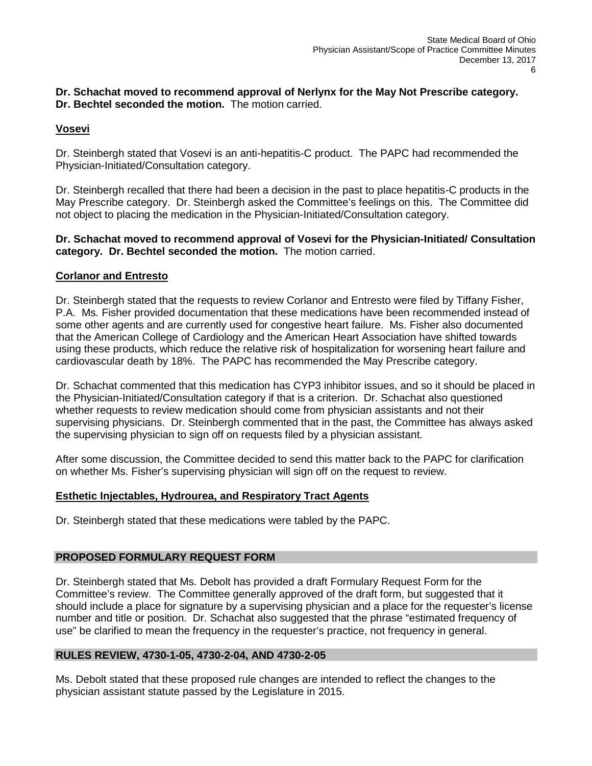# **Dr. Schachat moved to recommend approval of Nerlynx for the May Not Prescribe category. Dr. Bechtel seconded the motion.** The motion carried.

# **Vosevi**

Dr. Steinbergh stated that Vosevi is an anti-hepatitis-C product. The PAPC had recommended the Physician-Initiated/Consultation category.

Dr. Steinbergh recalled that there had been a decision in the past to place hepatitis-C products in the May Prescribe category. Dr. Steinbergh asked the Committee's feelings on this. The Committee did not object to placing the medication in the Physician-Initiated/Consultation category.

### **Dr. Schachat moved to recommend approval of Vosevi for the Physician-Initiated/ Consultation category. Dr. Bechtel seconded the motion.** The motion carried.

# **Corlanor and Entresto**

Dr. Steinbergh stated that the requests to review Corlanor and Entresto were filed by Tiffany Fisher, P.A. Ms. Fisher provided documentation that these medications have been recommended instead of some other agents and are currently used for congestive heart failure. Ms. Fisher also documented that the American College of Cardiology and the American Heart Association have shifted towards using these products, which reduce the relative risk of hospitalization for worsening heart failure and cardiovascular death by 18%. The PAPC has recommended the May Prescribe category.

Dr. Schachat commented that this medication has CYP3 inhibitor issues, and so it should be placed in the Physician-Initiated/Consultation category if that is a criterion. Dr. Schachat also questioned whether requests to review medication should come from physician assistants and not their supervising physicians. Dr. Steinbergh commented that in the past, the Committee has always asked the supervising physician to sign off on requests filed by a physician assistant.

After some discussion, the Committee decided to send this matter back to the PAPC for clarification on whether Ms. Fisher's supervising physician will sign off on the request to review.

# **Esthetic Injectables, Hydrourea, and Respiratory Tract Agents**

Dr. Steinbergh stated that these medications were tabled by the PAPC.

# **PROPOSED FORMULARY REQUEST FORM**

Dr. Steinbergh stated that Ms. Debolt has provided a draft Formulary Request Form for the Committee's review. The Committee generally approved of the draft form, but suggested that it should include a place for signature by a supervising physician and a place for the requester's license number and title or position. Dr. Schachat also suggested that the phrase "estimated frequency of use" be clarified to mean the frequency in the requester's practice, not frequency in general.

# **RULES REVIEW, 4730-1-05, 4730-2-04, AND 4730-2-05**

Ms. Debolt stated that these proposed rule changes are intended to reflect the changes to the physician assistant statute passed by the Legislature in 2015.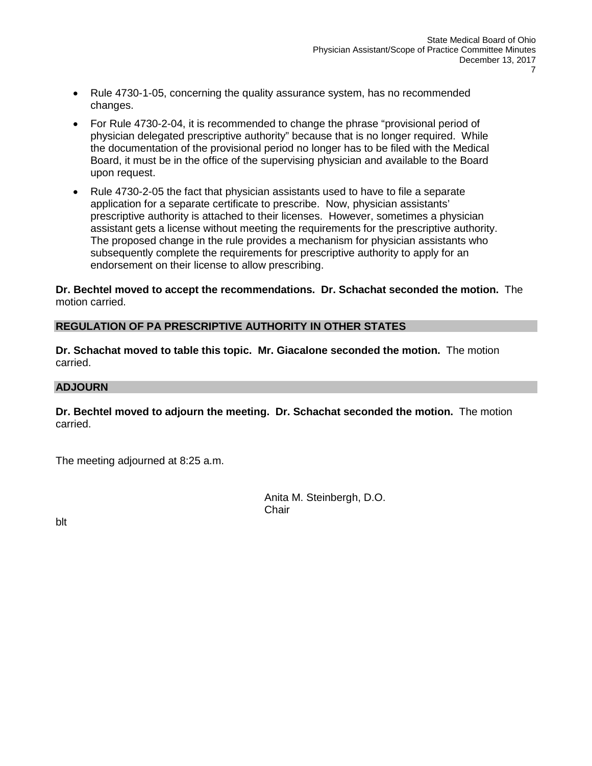- Rule 4730-1-05, concerning the quality assurance system, has no recommended changes.
- For Rule 4730-2-04, it is recommended to change the phrase "provisional period of physician delegated prescriptive authority" because that is no longer required. While the documentation of the provisional period no longer has to be filed with the Medical Board, it must be in the office of the supervising physician and available to the Board upon request.
- Rule 4730-2-05 the fact that physician assistants used to have to file a separate application for a separate certificate to prescribe. Now, physician assistants' prescriptive authority is attached to their licenses. However, sometimes a physician assistant gets a license without meeting the requirements for the prescriptive authority. The proposed change in the rule provides a mechanism for physician assistants who subsequently complete the requirements for prescriptive authority to apply for an endorsement on their license to allow prescribing.

**Dr. Bechtel moved to accept the recommendations. Dr. Schachat seconded the motion.** The motion carried.

### **REGULATION OF PA PRESCRIPTIVE AUTHORITY IN OTHER STATES**

**Dr. Schachat moved to table this topic. Mr. Giacalone seconded the motion.** The motion carried.

### **ADJOURN**

**Dr. Bechtel moved to adjourn the meeting. Dr. Schachat seconded the motion.** The motion carried.

The meeting adjourned at 8:25 a.m.

Anita M. Steinbergh, D.O. **Chair** 

blt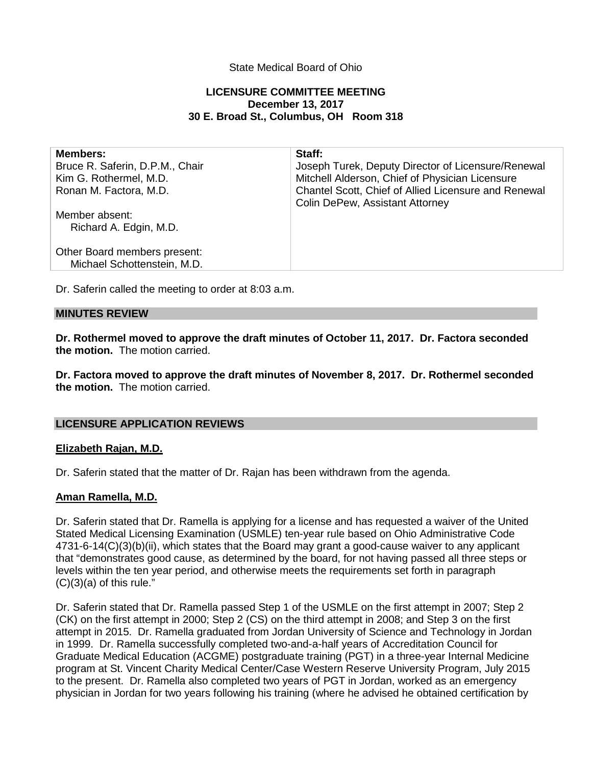# State Medical Board of Ohio

## **LICENSURE COMMITTEE MEETING December 13, 2017 30 E. Broad St., Columbus, OH Room 318**

| <b>Members:</b><br>Bruce R. Saferin, D.P.M., Chair<br>Kim G. Rothermel, M.D.<br>Ronan M. Factora, M.D. | Staff:<br>Joseph Turek, Deputy Director of Licensure/Renewal<br>Mitchell Alderson, Chief of Physician Licensure<br>Chantel Scott, Chief of Allied Licensure and Renewal<br><b>Colin DePew, Assistant Attorney</b> |
|--------------------------------------------------------------------------------------------------------|-------------------------------------------------------------------------------------------------------------------------------------------------------------------------------------------------------------------|
| Member absent:<br>Richard A. Edgin, M.D.                                                               |                                                                                                                                                                                                                   |
| Other Board members present:<br>Michael Schottenstein, M.D.                                            |                                                                                                                                                                                                                   |

Dr. Saferin called the meeting to order at 8:03 a.m.

### **MINUTES REVIEW**

**Dr. Rothermel moved to approve the draft minutes of October 11, 2017. Dr. Factora seconded the motion.** The motion carried.

**Dr. Factora moved to approve the draft minutes of November 8, 2017. Dr. Rothermel seconded the motion.** The motion carried.

### **LICENSURE APPLICATION REVIEWS**

### **Elizabeth Rajan, M.D.**

Dr. Saferin stated that the matter of Dr. Rajan has been withdrawn from the agenda.

### **Aman Ramella, M.D.**

Dr. Saferin stated that Dr. Ramella is applying for a license and has requested a waiver of the United Stated Medical Licensing Examination (USMLE) ten-year rule based on Ohio Administrative Code 4731-6-14(C)(3)(b)(ii), which states that the Board may grant a good-cause waiver to any applicant that "demonstrates good cause, as determined by the board, for not having passed all three steps or levels within the ten year period, and otherwise meets the requirements set forth in paragraph  $(C)(3)(a)$  of this rule."

Dr. Saferin stated that Dr. Ramella passed Step 1 of the USMLE on the first attempt in 2007; Step 2 (CK) on the first attempt in 2000; Step 2 (CS) on the third attempt in 2008; and Step 3 on the first attempt in 2015. Dr. Ramella graduated from Jordan University of Science and Technology in Jordan in 1999. Dr. Ramella successfully completed two-and-a-half years of Accreditation Council for Graduate Medical Education (ACGME) postgraduate training (PGT) in a three-year Internal Medicine program at St. Vincent Charity Medical Center/Case Western Reserve University Program, July 2015 to the present. Dr. Ramella also completed two years of PGT in Jordan, worked as an emergency physician in Jordan for two years following his training (where he advised he obtained certification by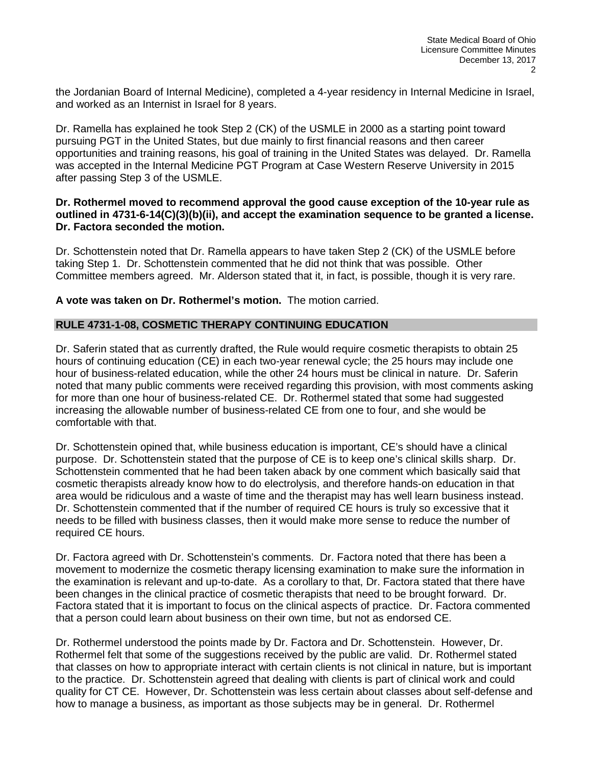the Jordanian Board of Internal Medicine), completed a 4-year residency in Internal Medicine in Israel, and worked as an Internist in Israel for 8 years.

Dr. Ramella has explained he took Step 2 (CK) of the USMLE in 2000 as a starting point toward pursuing PGT in the United States, but due mainly to first financial reasons and then career opportunities and training reasons, his goal of training in the United States was delayed. Dr. Ramella was accepted in the Internal Medicine PGT Program at Case Western Reserve University in 2015 after passing Step 3 of the USMLE.

### **Dr. Rothermel moved to recommend approval the good cause exception of the 10-year rule as outlined in 4731-6-14(C)(3)(b)(ii), and accept the examination sequence to be granted a license. Dr. Factora seconded the motion.**

Dr. Schottenstein noted that Dr. Ramella appears to have taken Step 2 (CK) of the USMLE before taking Step 1. Dr. Schottenstein commented that he did not think that was possible. Other Committee members agreed. Mr. Alderson stated that it, in fact, is possible, though it is very rare.

**A vote was taken on Dr. Rothermel's motion.** The motion carried.

# **RULE 4731-1-08, COSMETIC THERAPY CONTINUING EDUCATION**

Dr. Saferin stated that as currently drafted, the Rule would require cosmetic therapists to obtain 25 hours of continuing education (CE) in each two-year renewal cycle; the 25 hours may include one hour of business-related education, while the other 24 hours must be clinical in nature. Dr. Saferin noted that many public comments were received regarding this provision, with most comments asking for more than one hour of business-related CE. Dr. Rothermel stated that some had suggested increasing the allowable number of business-related CE from one to four, and she would be comfortable with that.

Dr. Schottenstein opined that, while business education is important, CE's should have a clinical purpose. Dr. Schottenstein stated that the purpose of CE is to keep one's clinical skills sharp. Dr. Schottenstein commented that he had been taken aback by one comment which basically said that cosmetic therapists already know how to do electrolysis, and therefore hands-on education in that area would be ridiculous and a waste of time and the therapist may has well learn business instead. Dr. Schottenstein commented that if the number of required CE hours is truly so excessive that it needs to be filled with business classes, then it would make more sense to reduce the number of required CE hours.

Dr. Factora agreed with Dr. Schottenstein's comments. Dr. Factora noted that there has been a movement to modernize the cosmetic therapy licensing examination to make sure the information in the examination is relevant and up-to-date. As a corollary to that, Dr. Factora stated that there have been changes in the clinical practice of cosmetic therapists that need to be brought forward. Dr. Factora stated that it is important to focus on the clinical aspects of practice. Dr. Factora commented that a person could learn about business on their own time, but not as endorsed CE.

Dr. Rothermel understood the points made by Dr. Factora and Dr. Schottenstein. However, Dr. Rothermel felt that some of the suggestions received by the public are valid. Dr. Rothermel stated that classes on how to appropriate interact with certain clients is not clinical in nature, but is important to the practice. Dr. Schottenstein agreed that dealing with clients is part of clinical work and could quality for CT CE. However, Dr. Schottenstein was less certain about classes about self-defense and how to manage a business, as important as those subjects may be in general. Dr. Rothermel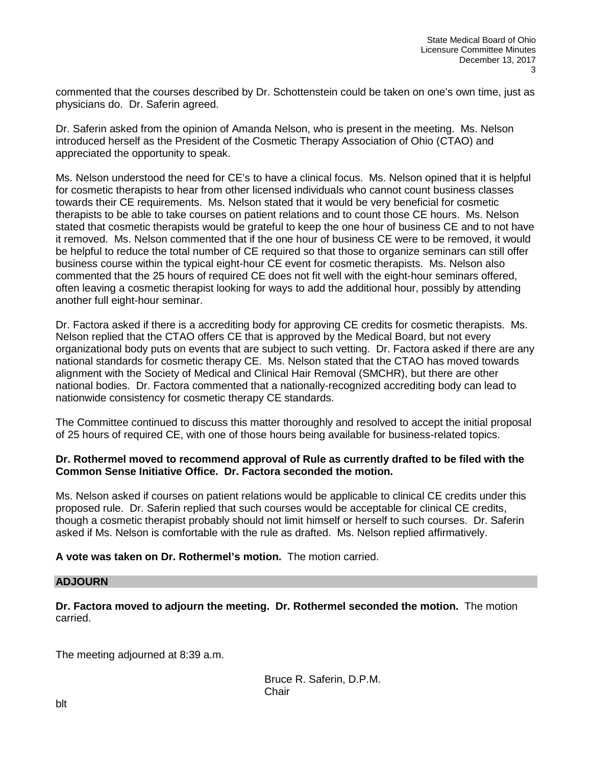commented that the courses described by Dr. Schottenstein could be taken on one's own time, just as physicians do. Dr. Saferin agreed.

Dr. Saferin asked from the opinion of Amanda Nelson, who is present in the meeting. Ms. Nelson introduced herself as the President of the Cosmetic Therapy Association of Ohio (CTAO) and appreciated the opportunity to speak.

Ms. Nelson understood the need for CE's to have a clinical focus. Ms. Nelson opined that it is helpful for cosmetic therapists to hear from other licensed individuals who cannot count business classes towards their CE requirements. Ms. Nelson stated that it would be very beneficial for cosmetic therapists to be able to take courses on patient relations and to count those CE hours. Ms. Nelson stated that cosmetic therapists would be grateful to keep the one hour of business CE and to not have it removed. Ms. Nelson commented that if the one hour of business CE were to be removed, it would be helpful to reduce the total number of CE required so that those to organize seminars can still offer business course within the typical eight-hour CE event for cosmetic therapists. Ms. Nelson also commented that the 25 hours of required CE does not fit well with the eight-hour seminars offered, often leaving a cosmetic therapist looking for ways to add the additional hour, possibly by attending another full eight-hour seminar.

Dr. Factora asked if there is a accrediting body for approving CE credits for cosmetic therapists. Ms. Nelson replied that the CTAO offers CE that is approved by the Medical Board, but not every organizational body puts on events that are subject to such vetting. Dr. Factora asked if there are any national standards for cosmetic therapy CE. Ms. Nelson stated that the CTAO has moved towards alignment with the Society of Medical and Clinical Hair Removal (SMCHR), but there are other national bodies. Dr. Factora commented that a nationally-recognized accrediting body can lead to nationwide consistency for cosmetic therapy CE standards.

The Committee continued to discuss this matter thoroughly and resolved to accept the initial proposal of 25 hours of required CE, with one of those hours being available for business-related topics.

### **Dr. Rothermel moved to recommend approval of Rule as currently drafted to be filed with the Common Sense Initiative Office. Dr. Factora seconded the motion.**

Ms. Nelson asked if courses on patient relations would be applicable to clinical CE credits under this proposed rule. Dr. Saferin replied that such courses would be acceptable for clinical CE credits, though a cosmetic therapist probably should not limit himself or herself to such courses. Dr. Saferin asked if Ms. Nelson is comfortable with the rule as drafted. Ms. Nelson replied affirmatively.

# **A vote was taken on Dr. Rothermel's motion.** The motion carried.

### **ADJOURN**

**Dr. Factora moved to adjourn the meeting. Dr. Rothermel seconded the motion.** The motion carried.

The meeting adjourned at 8:39 a.m.

Bruce R. Saferin, D.P.M. **Chair**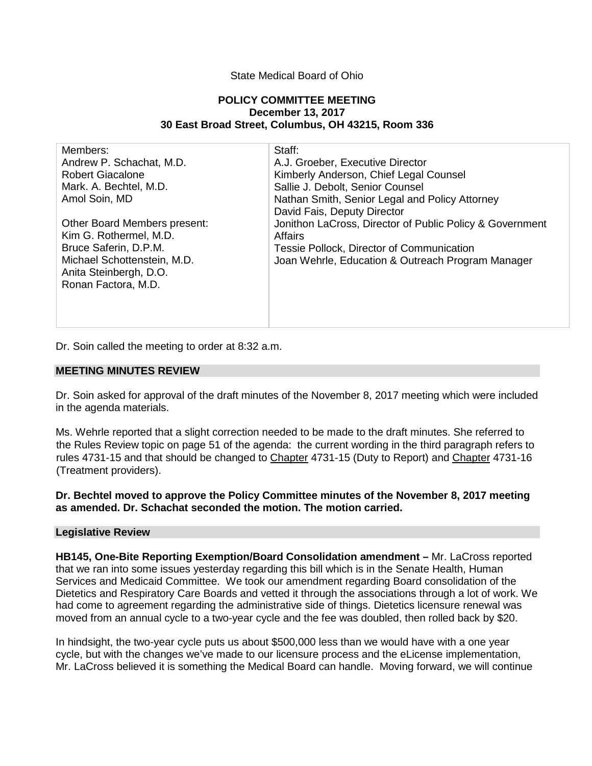### State Medical Board of Ohio

#### **POLICY COMMITTEE MEETING December 13, 2017 30 East Broad Street, Columbus, OH 43215, Room 336**

| Members:                            | Staff:                                                   |
|-------------------------------------|----------------------------------------------------------|
| Andrew P. Schachat, M.D.            | A.J. Groeber, Executive Director                         |
| <b>Robert Giacalone</b>             | Kimberly Anderson, Chief Legal Counsel                   |
| Mark. A. Bechtel, M.D.              | Sallie J. Debolt, Senior Counsel                         |
| Amol Soin, MD                       | Nathan Smith, Senior Legal and Policy Attorney           |
|                                     | David Fais, Deputy Director                              |
| <b>Other Board Members present:</b> | Jonithon LaCross, Director of Public Policy & Government |
| Kim G. Rothermel, M.D.              | Affairs                                                  |
| Bruce Saferin, D.P.M.               | Tessie Pollock, Director of Communication                |
| Michael Schottenstein, M.D.         | Joan Wehrle, Education & Outreach Program Manager        |
| Anita Steinbergh, D.O.              |                                                          |
| Ronan Factora, M.D.                 |                                                          |
|                                     |                                                          |
|                                     |                                                          |
|                                     |                                                          |

Dr. Soin called the meeting to order at 8:32 a.m.

#### **MEETING MINUTES REVIEW**

Dr. Soin asked for approval of the draft minutes of the November 8, 2017 meeting which were included in the agenda materials.

Ms. Wehrle reported that a slight correction needed to be made to the draft minutes. She referred to the Rules Review topic on page 51 of the agenda: the current wording in the third paragraph refers to rules 4731-15 and that should be changed to Chapter 4731-15 (Duty to Report) and Chapter 4731-16 (Treatment providers).

### **Dr. Bechtel moved to approve the Policy Committee minutes of the November 8, 2017 meeting as amended. Dr. Schachat seconded the motion. The motion carried.**

### **Legislative Review**

**HB145, One-Bite Reporting Exemption/Board Consolidation amendment –** Mr. LaCross reported that we ran into some issues yesterday regarding this bill which is in the Senate Health, Human Services and Medicaid Committee. We took our amendment regarding Board consolidation of the Dietetics and Respiratory Care Boards and vetted it through the associations through a lot of work. We had come to agreement regarding the administrative side of things. Dietetics licensure renewal was moved from an annual cycle to a two-year cycle and the fee was doubled, then rolled back by \$20.

In hindsight, the two-year cycle puts us about \$500,000 less than we would have with a one year cycle, but with the changes we've made to our licensure process and the eLicense implementation, Mr. LaCross believed it is something the Medical Board can handle. Moving forward, we will continue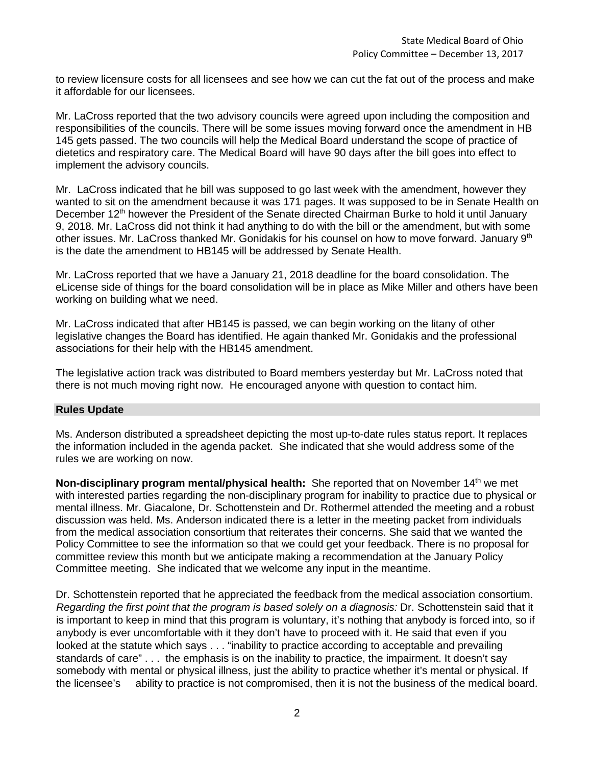to review licensure costs for all licensees and see how we can cut the fat out of the process and make it affordable for our licensees.

Mr. LaCross reported that the two advisory councils were agreed upon including the composition and responsibilities of the councils. There will be some issues moving forward once the amendment in HB 145 gets passed. The two councils will help the Medical Board understand the scope of practice of dietetics and respiratory care. The Medical Board will have 90 days after the bill goes into effect to implement the advisory councils.

Mr. LaCross indicated that he bill was supposed to go last week with the amendment, however they wanted to sit on the amendment because it was 171 pages. It was supposed to be in Senate Health on December 12<sup>th</sup> however the President of the Senate directed Chairman Burke to hold it until January 9, 2018. Mr. LaCross did not think it had anything to do with the bill or the amendment, but with some other issues. Mr. LaCross thanked Mr. Gonidakis for his counsel on how to move forward. January 9<sup>th</sup> is the date the amendment to HB145 will be addressed by Senate Health.

Mr. LaCross reported that we have a January 21, 2018 deadline for the board consolidation. The eLicense side of things for the board consolidation will be in place as Mike Miller and others have been working on building what we need.

Mr. LaCross indicated that after HB145 is passed, we can begin working on the litany of other legislative changes the Board has identified. He again thanked Mr. Gonidakis and the professional associations for their help with the HB145 amendment.

The legislative action track was distributed to Board members yesterday but Mr. LaCross noted that there is not much moving right now. He encouraged anyone with question to contact him.

### **Rules Update**

Ms. Anderson distributed a spreadsheet depicting the most up-to-date rules status report. It replaces the information included in the agenda packet. She indicated that she would address some of the rules we are working on now.

**Non-disciplinary program mental/physical health:** She reported that on November 14<sup>th</sup> we met with interested parties regarding the non-disciplinary program for inability to practice due to physical or mental illness. Mr. Giacalone, Dr. Schottenstein and Dr. Rothermel attended the meeting and a robust discussion was held. Ms. Anderson indicated there is a letter in the meeting packet from individuals from the medical association consortium that reiterates their concerns. She said that we wanted the Policy Committee to see the information so that we could get your feedback. There is no proposal for committee review this month but we anticipate making a recommendation at the January Policy Committee meeting. She indicated that we welcome any input in the meantime.

Dr. Schottenstein reported that he appreciated the feedback from the medical association consortium. *Regarding the first point that the program is based solely on a diagnosis:* Dr. Schottenstein said that it is important to keep in mind that this program is voluntary, it's nothing that anybody is forced into, so if anybody is ever uncomfortable with it they don't have to proceed with it. He said that even if you looked at the statute which says . . . "inability to practice according to acceptable and prevailing standards of care" . . . the emphasis is on the inability to practice, the impairment. It doesn't say somebody with mental or physical illness, just the ability to practice whether it's mental or physical. If the licensee's ability to practice is not compromised, then it is not the business of the medical board.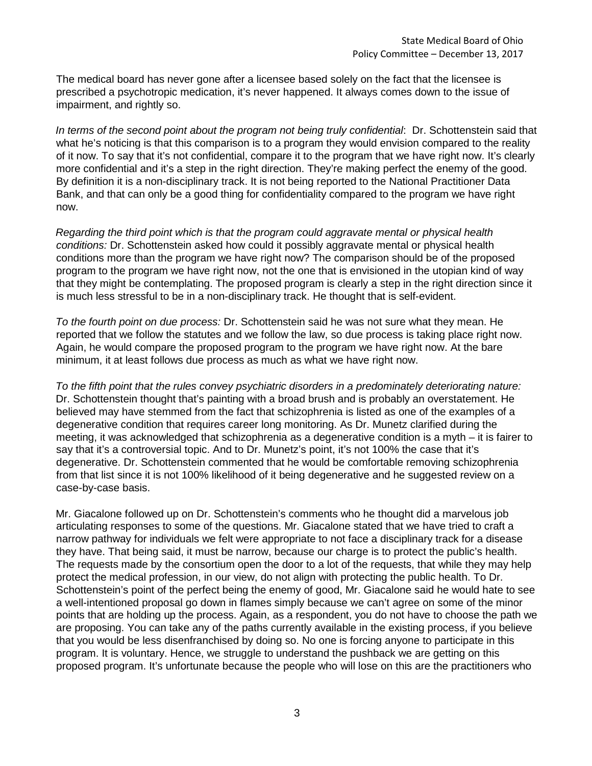The medical board has never gone after a licensee based solely on the fact that the licensee is prescribed a psychotropic medication, it's never happened. It always comes down to the issue of impairment, and rightly so.

*In terms of the second point about the program not being truly confidential*: Dr. Schottenstein said that what he's noticing is that this comparison is to a program they would envision compared to the reality of it now. To say that it's not confidential, compare it to the program that we have right now. It's clearly more confidential and it's a step in the right direction. They're making perfect the enemy of the good. By definition it is a non-disciplinary track. It is not being reported to the National Practitioner Data Bank, and that can only be a good thing for confidentiality compared to the program we have right now.

*Regarding the third point which is that the program could aggravate mental or physical health conditions:* Dr. Schottenstein asked how could it possibly aggravate mental or physical health conditions more than the program we have right now? The comparison should be of the proposed program to the program we have right now, not the one that is envisioned in the utopian kind of way that they might be contemplating. The proposed program is clearly a step in the right direction since it is much less stressful to be in a non-disciplinary track. He thought that is self-evident.

*To the fourth point on due process:* Dr. Schottenstein said he was not sure what they mean. He reported that we follow the statutes and we follow the law, so due process is taking place right now. Again, he would compare the proposed program to the program we have right now. At the bare minimum, it at least follows due process as much as what we have right now.

*To the fifth point that the rules convey psychiatric disorders in a predominately deteriorating nature:*  Dr. Schottenstein thought that's painting with a broad brush and is probably an overstatement. He believed may have stemmed from the fact that schizophrenia is listed as one of the examples of a degenerative condition that requires career long monitoring. As Dr. Munetz clarified during the meeting, it was acknowledged that schizophrenia as a degenerative condition is a myth – it is fairer to say that it's a controversial topic. And to Dr. Munetz's point, it's not 100% the case that it's degenerative. Dr. Schottenstein commented that he would be comfortable removing schizophrenia from that list since it is not 100% likelihood of it being degenerative and he suggested review on a case-by-case basis.

Mr. Giacalone followed up on Dr. Schottenstein's comments who he thought did a marvelous job articulating responses to some of the questions. Mr. Giacalone stated that we have tried to craft a narrow pathway for individuals we felt were appropriate to not face a disciplinary track for a disease they have. That being said, it must be narrow, because our charge is to protect the public's health. The requests made by the consortium open the door to a lot of the requests, that while they may help protect the medical profession, in our view, do not align with protecting the public health. To Dr. Schottenstein's point of the perfect being the enemy of good, Mr. Giacalone said he would hate to see a well-intentioned proposal go down in flames simply because we can't agree on some of the minor points that are holding up the process. Again, as a respondent, you do not have to choose the path we are proposing. You can take any of the paths currently available in the existing process, if you believe that you would be less disenfranchised by doing so. No one is forcing anyone to participate in this program. It is voluntary. Hence, we struggle to understand the pushback we are getting on this proposed program. It's unfortunate because the people who will lose on this are the practitioners who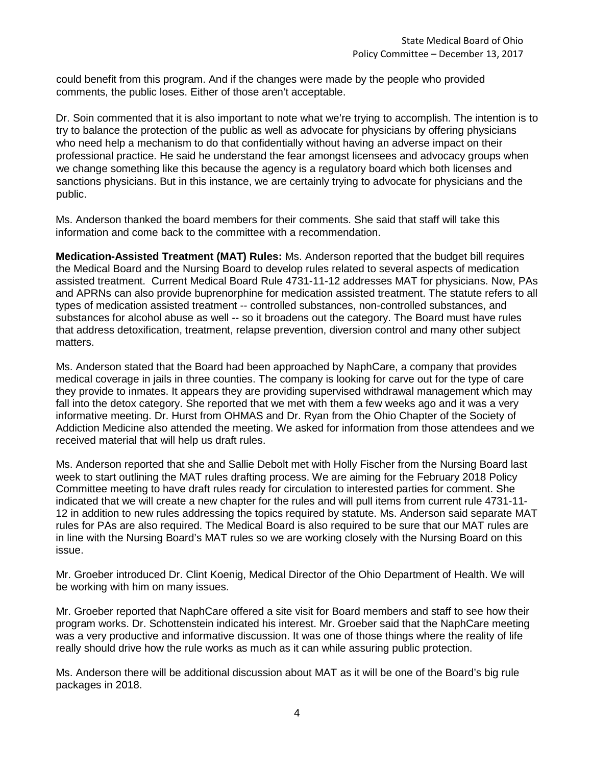could benefit from this program. And if the changes were made by the people who provided comments, the public loses. Either of those aren't acceptable.

Dr. Soin commented that it is also important to note what we're trying to accomplish. The intention is to try to balance the protection of the public as well as advocate for physicians by offering physicians who need help a mechanism to do that confidentially without having an adverse impact on their professional practice. He said he understand the fear amongst licensees and advocacy groups when we change something like this because the agency is a regulatory board which both licenses and sanctions physicians. But in this instance, we are certainly trying to advocate for physicians and the public.

Ms. Anderson thanked the board members for their comments. She said that staff will take this information and come back to the committee with a recommendation.

**Medication-Assisted Treatment (MAT) Rules:** Ms. Anderson reported that the budget bill requires the Medical Board and the Nursing Board to develop rules related to several aspects of medication assisted treatment. Current Medical Board Rule 4731-11-12 addresses MAT for physicians. Now, PAs and APRNs can also provide buprenorphine for medication assisted treatment. The statute refers to all types of medication assisted treatment -- controlled substances, non-controlled substances, and substances for alcohol abuse as well -- so it broadens out the category. The Board must have rules that address detoxification, treatment, relapse prevention, diversion control and many other subject matters.

Ms. Anderson stated that the Board had been approached by NaphCare, a company that provides medical coverage in jails in three counties. The company is looking for carve out for the type of care they provide to inmates. It appears they are providing supervised withdrawal management which may fall into the detox category. She reported that we met with them a few weeks ago and it was a very informative meeting. Dr. Hurst from OHMAS and Dr. Ryan from the Ohio Chapter of the Society of Addiction Medicine also attended the meeting. We asked for information from those attendees and we received material that will help us draft rules.

Ms. Anderson reported that she and Sallie Debolt met with Holly Fischer from the Nursing Board last week to start outlining the MAT rules drafting process. We are aiming for the February 2018 Policy Committee meeting to have draft rules ready for circulation to interested parties for comment. She indicated that we will create a new chapter for the rules and will pull items from current rule 4731-11- 12 in addition to new rules addressing the topics required by statute. Ms. Anderson said separate MAT rules for PAs are also required. The Medical Board is also required to be sure that our MAT rules are in line with the Nursing Board's MAT rules so we are working closely with the Nursing Board on this issue.

Mr. Groeber introduced Dr. Clint Koenig, Medical Director of the Ohio Department of Health. We will be working with him on many issues.

Mr. Groeber reported that NaphCare offered a site visit for Board members and staff to see how their program works. Dr. Schottenstein indicated his interest. Mr. Groeber said that the NaphCare meeting was a very productive and informative discussion. It was one of those things where the reality of life really should drive how the rule works as much as it can while assuring public protection.

Ms. Anderson there will be additional discussion about MAT as it will be one of the Board's big rule packages in 2018.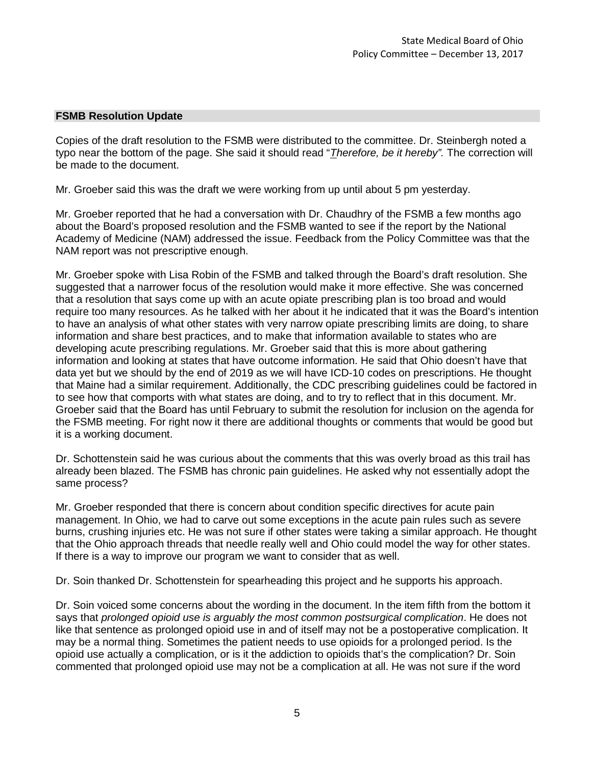### **FSMB Resolution Update**

Copies of the draft resolution to the FSMB were distributed to the committee. Dr. Steinbergh noted a typo near the bottom of the page. She said it should read "*Therefore, be it hereby".* The correction will be made to the document.

Mr. Groeber said this was the draft we were working from up until about 5 pm yesterday.

Mr. Groeber reported that he had a conversation with Dr. Chaudhry of the FSMB a few months ago about the Board's proposed resolution and the FSMB wanted to see if the report by the National Academy of Medicine (NAM) addressed the issue. Feedback from the Policy Committee was that the NAM report was not prescriptive enough.

Mr. Groeber spoke with Lisa Robin of the FSMB and talked through the Board's draft resolution. She suggested that a narrower focus of the resolution would make it more effective. She was concerned that a resolution that says come up with an acute opiate prescribing plan is too broad and would require too many resources. As he talked with her about it he indicated that it was the Board's intention to have an analysis of what other states with very narrow opiate prescribing limits are doing, to share information and share best practices, and to make that information available to states who are developing acute prescribing regulations. Mr. Groeber said that this is more about gathering information and looking at states that have outcome information. He said that Ohio doesn't have that data yet but we should by the end of 2019 as we will have ICD-10 codes on prescriptions. He thought that Maine had a similar requirement. Additionally, the CDC prescribing guidelines could be factored in to see how that comports with what states are doing, and to try to reflect that in this document. Mr. Groeber said that the Board has until February to submit the resolution for inclusion on the agenda for the FSMB meeting. For right now it there are additional thoughts or comments that would be good but it is a working document.

Dr. Schottenstein said he was curious about the comments that this was overly broad as this trail has already been blazed. The FSMB has chronic pain guidelines. He asked why not essentially adopt the same process?

Mr. Groeber responded that there is concern about condition specific directives for acute pain management. In Ohio, we had to carve out some exceptions in the acute pain rules such as severe burns, crushing injuries etc. He was not sure if other states were taking a similar approach. He thought that the Ohio approach threads that needle really well and Ohio could model the way for other states. If there is a way to improve our program we want to consider that as well.

Dr. Soin thanked Dr. Schottenstein for spearheading this project and he supports his approach.

Dr. Soin voiced some concerns about the wording in the document. In the item fifth from the bottom it says that *prolonged opioid use is arguably the most common postsurgical complication*. He does not like that sentence as prolonged opioid use in and of itself may not be a postoperative complication. It may be a normal thing. Sometimes the patient needs to use opioids for a prolonged period. Is the opioid use actually a complication, or is it the addiction to opioids that's the complication? Dr. Soin commented that prolonged opioid use may not be a complication at all. He was not sure if the word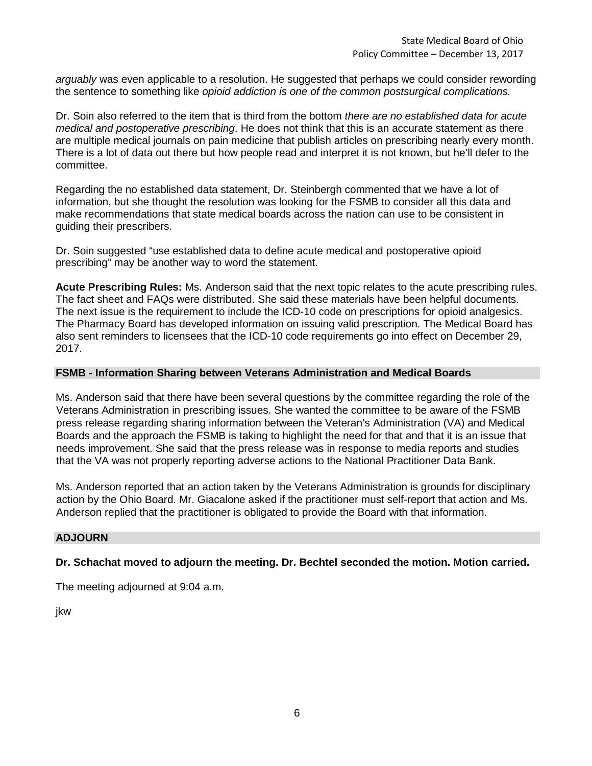*arguably* was even applicable to a resolution. He suggested that perhaps we could consider rewording the sentence to something like *opioid addiction is one of the common postsurgical complications.*

Dr. Soin also referred to the item that is third from the bottom *there are no established data for acute medical and postoperative prescribing*. He does not think that this is an accurate statement as there are multiple medical journals on pain medicine that publish articles on prescribing nearly every month. There is a lot of data out there but how people read and interpret it is not known, but he'll defer to the committee.

Regarding the no established data statement, Dr. Steinbergh commented that we have a lot of information, but she thought the resolution was looking for the FSMB to consider all this data and make recommendations that state medical boards across the nation can use to be consistent in guiding their prescribers.

Dr. Soin suggested "use established data to define acute medical and postoperative opioid prescribing" may be another way to word the statement.

**Acute Prescribing Rules:** Ms. Anderson said that the next topic relates to the acute prescribing rules. The fact sheet and FAQs were distributed. She said these materials have been helpful documents. The next issue is the requirement to include the ICD-10 code on prescriptions for opioid analgesics. The Pharmacy Board has developed information on issuing valid prescription. The Medical Board has also sent reminders to licensees that the ICD-10 code requirements go into effect on December 29, 2017.

### **FSMB - Information Sharing between Veterans Administration and Medical Boards**

Ms. Anderson said that there have been several questions by the committee regarding the role of the Veterans Administration in prescribing issues. She wanted the committee to be aware of the FSMB press release regarding sharing information between the Veteran's Administration (VA) and Medical Boards and the approach the FSMB is taking to highlight the need for that and that it is an issue that needs improvement. She said that the press release was in response to media reports and studies that the VA was not properly reporting adverse actions to the National Practitioner Data Bank.

Ms. Anderson reported that an action taken by the Veterans Administration is grounds for disciplinary action by the Ohio Board. Mr. Giacalone asked if the practitioner must self-report that action and Ms. Anderson replied that the practitioner is obligated to provide the Board with that information.

#### **ADJOURN**

#### **Dr. Schachat moved to adjourn the meeting. Dr. Bechtel seconded the motion. Motion carried.**

The meeting adjourned at 9:04 a.m.

jkw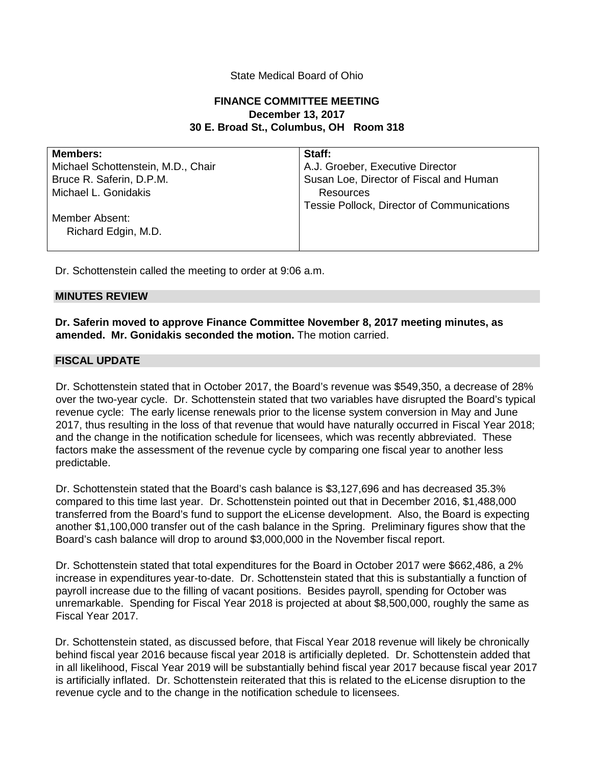## State Medical Board of Ohio

# **FINANCE COMMITTEE MEETING December 13, 2017 30 E. Broad St., Columbus, OH Room 318**

| <b>Members:</b>                    | Staff:                                     |
|------------------------------------|--------------------------------------------|
| Michael Schottenstein, M.D., Chair | A.J. Groeber, Executive Director           |
| Bruce R. Saferin, D.P.M.           | Susan Loe, Director of Fiscal and Human    |
| Michael L. Gonidakis               | Resources                                  |
|                                    | Tessie Pollock, Director of Communications |
| Member Absent:                     |                                            |
| Richard Edgin, M.D.                |                                            |
|                                    |                                            |

Dr. Schottenstein called the meeting to order at 9:06 a.m.

#### **MINUTES REVIEW**

**Dr. Saferin moved to approve Finance Committee November 8, 2017 meeting minutes, as amended. Mr. Gonidakis seconded the motion.** The motion carried.

### **FISCAL UPDATE**

Dr. Schottenstein stated that in October 2017, the Board's revenue was \$549,350, a decrease of 28% over the two-year cycle. Dr. Schottenstein stated that two variables have disrupted the Board's typical revenue cycle: The early license renewals prior to the license system conversion in May and June 2017, thus resulting in the loss of that revenue that would have naturally occurred in Fiscal Year 2018; and the change in the notification schedule for licensees, which was recently abbreviated. These factors make the assessment of the revenue cycle by comparing one fiscal year to another less predictable.

Dr. Schottenstein stated that the Board's cash balance is \$3,127,696 and has decreased 35.3% compared to this time last year. Dr. Schottenstein pointed out that in December 2016, \$1,488,000 transferred from the Board's fund to support the eLicense development. Also, the Board is expecting another \$1,100,000 transfer out of the cash balance in the Spring. Preliminary figures show that the Board's cash balance will drop to around \$3,000,000 in the November fiscal report.

Dr. Schottenstein stated that total expenditures for the Board in October 2017 were \$662,486, a 2% increase in expenditures year-to-date. Dr. Schottenstein stated that this is substantially a function of payroll increase due to the filling of vacant positions. Besides payroll, spending for October was unremarkable. Spending for Fiscal Year 2018 is projected at about \$8,500,000, roughly the same as Fiscal Year 2017.

Dr. Schottenstein stated, as discussed before, that Fiscal Year 2018 revenue will likely be chronically behind fiscal year 2016 because fiscal year 2018 is artificially depleted. Dr. Schottenstein added that in all likelihood, Fiscal Year 2019 will be substantially behind fiscal year 2017 because fiscal year 2017 is artificially inflated. Dr. Schottenstein reiterated that this is related to the eLicense disruption to the revenue cycle and to the change in the notification schedule to licensees.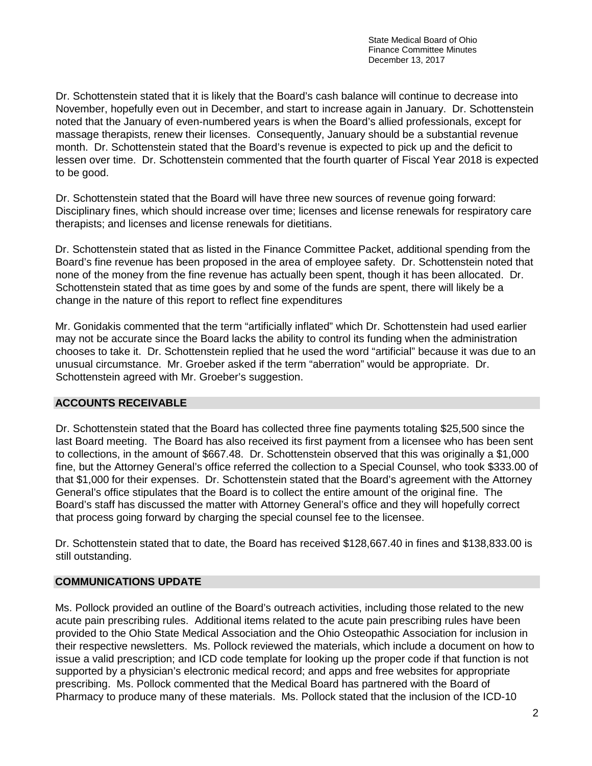State Medical Board of Ohio Finance Committee Minutes December 13, 2017

Dr. Schottenstein stated that it is likely that the Board's cash balance will continue to decrease into November, hopefully even out in December, and start to increase again in January. Dr. Schottenstein noted that the January of even-numbered years is when the Board's allied professionals, except for massage therapists, renew their licenses. Consequently, January should be a substantial revenue month. Dr. Schottenstein stated that the Board's revenue is expected to pick up and the deficit to lessen over time. Dr. Schottenstein commented that the fourth quarter of Fiscal Year 2018 is expected to be good.

Dr. Schottenstein stated that the Board will have three new sources of revenue going forward: Disciplinary fines, which should increase over time; licenses and license renewals for respiratory care therapists; and licenses and license renewals for dietitians.

Dr. Schottenstein stated that as listed in the Finance Committee Packet, additional spending from the Board's fine revenue has been proposed in the area of employee safety. Dr. Schottenstein noted that none of the money from the fine revenue has actually been spent, though it has been allocated. Dr. Schottenstein stated that as time goes by and some of the funds are spent, there will likely be a change in the nature of this report to reflect fine expenditures

Mr. Gonidakis commented that the term "artificially inflated" which Dr. Schottenstein had used earlier may not be accurate since the Board lacks the ability to control its funding when the administration chooses to take it. Dr. Schottenstein replied that he used the word "artificial" because it was due to an unusual circumstance. Mr. Groeber asked if the term "aberration" would be appropriate. Dr. Schottenstein agreed with Mr. Groeber's suggestion.

# **ACCOUNTS RECEIVABLE**

Dr. Schottenstein stated that the Board has collected three fine payments totaling \$25,500 since the last Board meeting. The Board has also received its first payment from a licensee who has been sent to collections, in the amount of \$667.48. Dr. Schottenstein observed that this was originally a \$1,000 fine, but the Attorney General's office referred the collection to a Special Counsel, who took \$333.00 of that \$1,000 for their expenses. Dr. Schottenstein stated that the Board's agreement with the Attorney General's office stipulates that the Board is to collect the entire amount of the original fine. The Board's staff has discussed the matter with Attorney General's office and they will hopefully correct that process going forward by charging the special counsel fee to the licensee.

Dr. Schottenstein stated that to date, the Board has received \$128,667.40 in fines and \$138,833.00 is still outstanding.

# **COMMUNICATIONS UPDATE**

Ms. Pollock provided an outline of the Board's outreach activities, including those related to the new acute pain prescribing rules. Additional items related to the acute pain prescribing rules have been provided to the Ohio State Medical Association and the Ohio Osteopathic Association for inclusion in their respective newsletters. Ms. Pollock reviewed the materials, which include a document on how to issue a valid prescription; and ICD code template for looking up the proper code if that function is not supported by a physician's electronic medical record; and apps and free websites for appropriate prescribing. Ms. Pollock commented that the Medical Board has partnered with the Board of Pharmacy to produce many of these materials. Ms. Pollock stated that the inclusion of the ICD-10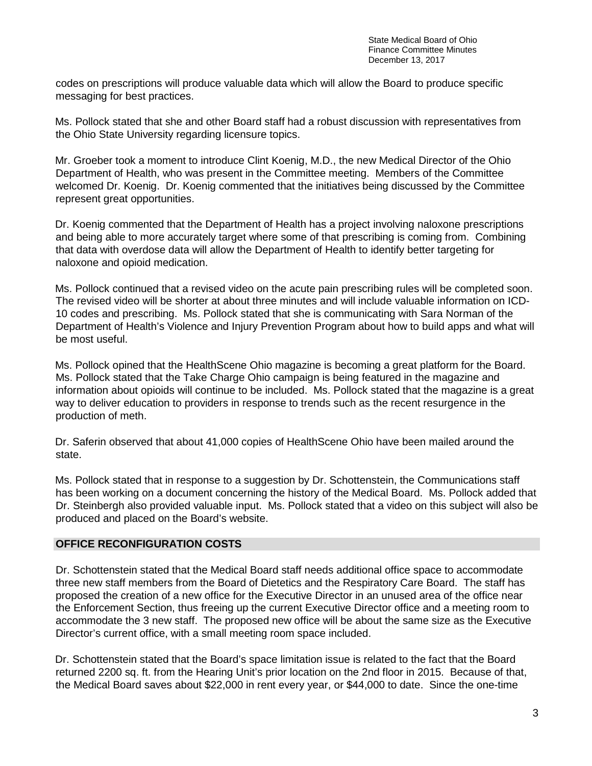codes on prescriptions will produce valuable data which will allow the Board to produce specific messaging for best practices.

Ms. Pollock stated that she and other Board staff had a robust discussion with representatives from the Ohio State University regarding licensure topics.

Mr. Groeber took a moment to introduce Clint Koenig, M.D., the new Medical Director of the Ohio Department of Health, who was present in the Committee meeting. Members of the Committee welcomed Dr. Koenig. Dr. Koenig commented that the initiatives being discussed by the Committee represent great opportunities.

Dr. Koenig commented that the Department of Health has a project involving naloxone prescriptions and being able to more accurately target where some of that prescribing is coming from. Combining that data with overdose data will allow the Department of Health to identify better targeting for naloxone and opioid medication.

Ms. Pollock continued that a revised video on the acute pain prescribing rules will be completed soon. The revised video will be shorter at about three minutes and will include valuable information on ICD-10 codes and prescribing. Ms. Pollock stated that she is communicating with Sara Norman of the Department of Health's Violence and Injury Prevention Program about how to build apps and what will be most useful.

Ms. Pollock opined that the HealthScene Ohio magazine is becoming a great platform for the Board. Ms. Pollock stated that the Take Charge Ohio campaign is being featured in the magazine and information about opioids will continue to be included. Ms. Pollock stated that the magazine is a great way to deliver education to providers in response to trends such as the recent resurgence in the production of meth.

Dr. Saferin observed that about 41,000 copies of HealthScene Ohio have been mailed around the state.

Ms. Pollock stated that in response to a suggestion by Dr. Schottenstein, the Communications staff has been working on a document concerning the history of the Medical Board. Ms. Pollock added that Dr. Steinbergh also provided valuable input. Ms. Pollock stated that a video on this subject will also be produced and placed on the Board's website.

# **OFFICE RECONFIGURATION COSTS**

Dr. Schottenstein stated that the Medical Board staff needs additional office space to accommodate three new staff members from the Board of Dietetics and the Respiratory Care Board. The staff has proposed the creation of a new office for the Executive Director in an unused area of the office near the Enforcement Section, thus freeing up the current Executive Director office and a meeting room to accommodate the 3 new staff. The proposed new office will be about the same size as the Executive Director's current office, with a small meeting room space included.

Dr. Schottenstein stated that the Board's space limitation issue is related to the fact that the Board returned 2200 sq. ft. from the Hearing Unit's prior location on the 2nd floor in 2015. Because of that, the Medical Board saves about \$22,000 in rent every year, or \$44,000 to date. Since the one-time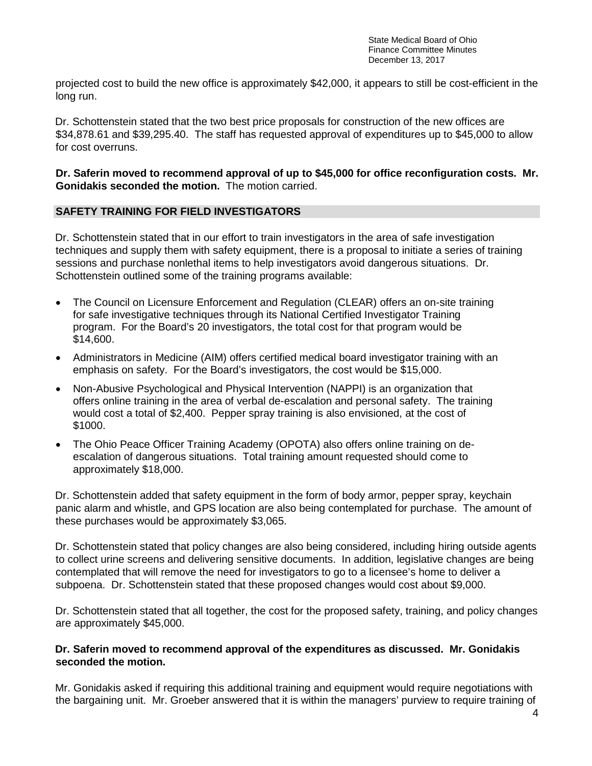State Medical Board of Ohio Finance Committee Minutes December 13, 2017

projected cost to build the new office is approximately \$42,000, it appears to still be cost-efficient in the long run.

Dr. Schottenstein stated that the two best price proposals for construction of the new offices are \$34,878.61 and \$39,295.40. The staff has requested approval of expenditures up to \$45,000 to allow for cost overruns.

# **Dr. Saferin moved to recommend approval of up to \$45,000 for office reconfiguration costs. Mr. Gonidakis seconded the motion.** The motion carried.

# **SAFETY TRAINING FOR FIELD INVESTIGATORS**

Dr. Schottenstein stated that in our effort to train investigators in the area of safe investigation techniques and supply them with safety equipment, there is a proposal to initiate a series of training sessions and purchase nonlethal items to help investigators avoid dangerous situations. Dr. Schottenstein outlined some of the training programs available:

- The Council on Licensure Enforcement and Regulation (CLEAR) offers an on-site training for safe investigative techniques through its National Certified Investigator Training program. For the Board's 20 investigators, the total cost for that program would be \$14,600.
- Administrators in Medicine (AIM) offers certified medical board investigator training with an emphasis on safety. For the Board's investigators, the cost would be \$15,000.
- Non-Abusive Psychological and Physical Intervention (NAPPI) is an organization that offers online training in the area of verbal de-escalation and personal safety. The training would cost a total of \$2,400. Pepper spray training is also envisioned, at the cost of \$1000.
- The Ohio Peace Officer Training Academy (OPOTA) also offers online training on deescalation of dangerous situations. Total training amount requested should come to approximately \$18,000.

Dr. Schottenstein added that safety equipment in the form of body armor, pepper spray, keychain panic alarm and whistle, and GPS location are also being contemplated for purchase. The amount of these purchases would be approximately \$3,065.

Dr. Schottenstein stated that policy changes are also being considered, including hiring outside agents to collect urine screens and delivering sensitive documents. In addition, legislative changes are being contemplated that will remove the need for investigators to go to a licensee's home to deliver a subpoena. Dr. Schottenstein stated that these proposed changes would cost about \$9,000.

Dr. Schottenstein stated that all together, the cost for the proposed safety, training, and policy changes are approximately \$45,000.

# **Dr. Saferin moved to recommend approval of the expenditures as discussed. Mr. Gonidakis seconded the motion.**

Mr. Gonidakis asked if requiring this additional training and equipment would require negotiations with the bargaining unit. Mr. Groeber answered that it is within the managers' purview to require training of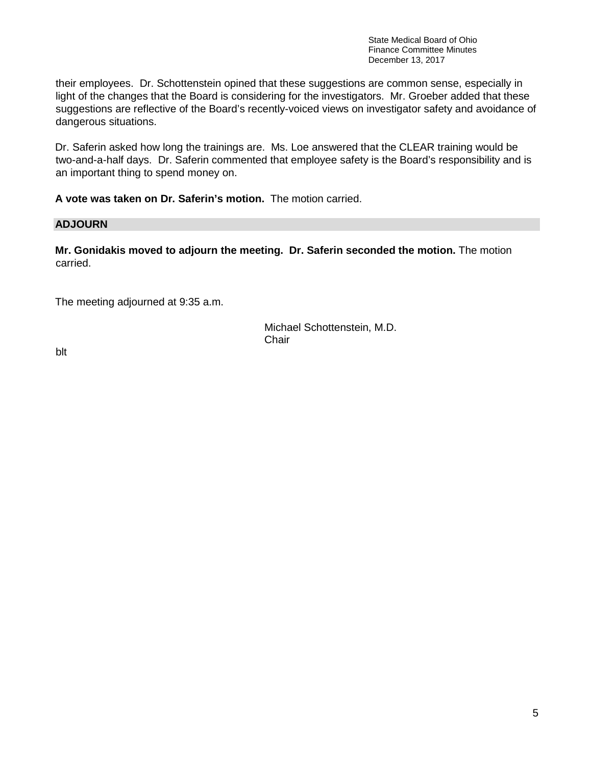State Medical Board of Ohio Finance Committee Minutes December 13, 2017

their employees. Dr. Schottenstein opined that these suggestions are common sense, especially in light of the changes that the Board is considering for the investigators. Mr. Groeber added that these suggestions are reflective of the Board's recently-voiced views on investigator safety and avoidance of dangerous situations.

Dr. Saferin asked how long the trainings are. Ms. Loe answered that the CLEAR training would be two-and-a-half days. Dr. Saferin commented that employee safety is the Board's responsibility and is an important thing to spend money on.

**A vote was taken on Dr. Saferin's motion.** The motion carried.

# **ADJOURN**

**Mr. Gonidakis moved to adjourn the meeting. Dr. Saferin seconded the motion.** The motion carried.

The meeting adjourned at 9:35 a.m.

Michael Schottenstein, M.D. **Chair** 

blt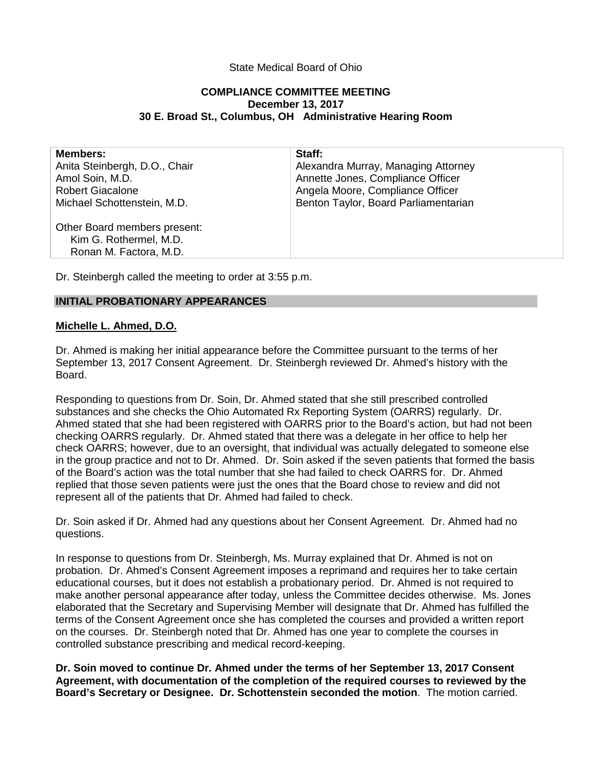# State Medical Board of Ohio

### **COMPLIANCE COMMITTEE MEETING December 13, 2017 30 E. Broad St., Columbus, OH Administrative Hearing Room**

| <b>Members:</b>               | Staff:                               |
|-------------------------------|--------------------------------------|
| Anita Steinbergh, D.O., Chair | Alexandra Murray, Managing Attorney  |
| Amol Soin, M.D.               | Annette Jones, Compliance Officer    |
| <b>Robert Giacalone</b>       | Angela Moore, Compliance Officer     |
| Michael Schottenstein, M.D.   | Benton Taylor, Board Parliamentarian |
| Other Board members present:  |                                      |
| Kim G. Rothermel, M.D.        |                                      |
| Ronan M. Factora, M.D.        |                                      |
|                               |                                      |

Dr. Steinbergh called the meeting to order at 3:55 p.m.

### **INITIAL PROBATIONARY APPEARANCES**

### **Michelle L. Ahmed, D.O.**

Dr. Ahmed is making her initial appearance before the Committee pursuant to the terms of her September 13, 2017 Consent Agreement. Dr. Steinbergh reviewed Dr. Ahmed's history with the Board.

Responding to questions from Dr. Soin, Dr. Ahmed stated that she still prescribed controlled substances and she checks the Ohio Automated Rx Reporting System (OARRS) regularly. Dr. Ahmed stated that she had been registered with OARRS prior to the Board's action, but had not been checking OARRS regularly. Dr. Ahmed stated that there was a delegate in her office to help her check OARRS; however, due to an oversight, that individual was actually delegated to someone else in the group practice and not to Dr. Ahmed. Dr. Soin asked if the seven patients that formed the basis of the Board's action was the total number that she had failed to check OARRS for. Dr. Ahmed replied that those seven patients were just the ones that the Board chose to review and did not represent all of the patients that Dr. Ahmed had failed to check.

Dr. Soin asked if Dr. Ahmed had any questions about her Consent Agreement. Dr. Ahmed had no questions.

In response to questions from Dr. Steinbergh, Ms. Murray explained that Dr. Ahmed is not on probation. Dr. Ahmed's Consent Agreement imposes a reprimand and requires her to take certain educational courses, but it does not establish a probationary period. Dr. Ahmed is not required to make another personal appearance after today, unless the Committee decides otherwise. Ms. Jones elaborated that the Secretary and Supervising Member will designate that Dr. Ahmed has fulfilled the terms of the Consent Agreement once she has completed the courses and provided a written report on the courses. Dr. Steinbergh noted that Dr. Ahmed has one year to complete the courses in controlled substance prescribing and medical record-keeping.

**Dr. Soin moved to continue Dr. Ahmed under the terms of her September 13, 2017 Consent Agreement, with documentation of the completion of the required courses to reviewed by the Board's Secretary or Designee. Dr. Schottenstein seconded the motion**. The motion carried.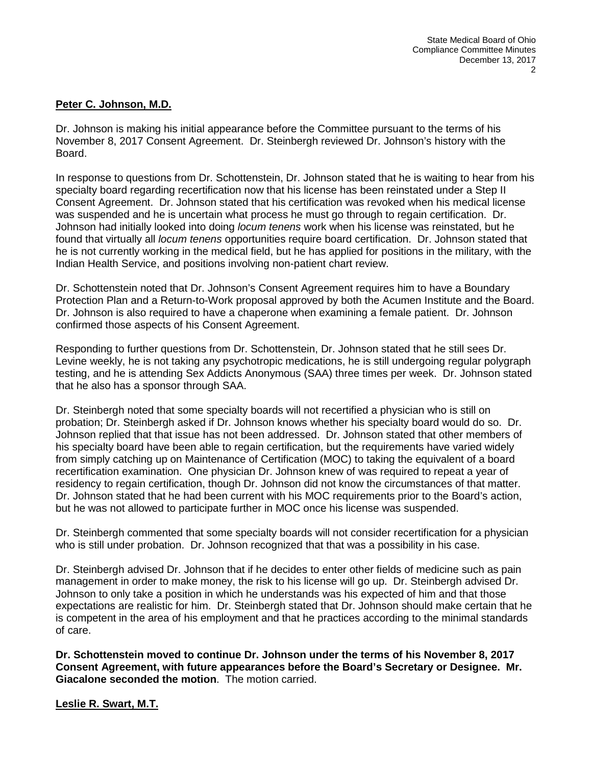# **Peter C. Johnson, M.D.**

Dr. Johnson is making his initial appearance before the Committee pursuant to the terms of his November 8, 2017 Consent Agreement. Dr. Steinbergh reviewed Dr. Johnson's history with the Board.

In response to questions from Dr. Schottenstein, Dr. Johnson stated that he is waiting to hear from his specialty board regarding recertification now that his license has been reinstated under a Step II Consent Agreement. Dr. Johnson stated that his certification was revoked when his medical license was suspended and he is uncertain what process he must go through to regain certification. Dr. Johnson had initially looked into doing *locum tenens* work when his license was reinstated, but he found that virtually all *locum tenens* opportunities require board certification. Dr. Johnson stated that he is not currently working in the medical field, but he has applied for positions in the military, with the Indian Health Service, and positions involving non-patient chart review.

Dr. Schottenstein noted that Dr. Johnson's Consent Agreement requires him to have a Boundary Protection Plan and a Return-to-Work proposal approved by both the Acumen Institute and the Board. Dr. Johnson is also required to have a chaperone when examining a female patient. Dr. Johnson confirmed those aspects of his Consent Agreement.

Responding to further questions from Dr. Schottenstein, Dr. Johnson stated that he still sees Dr. Levine weekly, he is not taking any psychotropic medications, he is still undergoing regular polygraph testing, and he is attending Sex Addicts Anonymous (SAA) three times per week. Dr. Johnson stated that he also has a sponsor through SAA.

Dr. Steinbergh noted that some specialty boards will not recertified a physician who is still on probation; Dr. Steinbergh asked if Dr. Johnson knows whether his specialty board would do so. Dr. Johnson replied that that issue has not been addressed. Dr. Johnson stated that other members of his specialty board have been able to regain certification, but the requirements have varied widely from simply catching up on Maintenance of Certification (MOC) to taking the equivalent of a board recertification examination. One physician Dr. Johnson knew of was required to repeat a year of residency to regain certification, though Dr. Johnson did not know the circumstances of that matter. Dr. Johnson stated that he had been current with his MOC requirements prior to the Board's action, but he was not allowed to participate further in MOC once his license was suspended.

Dr. Steinbergh commented that some specialty boards will not consider recertification for a physician who is still under probation. Dr. Johnson recognized that that was a possibility in his case.

Dr. Steinbergh advised Dr. Johnson that if he decides to enter other fields of medicine such as pain management in order to make money, the risk to his license will go up. Dr. Steinbergh advised Dr. Johnson to only take a position in which he understands was his expected of him and that those expectations are realistic for him. Dr. Steinbergh stated that Dr. Johnson should make certain that he is competent in the area of his employment and that he practices according to the minimal standards of care.

**Dr. Schottenstein moved to continue Dr. Johnson under the terms of his November 8, 2017 Consent Agreement, with future appearances before the Board's Secretary or Designee. Mr. Giacalone seconded the motion**. The motion carried.

**Leslie R. Swart, M.T.**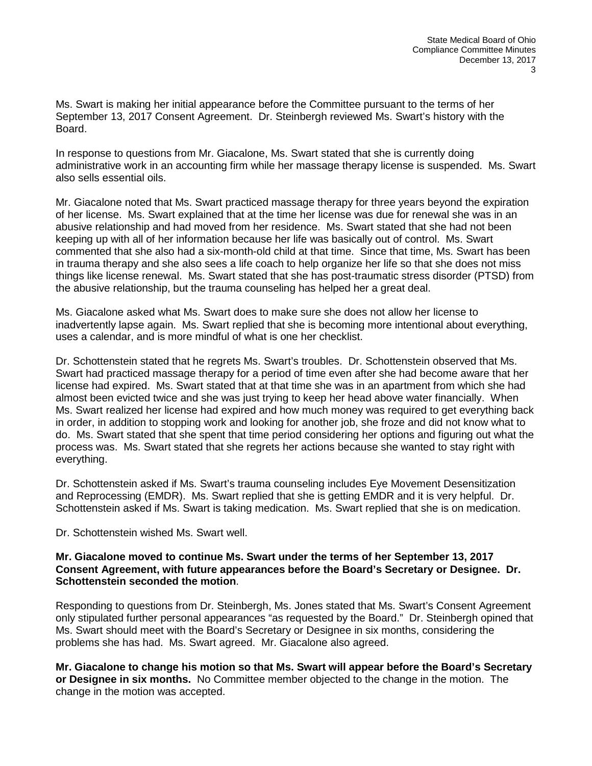Ms. Swart is making her initial appearance before the Committee pursuant to the terms of her September 13, 2017 Consent Agreement. Dr. Steinbergh reviewed Ms. Swart's history with the Board.

In response to questions from Mr. Giacalone, Ms. Swart stated that she is currently doing administrative work in an accounting firm while her massage therapy license is suspended. Ms. Swart also sells essential oils.

Mr. Giacalone noted that Ms. Swart practiced massage therapy for three years beyond the expiration of her license. Ms. Swart explained that at the time her license was due for renewal she was in an abusive relationship and had moved from her residence. Ms. Swart stated that she had not been keeping up with all of her information because her life was basically out of control. Ms. Swart commented that she also had a six-month-old child at that time. Since that time, Ms. Swart has been in trauma therapy and she also sees a life coach to help organize her life so that she does not miss things like license renewal. Ms. Swart stated that she has post-traumatic stress disorder (PTSD) from the abusive relationship, but the trauma counseling has helped her a great deal.

Ms. Giacalone asked what Ms. Swart does to make sure she does not allow her license to inadvertently lapse again. Ms. Swart replied that she is becoming more intentional about everything, uses a calendar, and is more mindful of what is one her checklist.

Dr. Schottenstein stated that he regrets Ms. Swart's troubles. Dr. Schottenstein observed that Ms. Swart had practiced massage therapy for a period of time even after she had become aware that her license had expired. Ms. Swart stated that at that time she was in an apartment from which she had almost been evicted twice and she was just trying to keep her head above water financially. When Ms. Swart realized her license had expired and how much money was required to get everything back in order, in addition to stopping work and looking for another job, she froze and did not know what to do. Ms. Swart stated that she spent that time period considering her options and figuring out what the process was. Ms. Swart stated that she regrets her actions because she wanted to stay right with everything.

Dr. Schottenstein asked if Ms. Swart's trauma counseling includes Eye Movement Desensitization and Reprocessing (EMDR). Ms. Swart replied that she is getting EMDR and it is very helpful. Dr. Schottenstein asked if Ms. Swart is taking medication. Ms. Swart replied that she is on medication.

Dr. Schottenstein wished Ms. Swart well.

### **Mr. Giacalone moved to continue Ms. Swart under the terms of her September 13, 2017 Consent Agreement, with future appearances before the Board's Secretary or Designee. Dr. Schottenstein seconded the motion**.

Responding to questions from Dr. Steinbergh, Ms. Jones stated that Ms. Swart's Consent Agreement only stipulated further personal appearances "as requested by the Board." Dr. Steinbergh opined that Ms. Swart should meet with the Board's Secretary or Designee in six months, considering the problems she has had. Ms. Swart agreed. Mr. Giacalone also agreed.

**Mr. Giacalone to change his motion so that Ms. Swart will appear before the Board's Secretary or Designee in six months.** No Committee member objected to the change in the motion. The change in the motion was accepted.